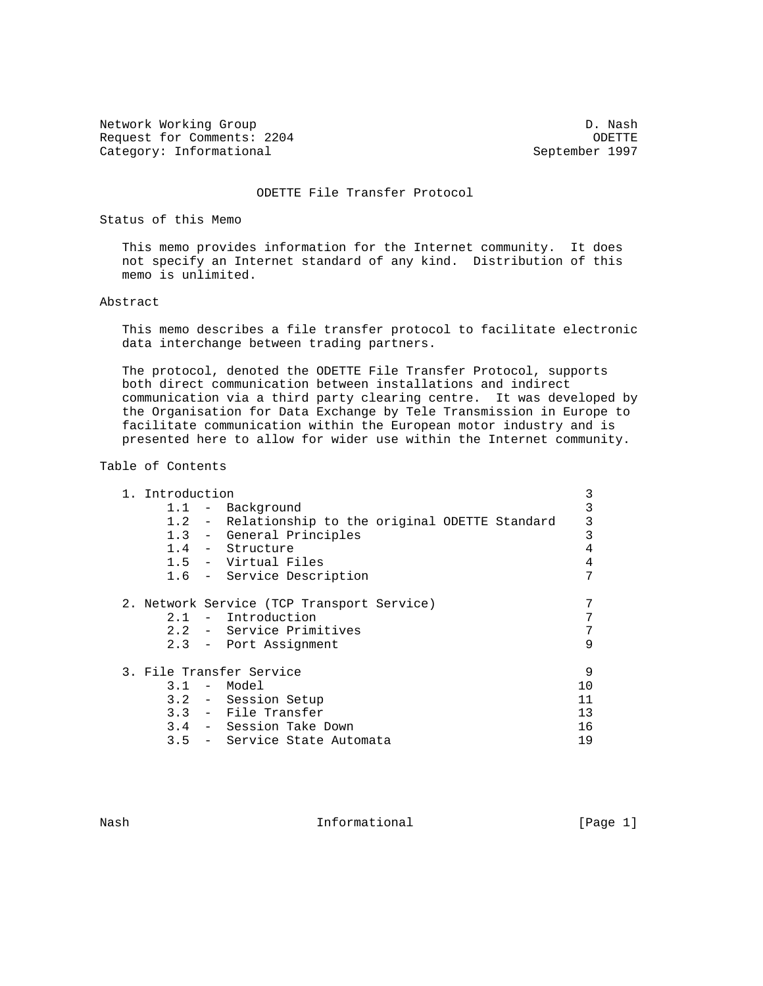Network Working Group Description of the U.S. of the U.S. of the U.S. of the U.S. of the U.S. of the U.S. of the U.S. of the U.S. of the U.S. of the U.S. of the U.S. of the U.S. of the U.S. of the U.S. of the U.S. of the U Request for Comments: 2204 ODETTE<br>Category: Informational Category: Informational Category: Informational

ODETTE File Transfer Protocol

Status of this Memo

 This memo provides information for the Internet community. It does not specify an Internet standard of any kind. Distribution of this memo is unlimited.

## Abstract

 This memo describes a file transfer protocol to facilitate electronic data interchange between trading partners.

 The protocol, denoted the ODETTE File Transfer Protocol, supports both direct communication between installations and indirect communication via a third party clearing centre. It was developed by the Organisation for Data Exchange by Tele Transmission in Europe to facilitate communication within the European motor industry and is presented here to allow for wider use within the Internet community.

## Table of Contents

| 1. Introduction |                                                    | 3  |
|-----------------|----------------------------------------------------|----|
| 1.1             | - Background                                       | 3  |
|                 | 1.2 - Relationship to the original ODETTE Standard | 3  |
|                 | 1.3 - General Principles                           | 3  |
|                 | 1.4 - Structure                                    | 4  |
|                 | 1.5 - Virtual Files                                | 4  |
|                 | 1.6 - Service Description                          | 7  |
|                 | 2. Network Service (TCP Transport Service)         |    |
| 2.1             | Introduction<br>$\sim$ $-$                         |    |
|                 | 2.2 - Service Primitives                           | 7  |
|                 | 2.3 - Port Assignment                              | 9  |
|                 | 3. File Transfer Service                           | 9  |
| 3.1             | - Model                                            | 10 |
|                 | 3.2 - Session Setup                                | 11 |
|                 | 3.3 - File Transfer                                | 13 |
|                 | 3.4 - Session Take Down                            | 16 |
|                 | 3.5 - Service State Automata                       | 19 |

Nash **Informational Informational Informational I**Page 1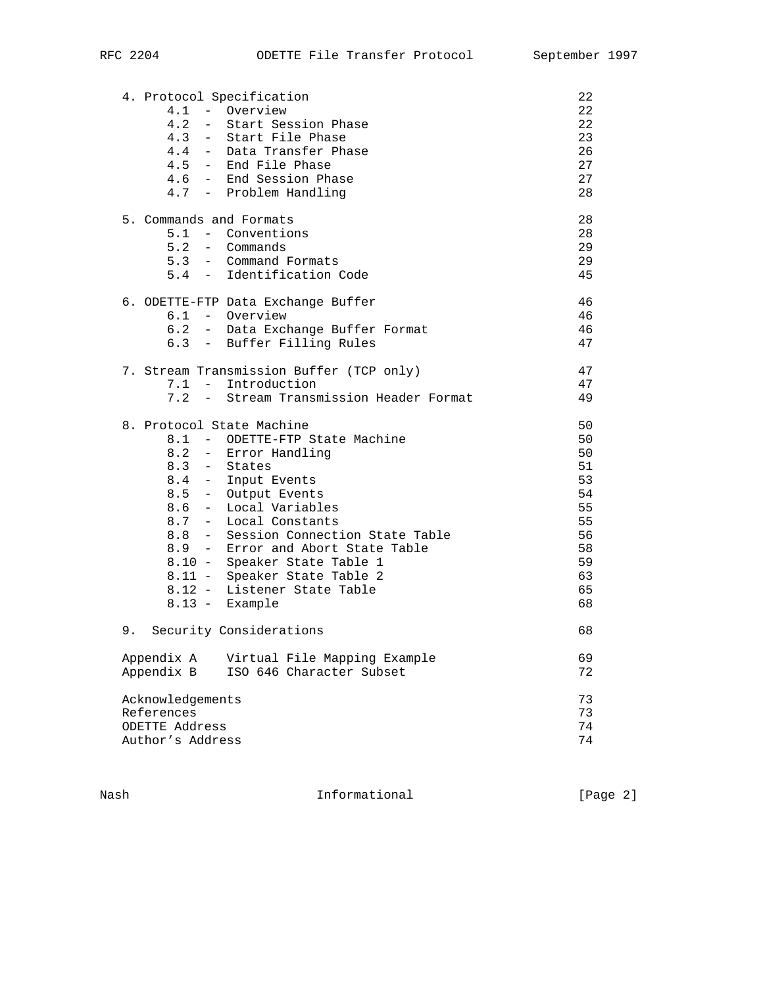| 4. Protocol Specification      |                                                 | 22              |
|--------------------------------|-------------------------------------------------|-----------------|
| 4.1 - Overview                 |                                                 | 22              |
| 4.2                            | - Start Session Phase                           | 22 <sub>2</sub> |
| 4.3                            | - Start File Phase<br>4.4 - Data Transfer Phase | 23<br>26        |
|                                |                                                 |                 |
|                                | 4.5 - End File Phase<br>4.6 - End Session Phase | 27<br>27        |
|                                | 4.7 - Problem Handling                          | 28              |
|                                |                                                 |                 |
| 5. Commands and Formats        |                                                 | 28              |
|                                | 5.1 - Conventions                               | 28              |
| 5.2 - Commands                 |                                                 | 29              |
|                                | 5.3 - Command Formats                           | 29              |
|                                | 5.4 - Identification Code                       | 45              |
|                                | 6. ODETTE-FTP Data Exchange Buffer              | 46              |
| 6.1 - Overview                 |                                                 | 46              |
|                                | 6.2 - Data Exchange Buffer Format               | 46              |
|                                | 6.3 - Buffer Filling Rules                      | 47              |
|                                | 7. Stream Transmission Buffer (TCP only)        | 47              |
|                                | 7.1 - Introduction                              | 47              |
|                                | 7.2 - Stream Transmission Header Format         | 49              |
| 8. Protocol State Machine      |                                                 | 50              |
|                                | 8.1 - ODETTE-FTP State Machine                  | 50              |
|                                | 8.2 - Error Handling                            | 50              |
| $8.3 - States$                 |                                                 | 51              |
|                                | 8.4 - Input Events                              | 53              |
|                                | 8.5 - Output Events                             | 54              |
|                                | 8.6 - Local Variables                           | 55              |
|                                | 8.7 - Local Constants                           | 55              |
|                                | 8.8 - Session Connection State Table            | 56              |
|                                | 8.9 - Error and Abort State Table               | 58              |
|                                | 8.10 - Speaker State Table 1                    | 59              |
|                                | 8.11 - Speaker State Table 2                    | 63              |
|                                | 8.12 - Listener State Table                     | 65              |
| 8.13 - Example                 |                                                 | 68              |
| 9. Security Considerations     |                                                 | 68              |
| Appendix A                     | Virtual File Mapping Example                    | 69              |
| Appendix B                     | ISO 646 Character Subset                        | 72              |
|                                |                                                 |                 |
| Acknowledgements<br>References |                                                 | 73<br>73        |
| ODETTE Address                 |                                                 | 74              |
| Author's Address               |                                                 | 74              |
|                                |                                                 |                 |

Nash Informational [Page 2]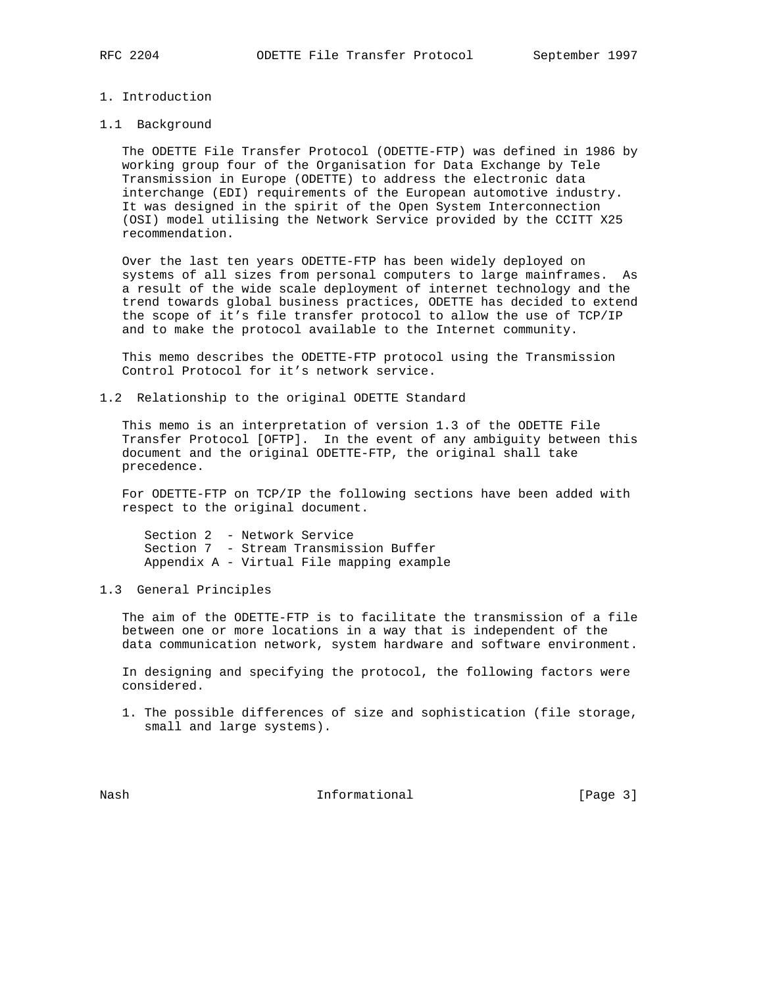## 1. Introduction

## 1.1 Background

 The ODETTE File Transfer Protocol (ODETTE-FTP) was defined in 1986 by working group four of the Organisation for Data Exchange by Tele Transmission in Europe (ODETTE) to address the electronic data interchange (EDI) requirements of the European automotive industry. It was designed in the spirit of the Open System Interconnection (OSI) model utilising the Network Service provided by the CCITT X25 recommendation.

 Over the last ten years ODETTE-FTP has been widely deployed on systems of all sizes from personal computers to large mainframes. As a result of the wide scale deployment of internet technology and the trend towards global business practices, ODETTE has decided to extend the scope of it's file transfer protocol to allow the use of TCP/IP and to make the protocol available to the Internet community.

 This memo describes the ODETTE-FTP protocol using the Transmission Control Protocol for it's network service.

1.2 Relationship to the original ODETTE Standard

 This memo is an interpretation of version 1.3 of the ODETTE File Transfer Protocol [OFTP]. In the event of any ambiguity between this document and the original ODETTE-FTP, the original shall take precedence.

 For ODETTE-FTP on TCP/IP the following sections have been added with respect to the original document.

 Section 2 - Network Service Section 7 - Stream Transmission Buffer Appendix A - Virtual File mapping example

1.3 General Principles

 The aim of the ODETTE-FTP is to facilitate the transmission of a file between one or more locations in a way that is independent of the data communication network, system hardware and software environment.

 In designing and specifying the protocol, the following factors were considered.

 1. The possible differences of size and sophistication (file storage, small and large systems).

Nash **Informational Informational** [Page 3]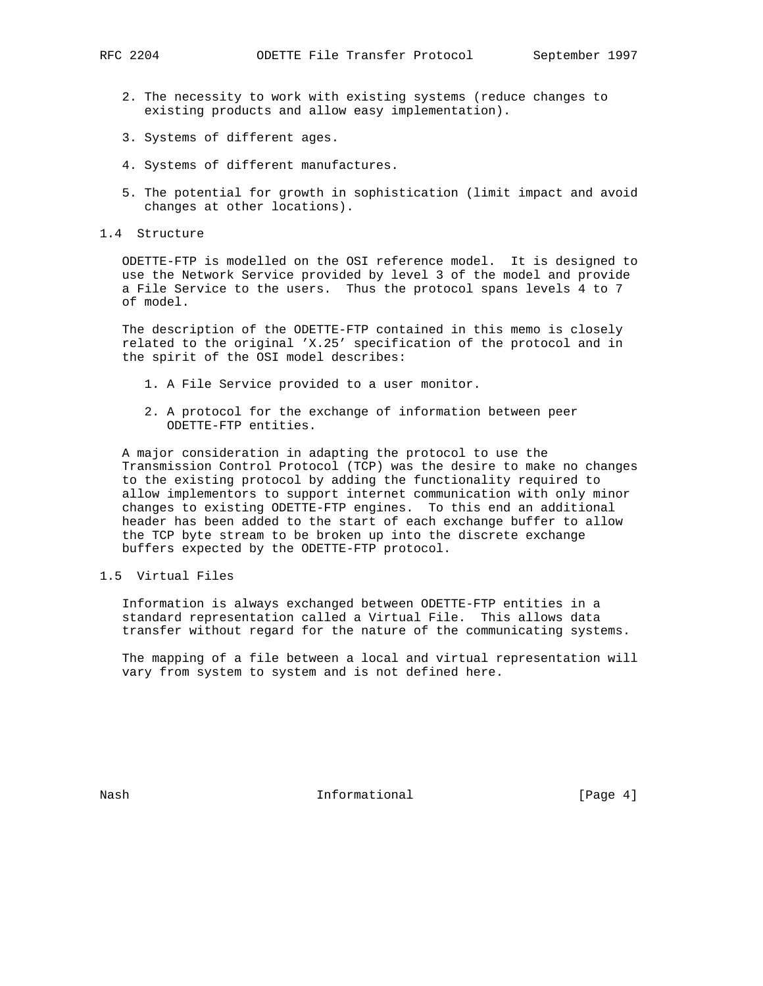- 2. The necessity to work with existing systems (reduce changes to existing products and allow easy implementation).
- 3. Systems of different ages.
- 4. Systems of different manufactures.
- 5. The potential for growth in sophistication (limit impact and avoid changes at other locations).
- 1.4 Structure

 ODETTE-FTP is modelled on the OSI reference model. It is designed to use the Network Service provided by level 3 of the model and provide a File Service to the users. Thus the protocol spans levels 4 to 7 of model.

 The description of the ODETTE-FTP contained in this memo is closely related to the original 'X.25' specification of the protocol and in the spirit of the OSI model describes:

- 1. A File Service provided to a user monitor.
- 2. A protocol for the exchange of information between peer ODETTE-FTP entities.

 A major consideration in adapting the protocol to use the Transmission Control Protocol (TCP) was the desire to make no changes to the existing protocol by adding the functionality required to allow implementors to support internet communication with only minor changes to existing ODETTE-FTP engines. To this end an additional header has been added to the start of each exchange buffer to allow the TCP byte stream to be broken up into the discrete exchange buffers expected by the ODETTE-FTP protocol.

1.5 Virtual Files

 Information is always exchanged between ODETTE-FTP entities in a standard representation called a Virtual File. This allows data transfer without regard for the nature of the communicating systems.

 The mapping of a file between a local and virtual representation will vary from system to system and is not defined here.

Nash **Informational Informational Informational I**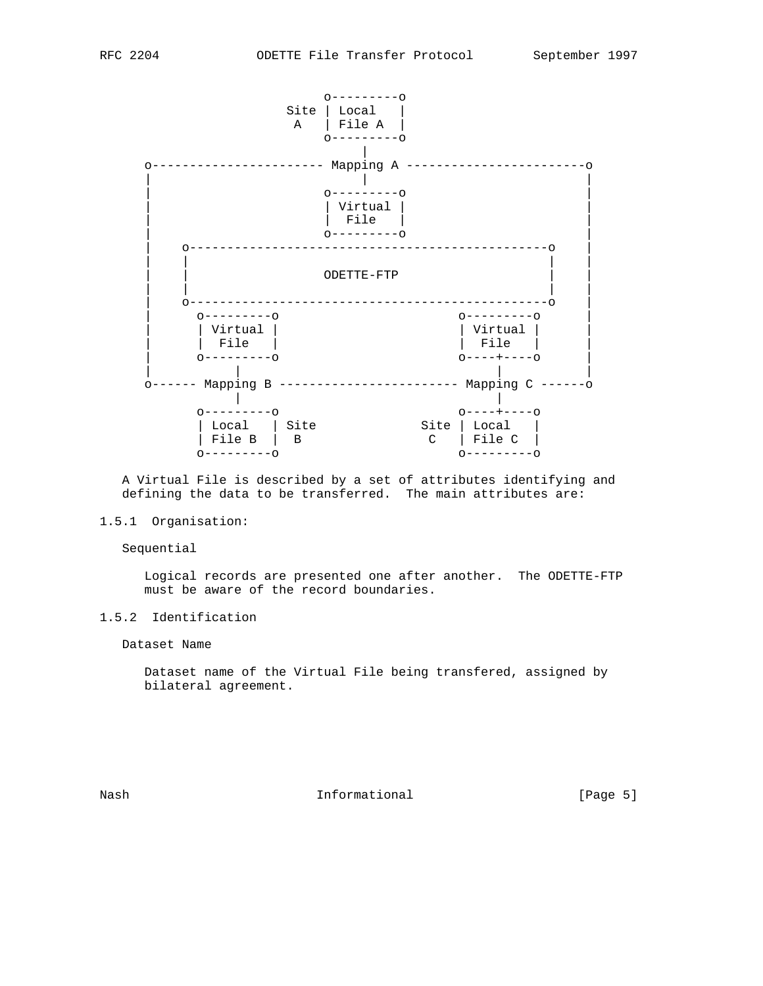

 A Virtual File is described by a set of attributes identifying and defining the data to be transferred. The main attributes are:

## 1.5.1 Organisation:

Sequential

 Logical records are presented one after another. The ODETTE-FTP must be aware of the record boundaries.

# 1.5.2 Identification

Dataset Name

 Dataset name of the Virtual File being transfered, assigned by bilateral agreement.

Nash **Informational** Informational [Page 5]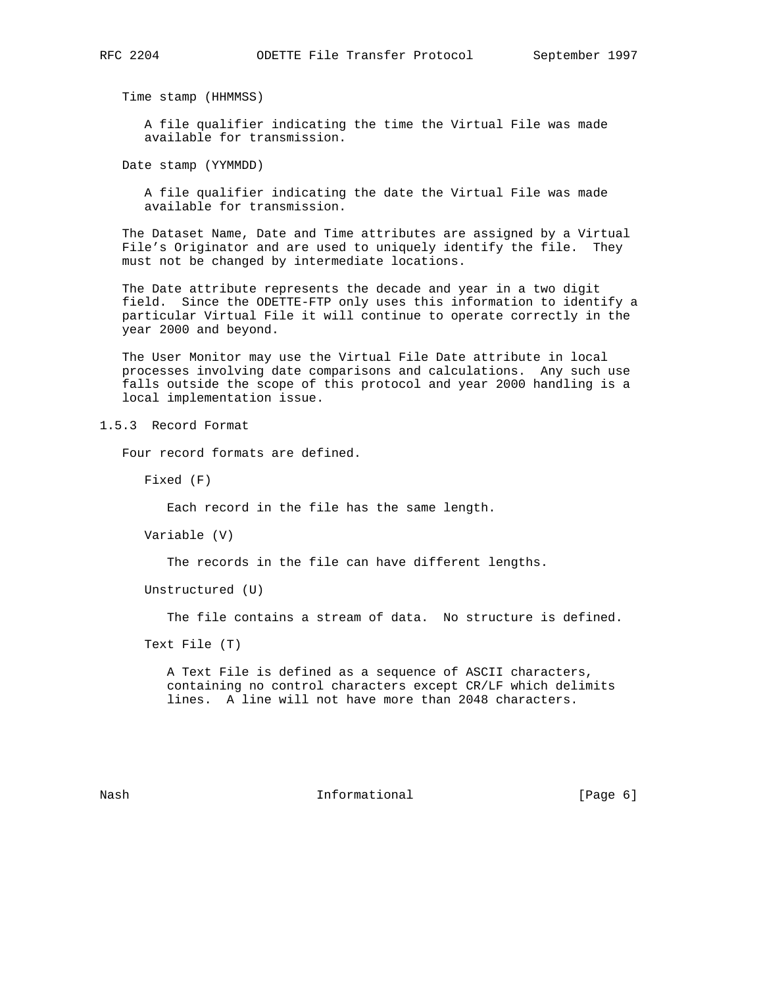Time stamp (HHMMSS)

 A file qualifier indicating the time the Virtual File was made available for transmission.

Date stamp (YYMMDD)

 A file qualifier indicating the date the Virtual File was made available for transmission.

 The Dataset Name, Date and Time attributes are assigned by a Virtual File's Originator and are used to uniquely identify the file. They must not be changed by intermediate locations.

 The Date attribute represents the decade and year in a two digit field. Since the ODETTE-FTP only uses this information to identify a particular Virtual File it will continue to operate correctly in the year 2000 and beyond.

 The User Monitor may use the Virtual File Date attribute in local processes involving date comparisons and calculations. Any such use falls outside the scope of this protocol and year 2000 handling is a local implementation issue.

1.5.3 Record Format

Four record formats are defined.

Fixed (F)

Each record in the file has the same length.

Variable (V)

The records in the file can have different lengths.

Unstructured (U)

The file contains a stream of data. No structure is defined.

Text File (T)

 A Text File is defined as a sequence of ASCII characters, containing no control characters except CR/LF which delimits lines. A line will not have more than 2048 characters.

Nash **Informational Informational Informational I**Page 6]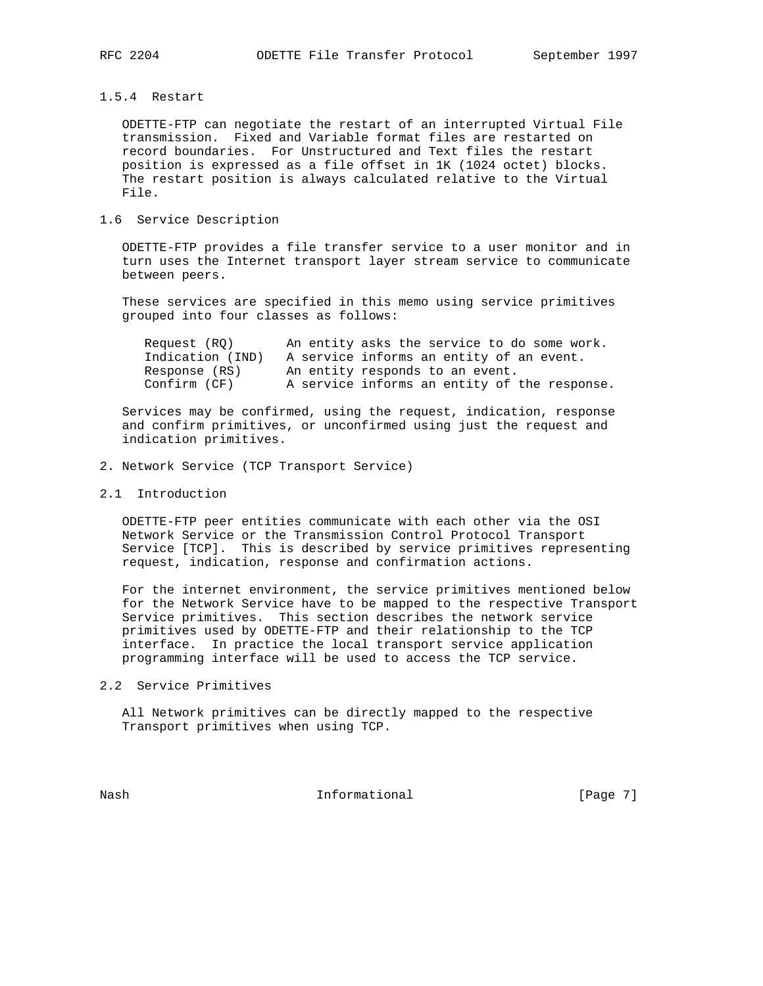## 1.5.4 Restart

 ODETTE-FTP can negotiate the restart of an interrupted Virtual File transmission. Fixed and Variable format files are restarted on record boundaries. For Unstructured and Text files the restart position is expressed as a file offset in 1K (1024 octet) blocks. The restart position is always calculated relative to the Virtual File.

## 1.6 Service Description

 ODETTE-FTP provides a file transfer service to a user monitor and in turn uses the Internet transport layer stream service to communicate between peers.

 These services are specified in this memo using service primitives grouped into four classes as follows:

| Request (RO)     | An entity asks the service to do some work.  |
|------------------|----------------------------------------------|
| Indication (IND) | A service informs an entity of an event.     |
| Response (RS)    | An entity responds to an event.              |
| Confirm (CF)     | A service informs an entity of the response. |

 Services may be confirmed, using the request, indication, response and confirm primitives, or unconfirmed using just the request and indication primitives.

- 2. Network Service (TCP Transport Service)
- 2.1 Introduction

 ODETTE-FTP peer entities communicate with each other via the OSI Network Service or the Transmission Control Protocol Transport Service [TCP]. This is described by service primitives representing request, indication, response and confirmation actions.

 For the internet environment, the service primitives mentioned below for the Network Service have to be mapped to the respective Transport Service primitives. This section describes the network service primitives used by ODETTE-FTP and their relationship to the TCP interface. In practice the local transport service application programming interface will be used to access the TCP service.

2.2 Service Primitives

 All Network primitives can be directly mapped to the respective Transport primitives when using TCP.

Nash **Informational Informational** [Page 7]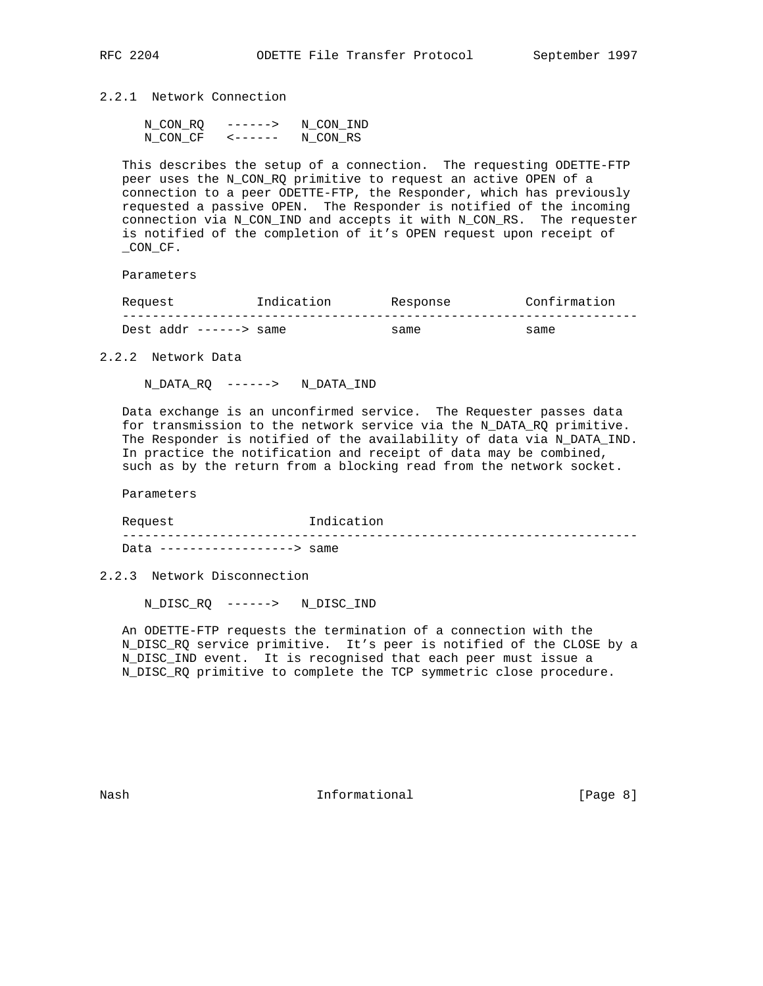2.2.1 Network Connection

| N CON RO | $- - - - - - >$ | N CON IND |
|----------|-----------------|-----------|
| N CON CF |                 | N CON RS  |

 This describes the setup of a connection. The requesting ODETTE-FTP peer uses the N\_CON\_RQ primitive to request an active OPEN of a connection to a peer ODETTE-FTP, the Responder, which has previously requested a passive OPEN. The Responder is notified of the incoming connection via N\_CON\_IND and accepts it with N\_CON\_RS. The requester is notified of the completion of it's OPEN request upon receipt of \_CON\_CF.

Parameters

| Request               | Indication | Response | Confirmation |
|-----------------------|------------|----------|--------------|
|                       |            |          |              |
| Dest addr $--->$ same |            | same     | same         |

2.2.2 Network Data

N\_DATA\_RQ ------> N\_DATA\_IND

 Data exchange is an unconfirmed service. The Requester passes data for transmission to the network service via the N\_DATA\_RQ primitive. The Responder is notified of the availability of data via N\_DATA\_IND. In practice the notification and receipt of data may be combined, such as by the return from a blocking read from the network socket.

Parameters

Request 1ndication --------------------------------------------------------------------- Data ------------------> same

2.2.3 Network Disconnection

N\_DISC\_RQ ------> N\_DISC\_IND

 An ODETTE-FTP requests the termination of a connection with the N\_DISC\_RQ service primitive. It's peer is notified of the CLOSE by a N\_DISC\_IND event. It is recognised that each peer must issue a N\_DISC\_RQ primitive to complete the TCP symmetric close procedure.

Nash **Informational Informational Informational I**Page 8]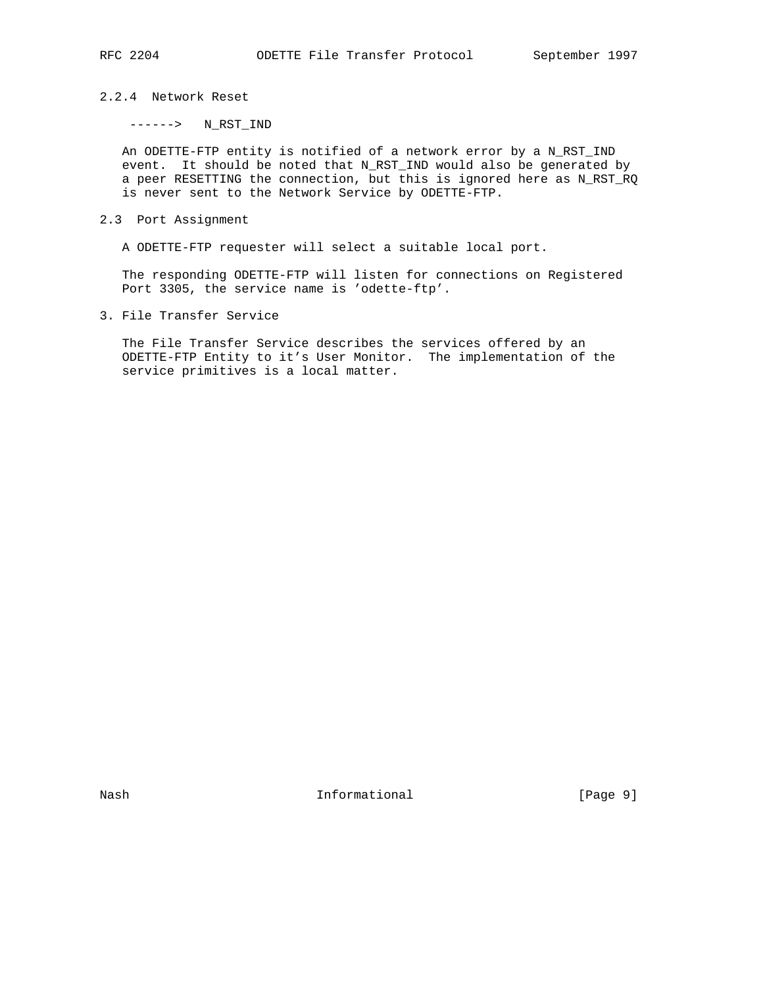# 2.2.4 Network Reset

 $-----&N\_RST\_IND$ 

 An ODETTE-FTP entity is notified of a network error by a N\_RST\_IND event. It should be noted that N\_RST\_IND would also be generated by a peer RESETTING the connection, but this is ignored here as N\_RST\_RQ is never sent to the Network Service by ODETTE-FTP.

2.3 Port Assignment

A ODETTE-FTP requester will select a suitable local port.

 The responding ODETTE-FTP will listen for connections on Registered Port 3305, the service name is 'odette-ftp'.

3. File Transfer Service

 The File Transfer Service describes the services offered by an ODETTE-FTP Entity to it's User Monitor. The implementation of the service primitives is a local matter.

Nash **Informational** Informational [Page 9]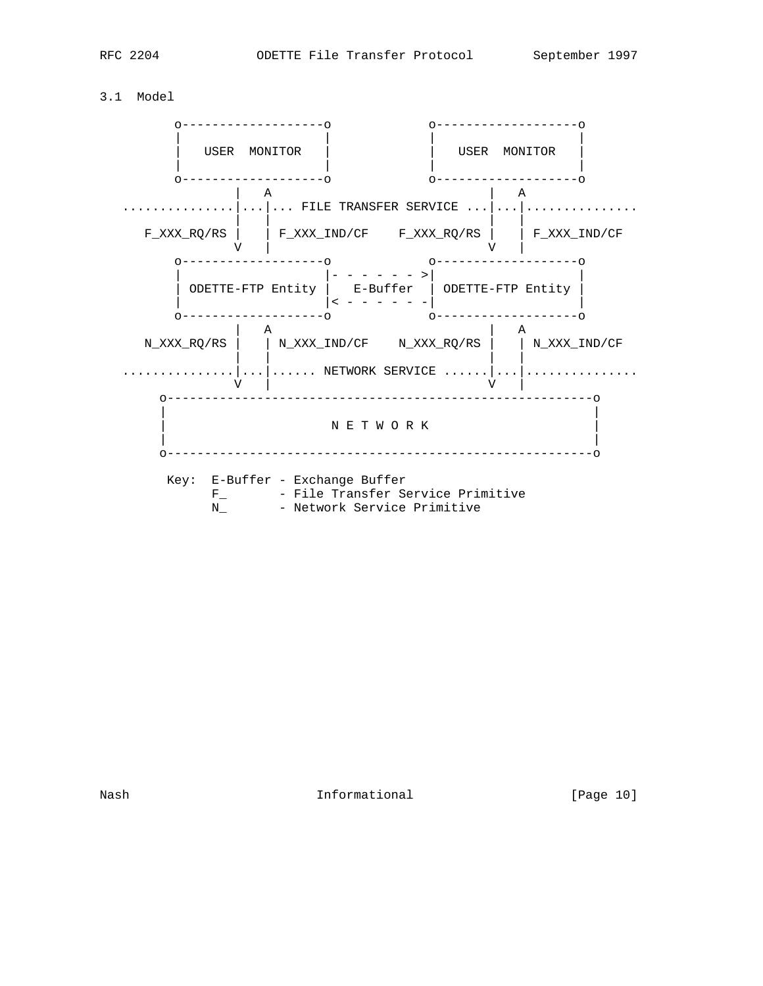# 3.1 Model



Nash **Informational Informational** [Page 10]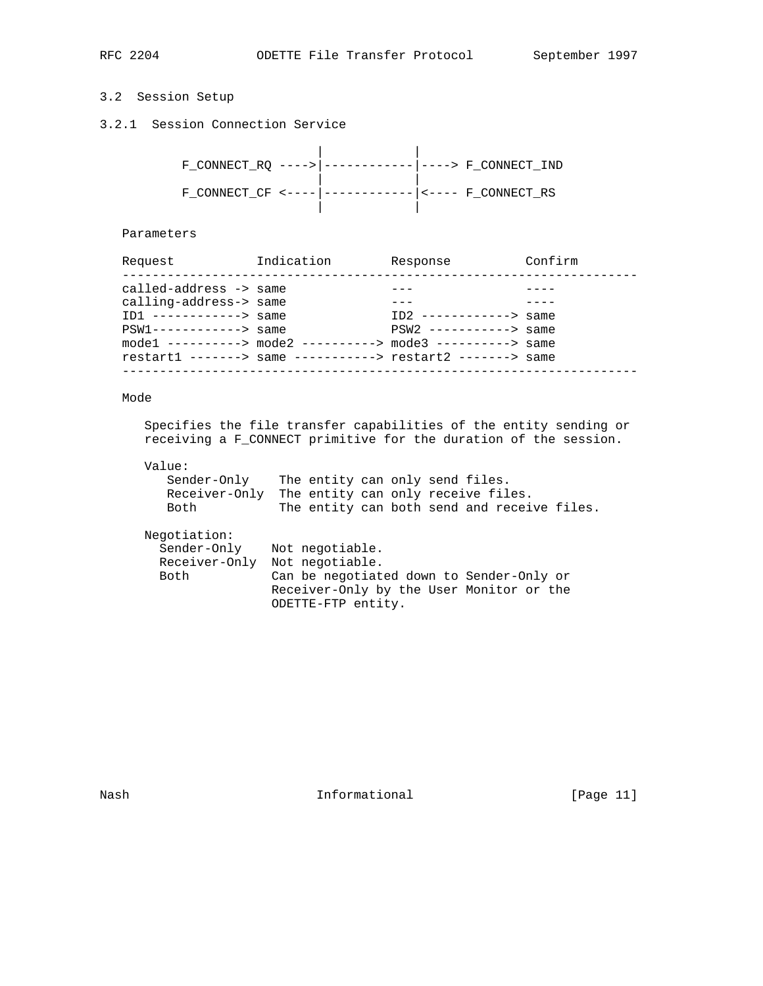# 3.2 Session Setup

3.2.1 Session Connection Service

| F CONNECT RQ ----> ----------- ----> F CONNECT IND |  |                                |
|----------------------------------------------------|--|--------------------------------|
| $F$ CONNECT CF <---- -                             |  | $-------- $ <---- F CONNECT RS |

## Parameters

| Request                   | Indication | Response                                                   | Confirm |
|---------------------------|------------|------------------------------------------------------------|---------|
|                           |            |                                                            |         |
| called-address -> same    |            |                                                            |         |
| calling-address-> same    |            |                                                            |         |
| $ID1$ ------------> same  |            | $ID2$ ------------> same                                   |         |
| $PSW1$ ------------> same |            | $PSW2$ -----------> same                                   |         |
|                           |            | mode1 ----------> mode2 ----------> mode3 ----------> same |         |
|                           |            | restart1 -------> same -----------> restart2 -------> same |         |
|                           |            |                                                            |         |

# Mode

 Specifies the file transfer capabilities of the entity sending or receiving a F\_CONNECT primitive for the duration of the session.

## Value:

| Sender-Onlv | The entity can only send files.                  |
|-------------|--------------------------------------------------|
|             | Receiver-Only The entity can only receive files. |
| Both        | The entity can both send and receive files.      |

## Negotiation:

| Sender-Only | Not negotiable.                          |
|-------------|------------------------------------------|
|             | Receiver-Only Not negotiable.            |
| Both        | Can be negotiated down to Sender-Only or |
|             | Receiver-Only by the User Monitor or the |
|             | ODETTE-FTP entity.                       |

Nash **Informational Informational** [Page 11]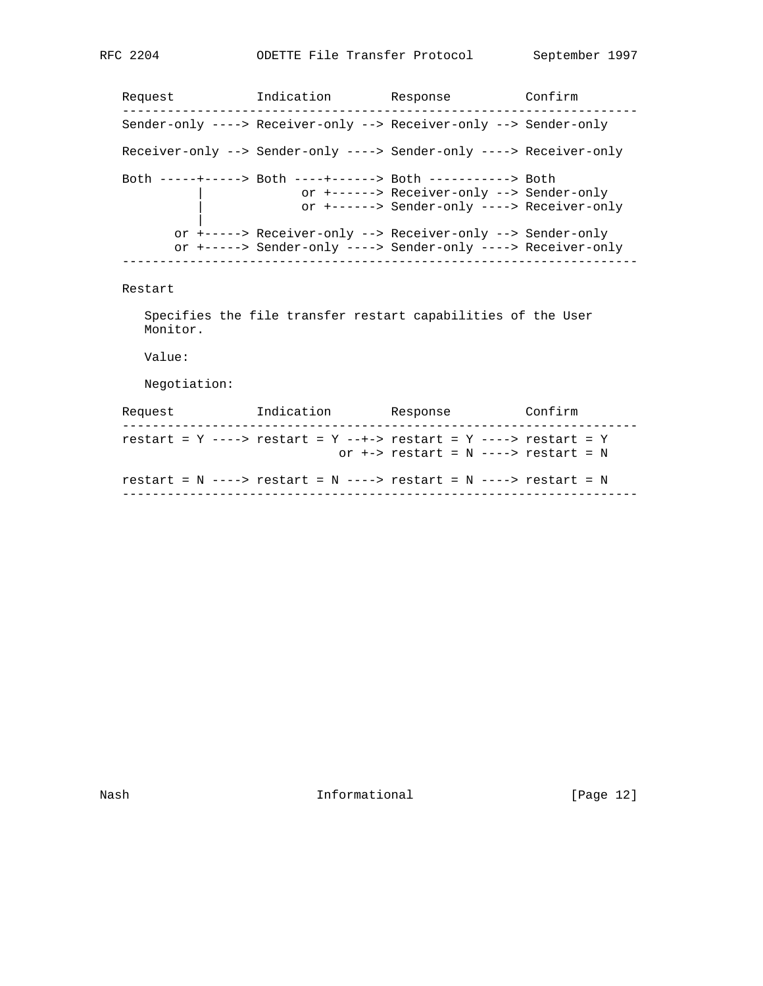Request 1ndication Response Confirm --------------------------------------------------------------------- Sender-only ----> Receiver-only --> Receiver-only --> Sender-only Receiver-only --> Sender-only ----> Sender-only ----> Receiver-only Both -----+-----> Both ----+------> Both -----------> Both | or +------> Receiver-only --> Sender-only | or +------> Sender-only ----> Receiver-only | or +-----> Receiver-only --> Receiver-only --> Sender-only or +-----> Sender-only ----> Sender-only ----> Receiver-only ---------------------------------------------------------------------

### Restart

 Specifies the file transfer restart capabilities of the User Monitor.

Value:

Negotiation:

| Request | Indication | Response                                                                                                               | Confirm |  |
|---------|------------|------------------------------------------------------------------------------------------------------------------------|---------|--|
|         |            | restart = $Y$ ----> restart = $Y$ --+-> restart = $Y$ ----> restart = $Y$<br>or $+-$ restart = $N$ ----> restart = $N$ |         |  |
|         |            | restart = $N$ ----> restart = $N$ ----> restart = $N$ ----> restart = $N$                                              |         |  |

Nash **Informational Informational** [Page 12]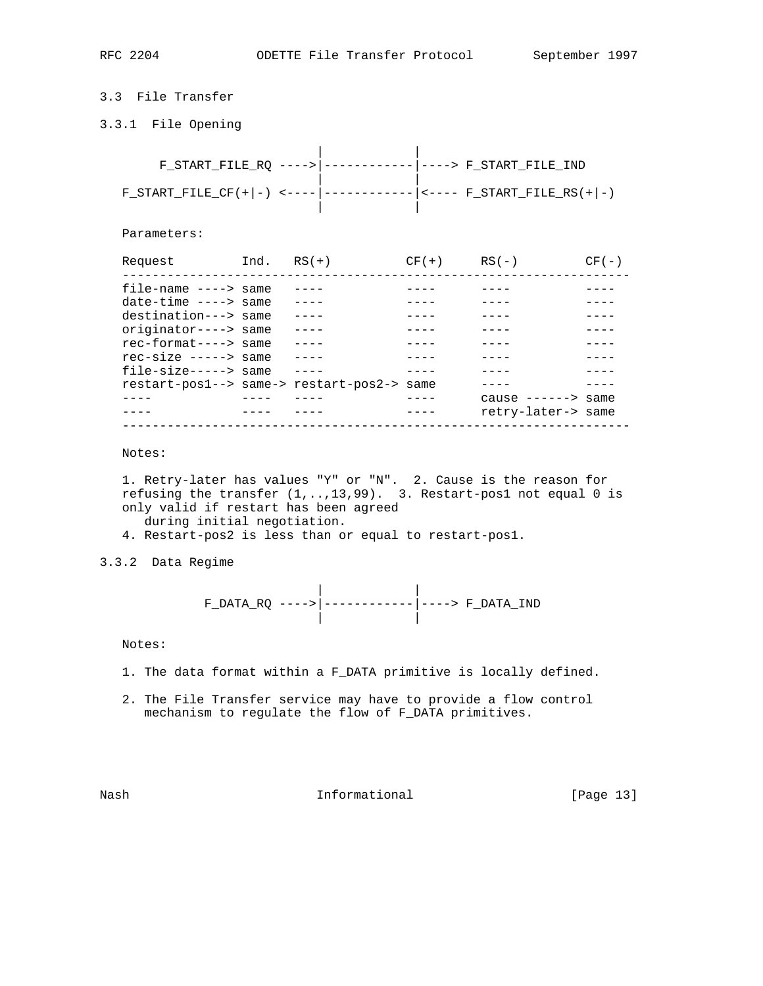# 3.3 File Transfer

3.3.1 File Opening

|  |  | F START FILE RO ----> $ -$ -------------- $ $ ----> F START FILE IND |
|--|--|----------------------------------------------------------------------|
|  |  | F_START_FILE_CF(+ -) <---- ------------ <---- F_START_FILE_RS(+ -)   |

| |

Parameters:

| Request                                    | $Ind.$ $RS(+)$ | $CF(+)$ | $RS(-)$            | (2F(R) |
|--------------------------------------------|----------------|---------|--------------------|--------|
| $file$ -name ----> same                    |                |         |                    |        |
| $date-time$ ----> same                     |                |         |                    |        |
| destination---> same                       |                |         |                    |        |
| originator----> same                       |                |         |                    |        |
| $rect-format---&$ same                     |                |         |                    |        |
| $recsize --- >> same$                      |                |         |                    |        |
| $file-size---> same$                       |                |         |                    |        |
| restart-pos1--> same-> restart-pos2-> same |                |         |                    |        |
|                                            |                |         | cause $--->$ same  |        |
|                                            |                |         | retry-later-> same |        |
|                                            |                |         |                    |        |

Notes:

 1. Retry-later has values "Y" or "N". 2. Cause is the reason for refusing the transfer (1,..,13,99). 3. Restart-pos1 not equal 0 is only valid if restart has been agreed during initial negotiation.

4. Restart-pos2 is less than or equal to restart-pos1.

3.3.2 Data Regime

 | | F\_DATA\_RQ ---->|------------|----> F\_DATA\_IND | |

Notes:

- 1. The data format within a F\_DATA primitive is locally defined.
- 2. The File Transfer service may have to provide a flow control mechanism to regulate the flow of F\_DATA primitives.

Nash **Informational Informational** [Page 13]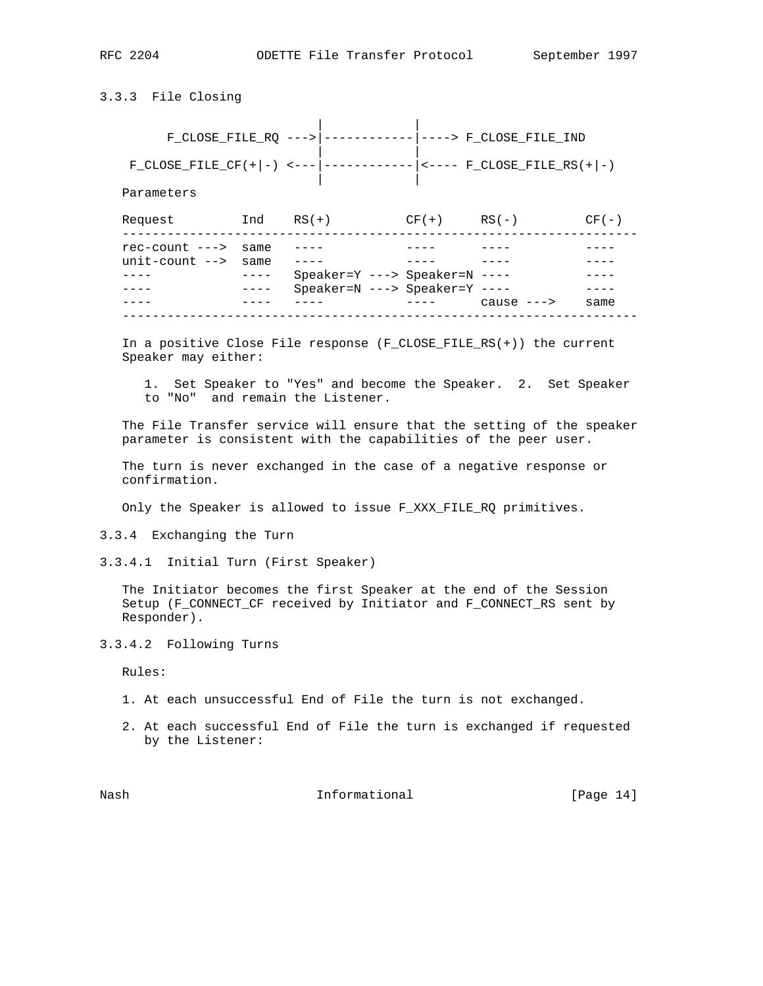# 3.3.3 File Closing

| |

| |

 F\_CLOSE\_FILE\_RQ --->|------------|----> F\_CLOSE\_FILE\_IND | | F\_CLOSE\_FILE\_CF(+|-) <---|------------|<---- F\_CLOSE\_FILE\_RS(+|-)

Parameters

| Request                                                    | Ind       | $RS(+)$                           | $CF(+)$ | $R.S( - )$  | $CF(-)$ |
|------------------------------------------------------------|-----------|-----------------------------------|---------|-------------|---------|
| $rec$ -count ---> same<br>$unit$ -count $\rightarrow$ same |           |                                   |         |             |         |
|                                                            | $- - - -$ | $Speaker=Y$ ---> $Speaker=N$ ---- |         |             |         |
|                                                            | ----      | Speaker=N ---> Speaker=Y ----     |         | cause $---$ | same    |
|                                                            |           |                                   |         |             |         |

 In a positive Close File response (F\_CLOSE\_FILE\_RS(+)) the current Speaker may either:

 1. Set Speaker to "Yes" and become the Speaker. 2. Set Speaker to "No" and remain the Listener.

 The File Transfer service will ensure that the setting of the speaker parameter is consistent with the capabilities of the peer user.

 The turn is never exchanged in the case of a negative response or confirmation.

Only the Speaker is allowed to issue F\_XXX\_FILE\_RQ primitives.

3.3.4 Exchanging the Turn

3.3.4.1 Initial Turn (First Speaker)

 The Initiator becomes the first Speaker at the end of the Session Setup (F\_CONNECT\_CF received by Initiator and F\_CONNECT\_RS sent by Responder).

3.3.4.2 Following Turns

Rules:

- 1. At each unsuccessful End of File the turn is not exchanged.
- 2. At each successful End of File the turn is exchanged if requested by the Listener:

Nash **Informational Informational** [Page 14]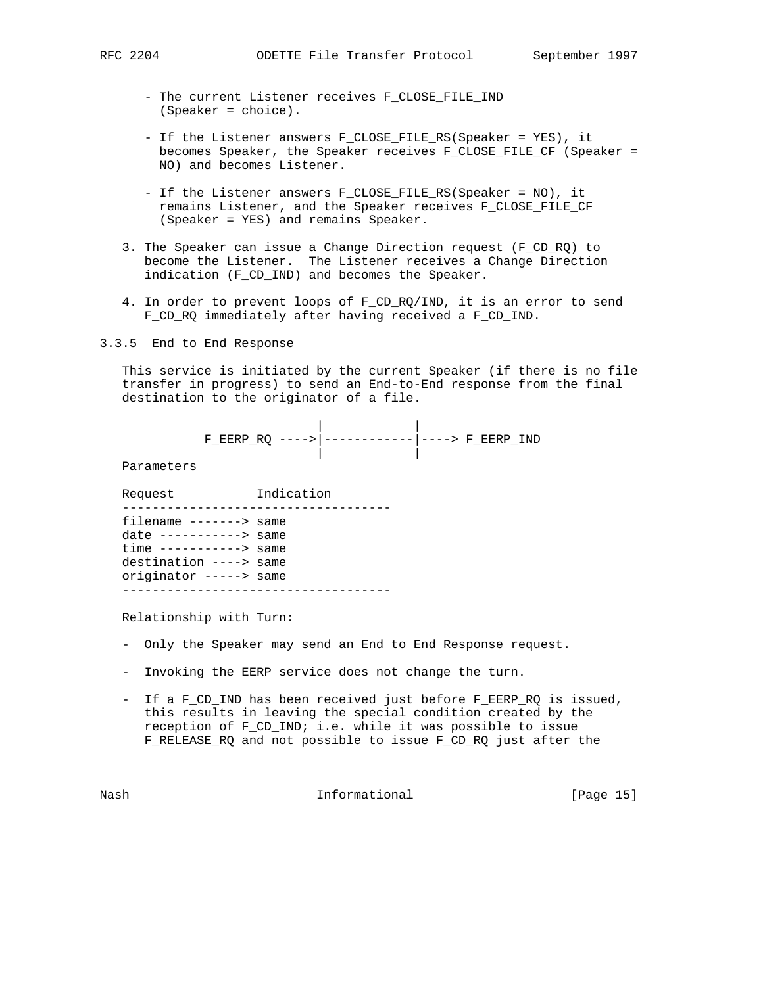- The current Listener receives F\_CLOSE\_FILE\_IND (Speaker = choice).
- If the Listener answers F\_CLOSE\_FILE\_RS(Speaker = YES), it becomes Speaker, the Speaker receives F\_CLOSE\_FILE\_CF (Speaker = NO) and becomes Listener.
- If the Listener answers F\_CLOSE\_FILE\_RS(Speaker = NO), it remains Listener, and the Speaker receives F\_CLOSE\_FILE\_CF (Speaker = YES) and remains Speaker.
- 3. The Speaker can issue a Change Direction request (F\_CD\_RQ) to become the Listener. The Listener receives a Change Direction indication (F\_CD\_IND) and becomes the Speaker.
- 4. In order to prevent loops of F\_CD\_RQ/IND, it is an error to send F\_CD\_RQ immediately after having received a F\_CD\_IND.
- 3.3.5 End to End Response

 This service is initiated by the current Speaker (if there is no file transfer in progress) to send an End-to-End response from the final destination to the originator of a file.

$$
\texttt{F\_EERP\_RQ} \ \texttt{---} \texttt{---} \texttt{---} \texttt{---} \texttt{---} \texttt{--} \texttt{F\_EERP\_IND}
$$

Parameters

Request Indication

| filename -------> same   |  |
|--------------------------|--|
| date $------>$ same      |  |
| $time$ -----------> same |  |
| destination ----> same   |  |
| originator -----> same   |  |
|                          |  |

Relationship with Turn:

- Only the Speaker may send an End to End Response request.
- Invoking the EERP service does not change the turn.
- If a F\_CD\_IND has been received just before F\_EERP\_RQ is issued, this results in leaving the special condition created by the reception of F\_CD\_IND; i.e. while it was possible to issue F\_RELEASE\_RQ and not possible to issue F\_CD\_RQ just after the

Nash **Informational Informational** [Page 15]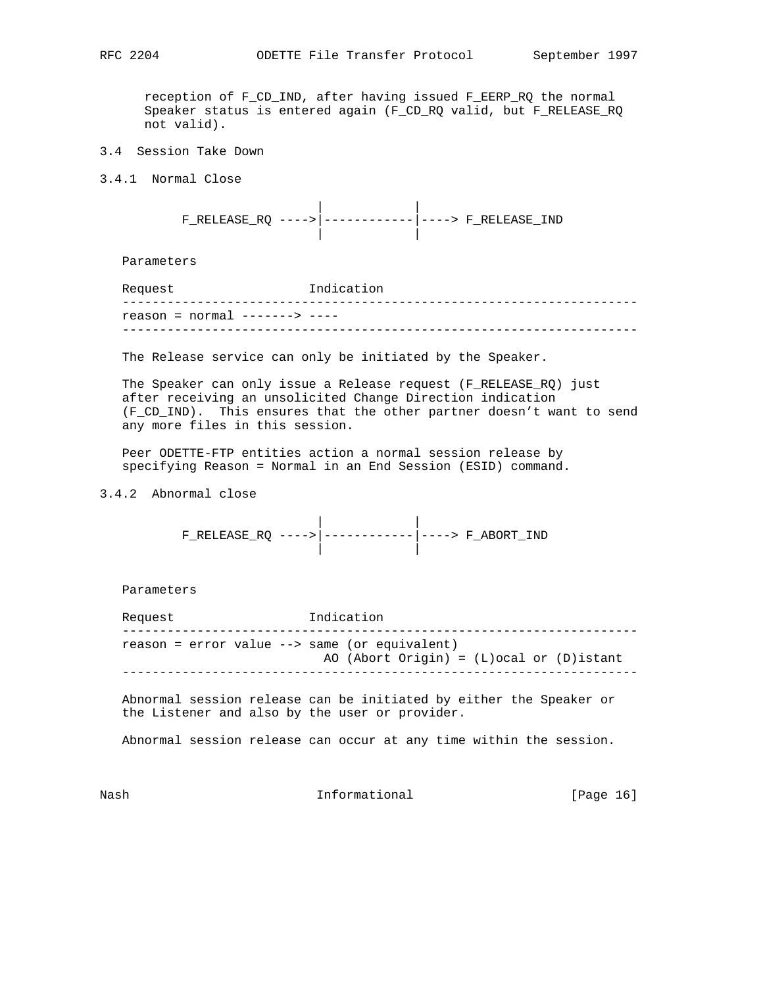reception of F\_CD\_IND, after having issued F\_EERP\_RQ the normal Speaker status is entered again (F\_CD\_RQ valid, but F\_RELEASE\_RQ not valid).

- 3.4 Session Take Down
- 3.4.1 Normal Close

 | | F\_RELEASE\_RQ ---->|------------|----> F\_RELEASE\_IND | |

Parameters

| Request                        | Indication |
|--------------------------------|------------|
| $reason = normal$ ------> ---- |            |
|                                |            |

The Release service can only be initiated by the Speaker.

 The Speaker can only issue a Release request (F\_RELEASE\_RQ) just after receiving an unsolicited Change Direction indication (F\_CD\_IND). This ensures that the other partner doesn't want to send any more files in this session.

 Peer ODETTE-FTP entities action a normal session release by specifying Reason = Normal in an End Session (ESID) command.

3.4.2 Abnormal close

 | | F\_RELEASE\_RQ ---->|------------|----> F\_ABORT\_IND | |

Parameters

Request 1ndication -------------------------------------------------------------------- reason = error value --> same (or equivalent) AO (Abort Origin) = (L)ocal or (D)istant ---------------------------------------------------------------------

 Abnormal session release can be initiated by either the Speaker or the Listener and also by the user or provider.

Abnormal session release can occur at any time within the session.

Nash **Informational Informational** [Page 16]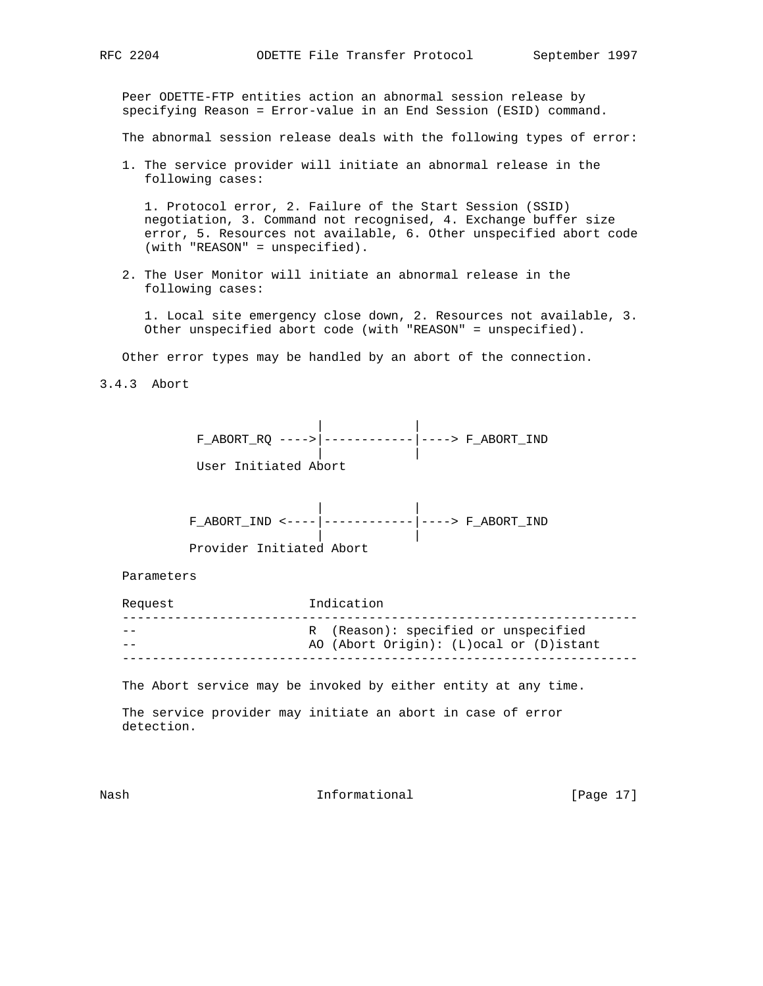Peer ODETTE-FTP entities action an abnormal session release by specifying Reason = Error-value in an End Session (ESID) command.

The abnormal session release deals with the following types of error:

 1. The service provider will initiate an abnormal release in the following cases:

 1. Protocol error, 2. Failure of the Start Session (SSID) negotiation, 3. Command not recognised, 4. Exchange buffer size error, 5. Resources not available, 6. Other unspecified abort code (with "REASON" = unspecified).

 2. The User Monitor will initiate an abnormal release in the following cases:

 1. Local site emergency close down, 2. Resources not available, 3. Other unspecified abort code (with "REASON" = unspecified).

Other error types may be handled by an abort of the connection.

3.4.3 Abort



 | | F\_ABORT\_IND <----|------------|----> F\_ABORT\_IND | |

Provider Initiated Abort

Parameters

| Request | Indication                                                                        |
|---------|-----------------------------------------------------------------------------------|
| --      | R (Reason): specified or unspecified<br>AO (Abort Origin): (L) ocal or (D) istant |
|         |                                                                                   |

The Abort service may be invoked by either entity at any time.

 The service provider may initiate an abort in case of error detection.

Nash **Informational Informational** [Page 17]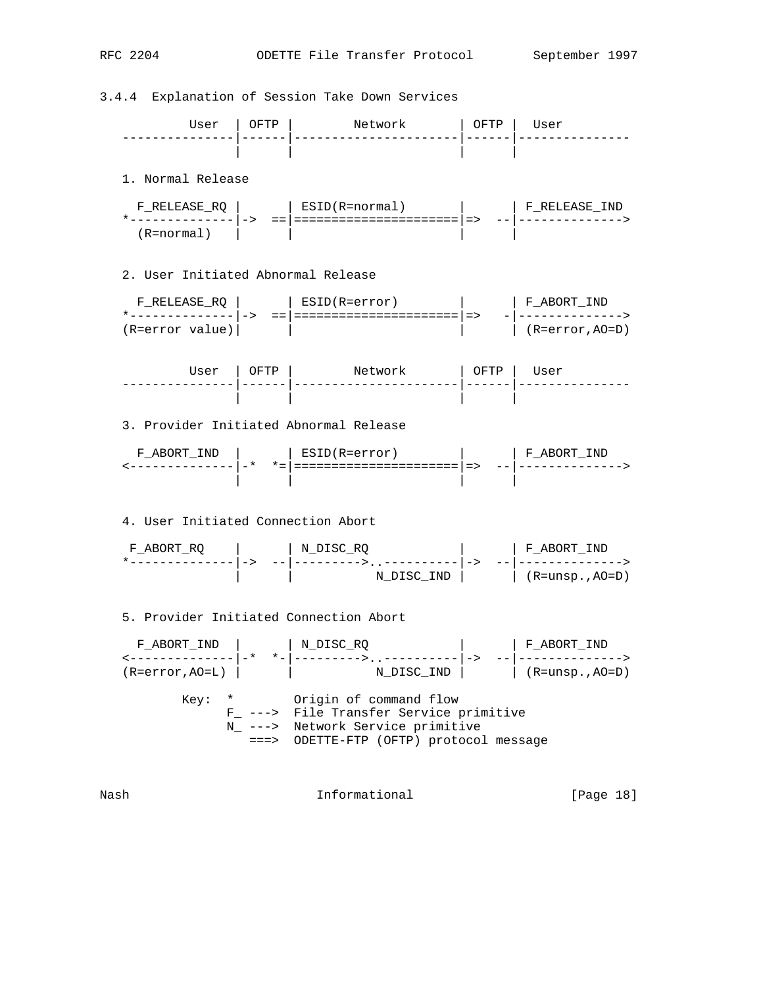3.4.4 Explanation of Session Take Down Services User | OFTP | Network | OFTP | User ---------------|------|----------------------|------|--------------- | | | | 1. Normal Release F\_RELEASE\_RQ | | ESID(R=normal) | | F\_RELEASE\_IND \*--------------|-> ==|======================|=> --|--------------> (R=normal) | | | | 2. User Initiated Abnormal Release F\_RELEASE\_RQ | | ESID(R=error) | | F\_ABORT\_IND \*--------------|-> ==|======================|=> -|--------------> (R=error value)| | | | (R=error,AO=D) User | OFTP | Network | OFTP | User ---------------|------|----------------------|------|--------------- | | | | 3. Provider Initiated Abnormal Release F\_ABORT\_IND | | ESID(R=error) | | F\_ABORT\_IND <--------------|-\* \*=|======================|=> --|--------------> | | | | 4. User Initiated Connection Abort F\_ABORT\_RQ | | N\_DISC\_RQ | | F\_ABORT\_IND \*--------------|-> --|--------->..----------|-> --|-------------->  $N$  DISC IND  $|$   $(R=unsp.,AO=D)$  5. Provider Initiated Connection Abort F\_ABORT\_IND | | N\_DISC\_RQ | | F\_ABORT\_IND <--------------|-\* \*-|--------->..----------|-> --|-------------->  $(R=error, AO=L)$  |  $N_DISC\_IND$  | (R=unsp.,AO=D) Key: \* Origin of command flow F\_ ---> File Transfer Service primitive N\_ ---> Network Service primitive ===> ODETTE-FTP (OFTP) protocol message Nash **Informational Informational** [Page 18]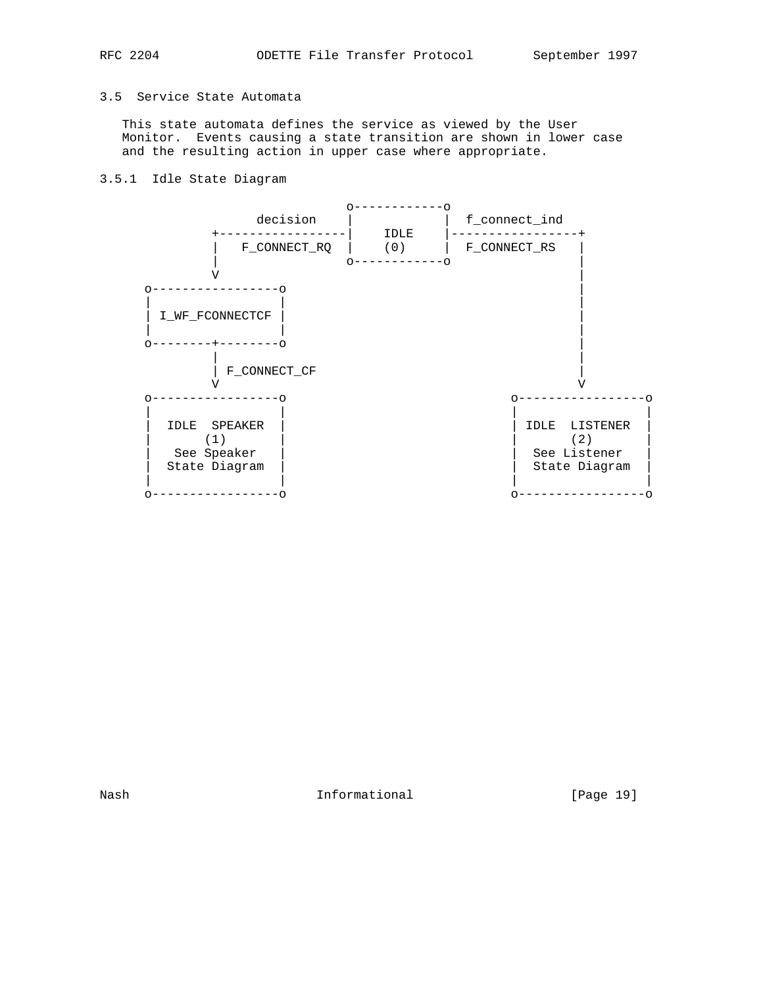## 3.5 Service State Automata

 This state automata defines the service as viewed by the User Monitor. Events causing a state transition are shown in lower case and the resulting action in upper case where appropriate.

## 3.5.1 Idle State Diagram



Nash Informational [Page 19]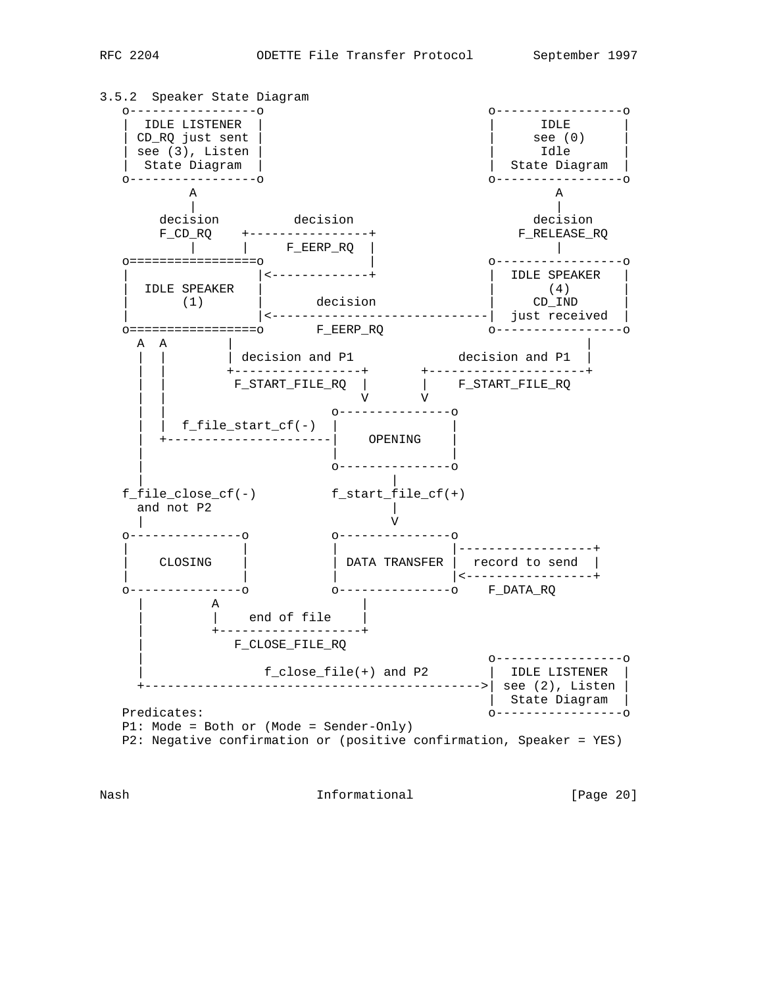

Nash **Informational Informational** [Page 20]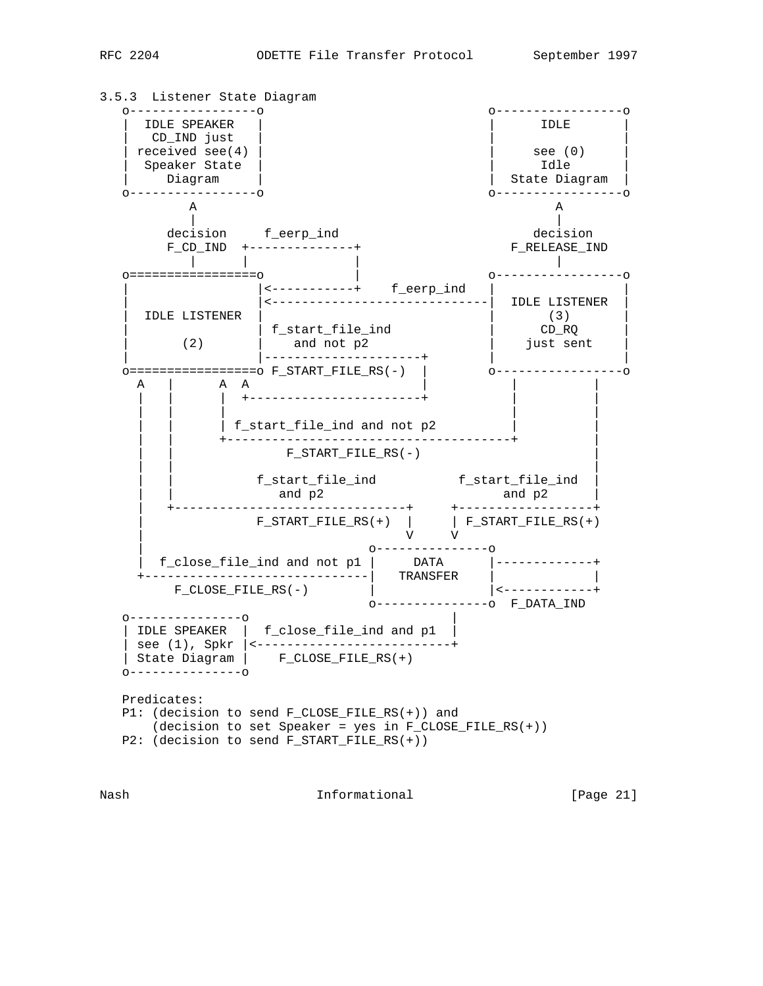



Nash **Informational Informational** [Page 21]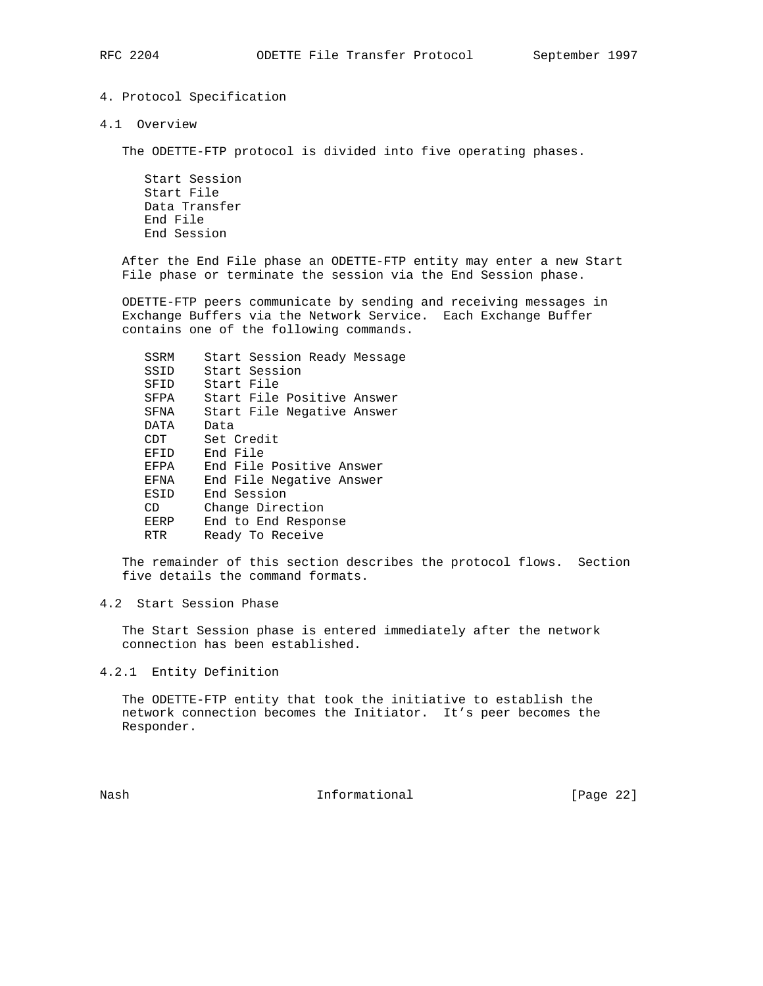# 4. Protocol Specification

4.1 Overview

The ODETTE-FTP protocol is divided into five operating phases.

 Start Session Start File Data Transfer End File End Session

 After the End File phase an ODETTE-FTP entity may enter a new Start File phase or terminate the session via the End Session phase.

 ODETTE-FTP peers communicate by sending and receiving messages in Exchange Buffers via the Network Service. Each Exchange Buffer contains one of the following commands.

| SSRM | Start Session Ready Message |
|------|-----------------------------|
| SSID | Start Session               |
| SFID | Start File                  |
| SFPA | Start File Positive Answer  |
| SFNA | Start File Negative Answer  |
| DATA | Data                        |
| CDT  | Set Credit                  |
| EFID | End File                    |
| EFPA | End File Positive Answer    |
| EFNA | End File Negative Answer    |
| ESID | End Session                 |
| CD   | Change Direction            |
| EERP | End to End Response         |
| RTR  | Ready To Receive            |

 The remainder of this section describes the protocol flows. Section five details the command formats.

## 4.2 Start Session Phase

 The Start Session phase is entered immediately after the network connection has been established.

4.2.1 Entity Definition

 The ODETTE-FTP entity that took the initiative to establish the network connection becomes the Initiator. It's peer becomes the Responder.

Nash **Informational Informational** [Page 22]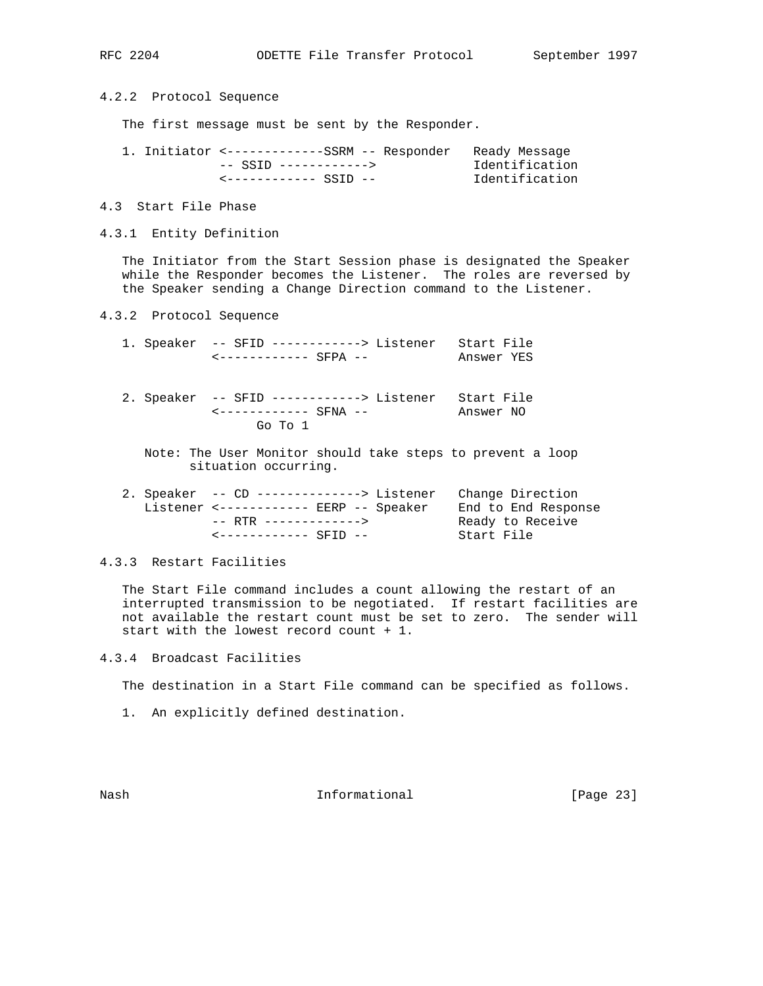4.2.2 Protocol Sequence

The first message must be sent by the Responder.

| 1. Initiator <------------SSRM -- Responder Ready Message |                |
|-----------------------------------------------------------|----------------|
| -- SSTD ------------>                                     | Identification |
| <------------ SSTD --                                     | Identification |

- 4.3 Start File Phase
- 4.3.1 Entity Definition

 The Initiator from the Start Session phase is designated the Speaker while the Responder becomes the Listener. The roles are reversed by the Speaker sending a Change Direction command to the Listener.

- 4.3.2 Protocol Sequence
	- 1. Speaker -- SFID ------------> Listener Start File <------------ SFPA -- Answer YES
	- 2. Speaker -- SFID ------------> Listener Start File<br>  $\leftarrow$ ------------ SFNA -- Answer NO <------------ SFNA -- Answer NO Go To 1
		- Note: The User Monitor should take steps to prevent a loop situation occurring.

| 2. Speaker -- CD --------------> Listener Change Direction |                     |
|------------------------------------------------------------|---------------------|
| Listener <----------- EERP -- Speaker                      | End to End Response |
| -- RTR ------------->                                      | Ready to Receive    |
| <------------ SFTD --                                      | Start File          |

## 4.3.3 Restart Facilities

 The Start File command includes a count allowing the restart of an interrupted transmission to be negotiated. If restart facilities are not available the restart count must be set to zero. The sender will start with the lowest record count + 1.

4.3.4 Broadcast Facilities

The destination in a Start File command can be specified as follows.

1. An explicitly defined destination.

Nash **Informational Informational** [Page 23]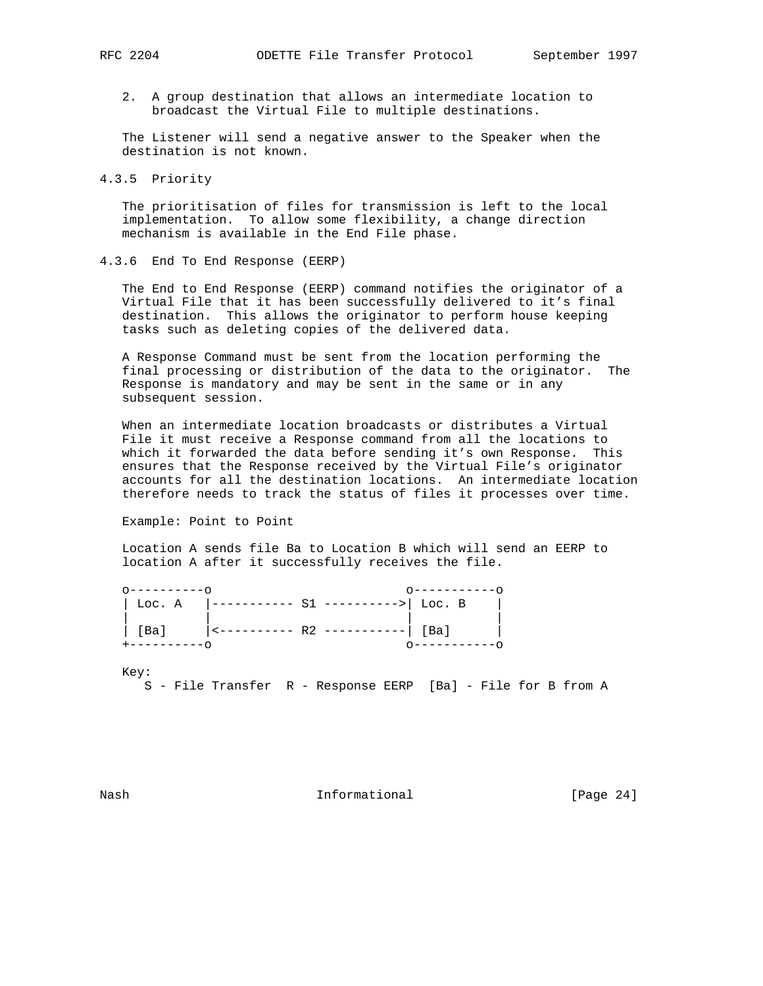2. A group destination that allows an intermediate location to broadcast the Virtual File to multiple destinations.

 The Listener will send a negative answer to the Speaker when the destination is not known.

4.3.5 Priority

 The prioritisation of files for transmission is left to the local implementation. To allow some flexibility, a change direction mechanism is available in the End File phase.

4.3.6 End To End Response (EERP)

 The End to End Response (EERP) command notifies the originator of a Virtual File that it has been successfully delivered to it's final destination. This allows the originator to perform house keeping tasks such as deleting copies of the delivered data.

 A Response Command must be sent from the location performing the final processing or distribution of the data to the originator. The Response is mandatory and may be sent in the same or in any subsequent session.

 When an intermediate location broadcasts or distributes a Virtual File it must receive a Response command from all the locations to which it forwarded the data before sending it's own Response. This ensures that the Response received by the Virtual File's originator accounts for all the destination locations. An intermediate location therefore needs to track the status of files it processes over time.

Example: Point to Point

 Location A sends file Ba to Location B which will send an EERP to location A after it successfully receives the file.

| Loc. A       | $ ----- S1$ ---------> R1 ---------> Loc. B |             |
|--------------|---------------------------------------------|-------------|
| [Ba]         |                                             |             |
| +----------- |                                             | 0---------- |

Key:

S - File Transfer R - Response EERP [Ba] - File for B from A

Nash **Informational Informational** [Page 24]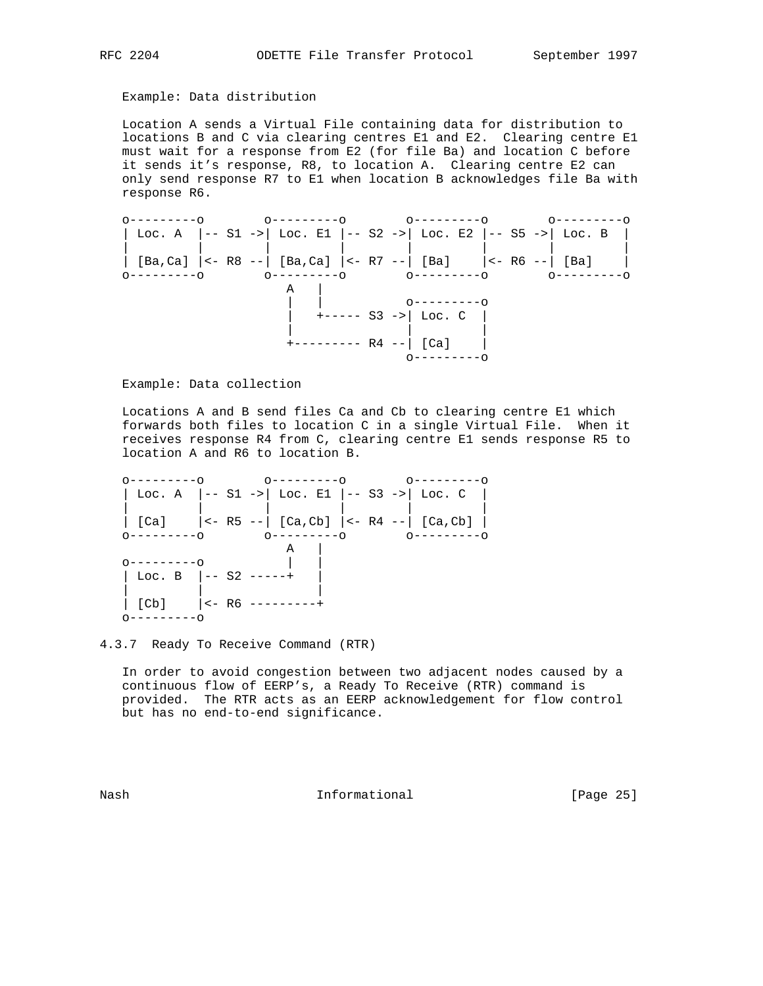## Example: Data distribution

 Location A sends a Virtual File containing data for distribution to locations B and C via clearing centres E1 and E2. Clearing centre E1 must wait for a response from E2 (for file Ba) and location C before it sends it's response, R8, to location A. Clearing centre E2 can only send response R7 to E1 when location B acknowledges file Ba with response R6.



Example: Data collection

 Locations A and B send files Ca and Cb to clearing centre E1 which forwards both files to location C in a single Virtual File. When it receives response R4 from C, clearing centre E1 sends response R5 to location A and R6 to location B.

 o---------o o---------o o---------o | Loc. A |-- S1 ->| Loc. E1 |-- S3 ->| Loc. C | | | | | | |  $|$  [Ca]  $|$  <- R5 -- $|$  [Ca,Cb]  $|$  <- R4 -- $|$  [Ca,Cb]  $|$  o---------o o---------o o---------o  $\overline{A}$  | o---------o | |  $\vert$  Loc. B  $\vert$  -- S2 -----+ | | |  $|$  [Cb]  $|$  <- R6 ---------+ o---------o

4.3.7 Ready To Receive Command (RTR)

 In order to avoid congestion between two adjacent nodes caused by a continuous flow of EERP's, a Ready To Receive (RTR) command is provided. The RTR acts as an EERP acknowledgement for flow control but has no end-to-end significance.

Nash **Informational Informational** [Page 25]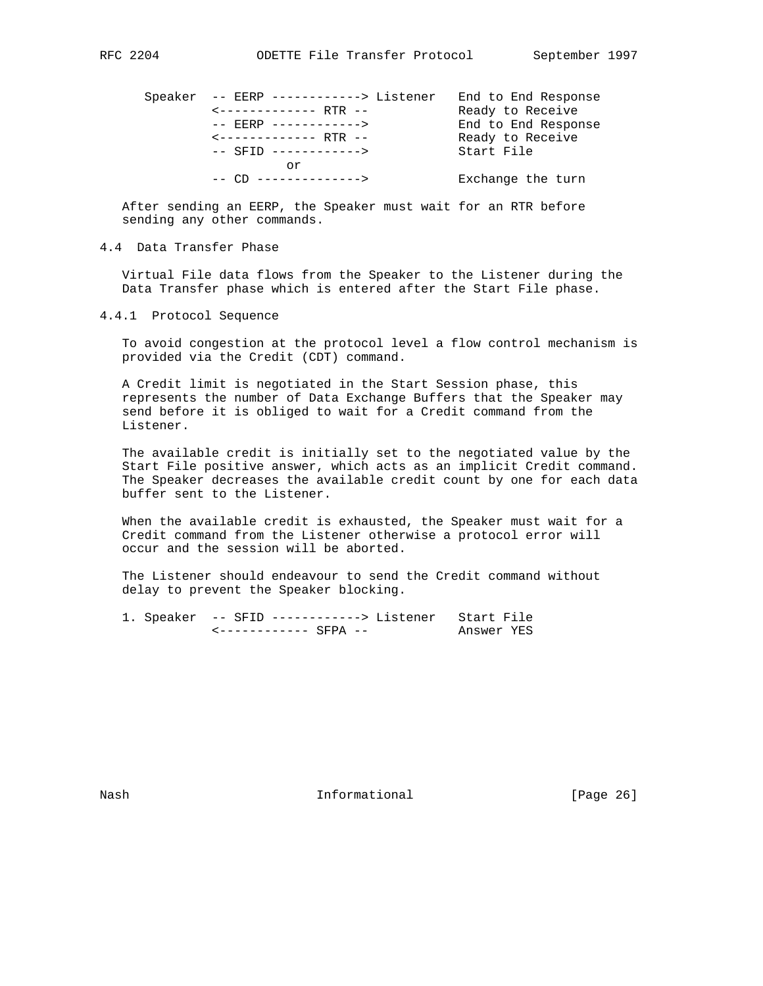| Speaker -- EERP ------------> Listener | End to End Response |
|----------------------------------------|---------------------|
| <------------- RTR --                  | Ready to Receive    |
| -- EERP ------------>                  | End to End Response |
| <------------- RTR --                  | Ready to Receive    |
| $--$ SFID $--------$                   | Start File          |
| or                                     |                     |
|                                        | Exchange the turn   |

 After sending an EERP, the Speaker must wait for an RTR before sending any other commands.

## 4.4 Data Transfer Phase

 Virtual File data flows from the Speaker to the Listener during the Data Transfer phase which is entered after the Start File phase.

## 4.4.1 Protocol Sequence

 To avoid congestion at the protocol level a flow control mechanism is provided via the Credit (CDT) command.

 A Credit limit is negotiated in the Start Session phase, this represents the number of Data Exchange Buffers that the Speaker may send before it is obliged to wait for a Credit command from the Listener.

 The available credit is initially set to the negotiated value by the Start File positive answer, which acts as an implicit Credit command. The Speaker decreases the available credit count by one for each data buffer sent to the Listener.

 When the available credit is exhausted, the Speaker must wait for a Credit command from the Listener otherwise a protocol error will occur and the session will be aborted.

 The Listener should endeavour to send the Credit command without delay to prevent the Speaker blocking.

 1. Speaker -- SFID ------------> Listener Start File <------------ SFPA -- Answer YES

Nash **Informational Informational** [Page 26]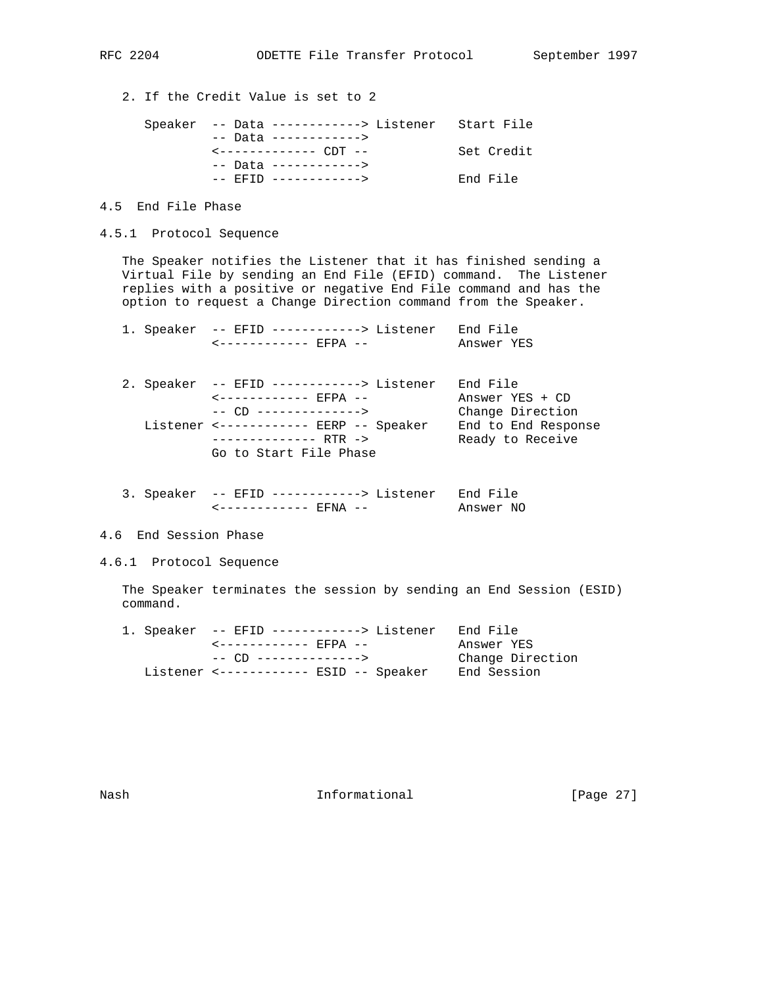2. If the Credit Value is set to 2

| Speaker -- Data ------------> Listener Start File |            |
|---------------------------------------------------|------------|
| -- Data ------------>                             |            |
| $\leftarrow$ - - - - - - - - - - - CDT - -        | Set Credit |
| -- Data ------------>                             |            |
| $--$ FFTD $------$                                | End File   |

- 4.5 End File Phase
- 4.5.1 Protocol Sequence

 The Speaker notifies the Listener that it has finished sending a Virtual File by sending an End File (EFID) command. The Listener replies with a positive or negative End File command and has the option to request a Change Direction command from the Speaker.

|  | 1. Speaker -- EFID ------------> Listener<br><------------ RFPA --                                                                                                                                       | End File<br>Answer YES                                                                     |
|--|----------------------------------------------------------------------------------------------------------------------------------------------------------------------------------------------------------|--------------------------------------------------------------------------------------------|
|  | 2. Speaker -- EFID ------------> Listener<br><------------ EFPA --<br>$--- CD --- --- --- --- --- --- --- $<br>Listener <------------ EERP -- Speaker<br>-------------- RTR -><br>Go to Start File Phase | End File<br>Answer YES + CD<br>Change Direction<br>End to End Response<br>Ready to Receive |
|  |                                                                                                                                                                                                          |                                                                                            |

- 3. Speaker -- EFID ------------> Listener End File <------------ EFNA -- Answer NO
- 4.6 End Session Phase
- 4.6.1 Protocol Sequence

 The Speaker terminates the session by sending an End Session (ESID) command.

| 1. Speaker -- EFID ------------> Listener End File |                  |
|----------------------------------------------------|------------------|
| <----------- EFPA --                               | Answer YES       |
|                                                    | Change Direction |
| Listener <------------ ESID -- Speaker             | End Session      |

Nash **Informational Informational** [Page 27]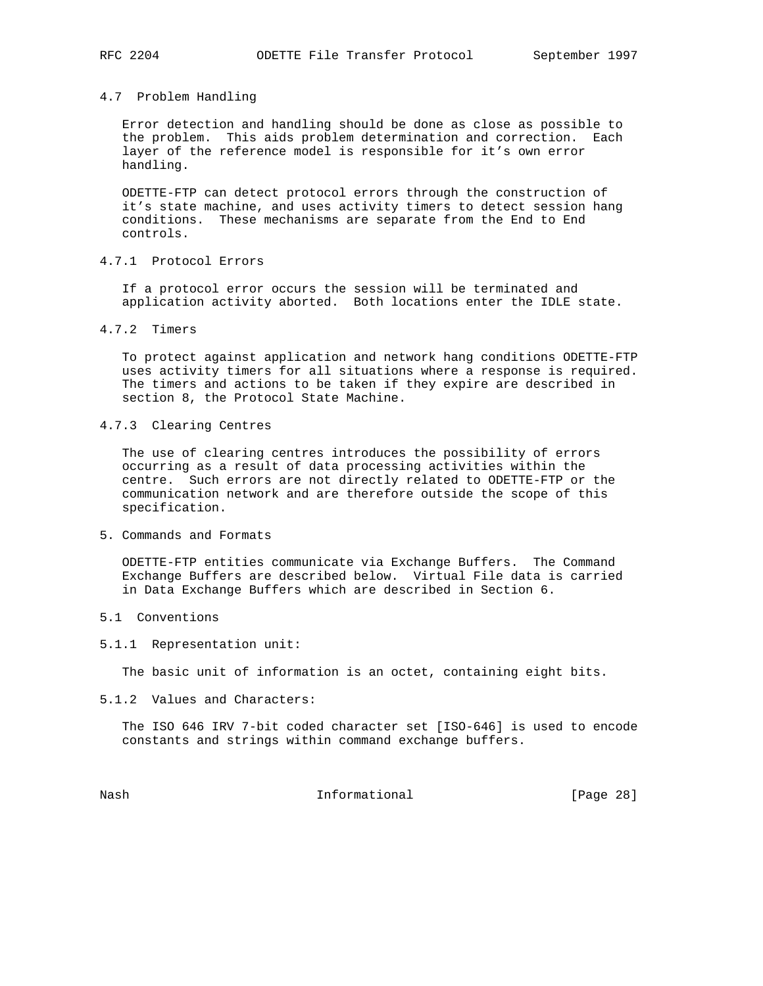## 4.7 Problem Handling

 Error detection and handling should be done as close as possible to the problem. This aids problem determination and correction. Each layer of the reference model is responsible for it's own error handling.

 ODETTE-FTP can detect protocol errors through the construction of it's state machine, and uses activity timers to detect session hang conditions. These mechanisms are separate from the End to End controls.

4.7.1 Protocol Errors

 If a protocol error occurs the session will be terminated and application activity aborted. Both locations enter the IDLE state.

4.7.2 Timers

 To protect against application and network hang conditions ODETTE-FTP uses activity timers for all situations where a response is required. The timers and actions to be taken if they expire are described in section 8, the Protocol State Machine.

4.7.3 Clearing Centres

 The use of clearing centres introduces the possibility of errors occurring as a result of data processing activities within the centre. Such errors are not directly related to ODETTE-FTP or the communication network and are therefore outside the scope of this specification.

5. Commands and Formats

 ODETTE-FTP entities communicate via Exchange Buffers. The Command Exchange Buffers are described below. Virtual File data is carried in Data Exchange Buffers which are described in Section 6.

- 5.1 Conventions
- 5.1.1 Representation unit:

The basic unit of information is an octet, containing eight bits.

5.1.2 Values and Characters:

 The ISO 646 IRV 7-bit coded character set [ISO-646] is used to encode constants and strings within command exchange buffers.

Nash Informational [Page 28]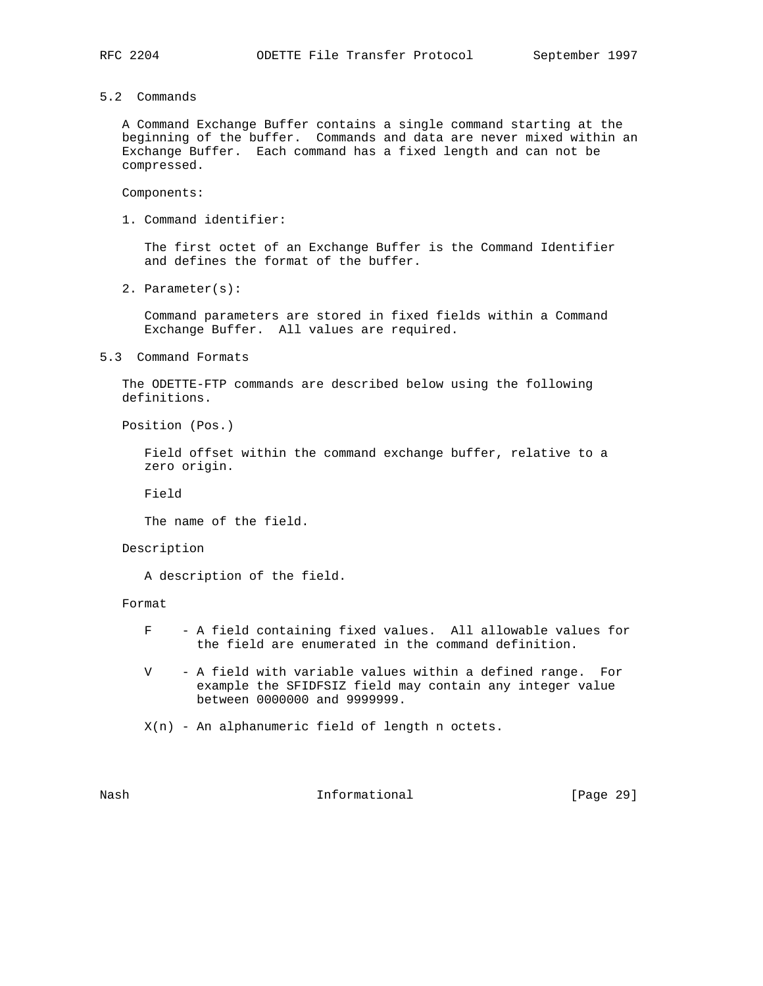5.2 Commands

 A Command Exchange Buffer contains a single command starting at the beginning of the buffer. Commands and data are never mixed within an Exchange Buffer. Each command has a fixed length and can not be compressed.

Components:

1. Command identifier:

 The first octet of an Exchange Buffer is the Command Identifier and defines the format of the buffer.

2. Parameter(s):

 Command parameters are stored in fixed fields within a Command Exchange Buffer. All values are required.

5.3 Command Formats

 The ODETTE-FTP commands are described below using the following definitions.

Position (Pos.)

 Field offset within the command exchange buffer, relative to a zero origin.

Field

The name of the field.

Description

A description of the field.

Format

- F A field containing fixed values. All allowable values for the field are enumerated in the command definition.
- V A field with variable values within a defined range. For example the SFIDFSIZ field may contain any integer value between 0000000 and 9999999.
- X(n) An alphanumeric field of length n octets.

Nash **Informational Informational** [Page 29]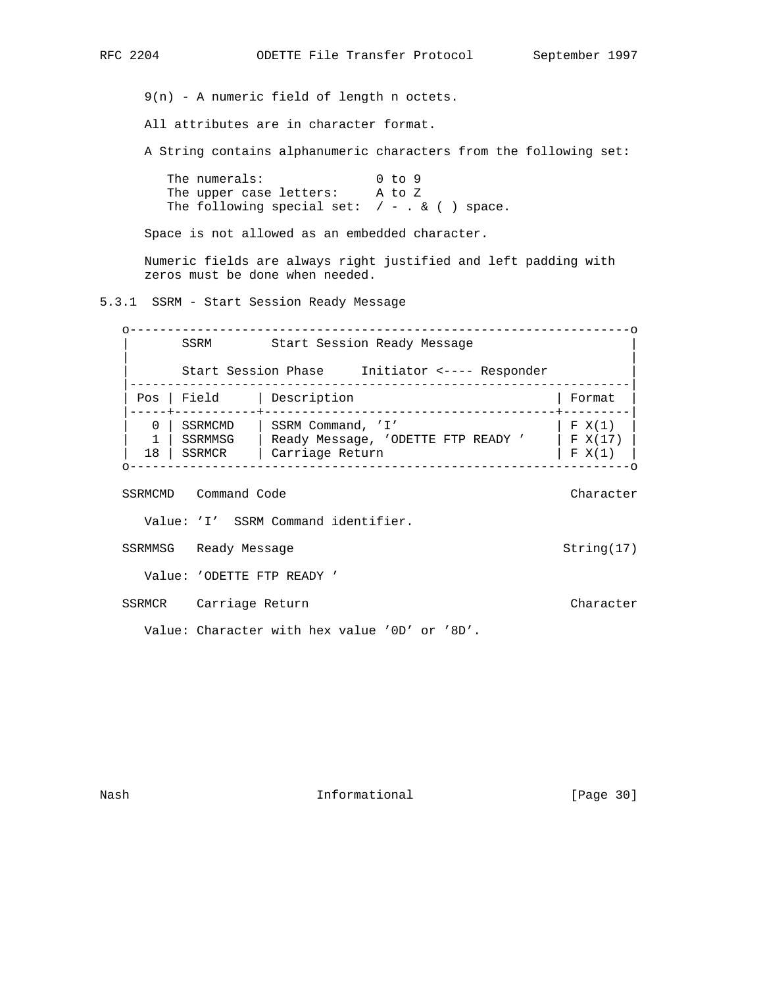9(n) - A numeric field of length n octets.

All attributes are in character format.

A String contains alphanumeric characters from the following set:

The numerals: 0 to 9 The upper case letters: A to Z The following special set:  $/ - . & ( )$  space.

Space is not allowed as an embedded character.

 Numeric fields are always right justified and left padding with zeros must be done when needed.

5.3.1 SSRM - Start Session Ready Message

 o-------------------------------------------------------------------o SSRM Start Session Ready Message | | | Start Session Phase Initiator <---- Responder | |-------------------------------------------------------------------| | Pos | Field | Description | Format |-----+-----------+---------------------------------------+---------| | 0 | SSRMCMD | SSRM Command, 'I' | F X(1) | | 1 | SSRMMSG | Ready Message, 'ODETTE FTP READY ' | F X(17) | | 18 | SSRMCR | Carriage Return | F X(1) | o-------------------------------------------------------------------o

SSRMCMD Command Code Character Character Character

Value: 'I' SSRM Command identifier.

SSRMMSG Ready Message String(17)

Value: 'ODETTE FTP READY '

SSRMCR Carriage Return Character Character

Value: Character with hex value '0D' or '8D'.

Nash **Informational Informational** [Page 30]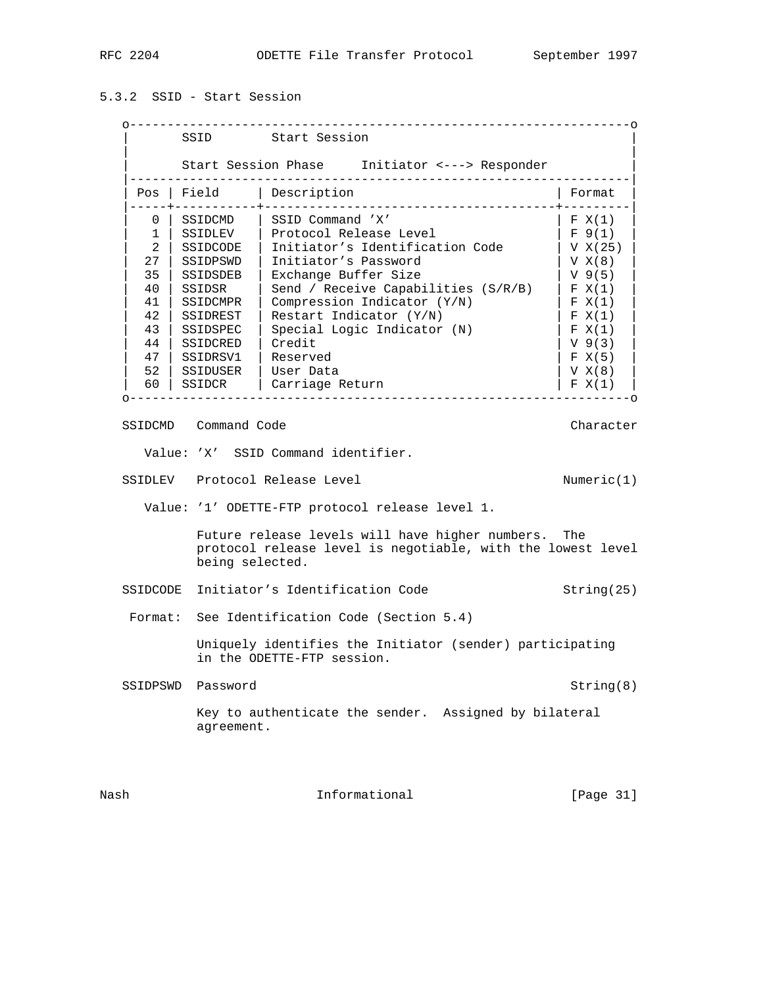# 5.3.2 SSID - Start Session

|                     |                      | Start Session Phase Initiator <---> Responder                                                                      |                         |
|---------------------|----------------------|--------------------------------------------------------------------------------------------------------------------|-------------------------|
|                     | Pos   Field          | Description                                                                                                        | Format                  |
| 0                   | SSIDCMD              | SSID Command 'X'                                                                                                   | F X(1)                  |
| $\mathbf{1}$        | SSIDLEV              | Protocol Release Level                                                                                             | F 9(1)                  |
| 2                   | SSIDCODE             | Initiator's Identification Code                                                                                    | V X(25)                 |
| 27                  | SSIDPSWD             | Initiator's Password                                                                                               | V X(8)                  |
| 35                  | SSIDSDEB             | Exchange Buffer Size                                                                                               | $V_{9(5)}$              |
| 40                  | SSIDSR               | Send / Receive Capabilities (S/R/B)                                                                                | F X(1)                  |
| 41                  | SSIDCMPR             | Compression Indicator (Y/N)                                                                                        | F X(1)                  |
| 42                  | SSIDREST             | Restart Indicator (Y/N)                                                                                            | F X(1)                  |
| 43                  | SSIDSPEC             | Special Logic Indicator (N)                                                                                        | F X(1)                  |
|                     | 44   SSIDCRED        | Credit                                                                                                             | $V$ 9(3)                |
|                     | 47   SSIDRSV1        | Reserved                                                                                                           | F X(5)                  |
|                     | 52   SSIDUSER        | User Data                                                                                                          | V X(8)                  |
|                     | 60 SSIDCR            | Carriage Return                                                                                                    | F X(1)                  |
|                     | SSIDCMD Command Code |                                                                                                                    |                         |
|                     |                      | Value: 'X' SSID Command identifier.<br>SSIDLEV Protocol Release Level                                              |                         |
|                     |                      | Value: '1' ODETTE-FTP protocol release level 1.                                                                    | Character<br>Numeric(1) |
|                     | being selected.      | Future release levels will have higher numbers. The<br>protocol release level is negotiable, with the lowest level |                         |
|                     |                      | Initiator's Identification Code                                                                                    | String(25)              |
|                     |                      | See Identification Code (Section 5.4)                                                                              |                         |
| SSIDCODE<br>Format: |                      | Uniquely identifies the Initiator (sender) participating<br>in the ODETTE-FTP session.                             |                         |

 Key to authenticate the sender. Assigned by bilateral agreement.

Nash Informational [Page 31]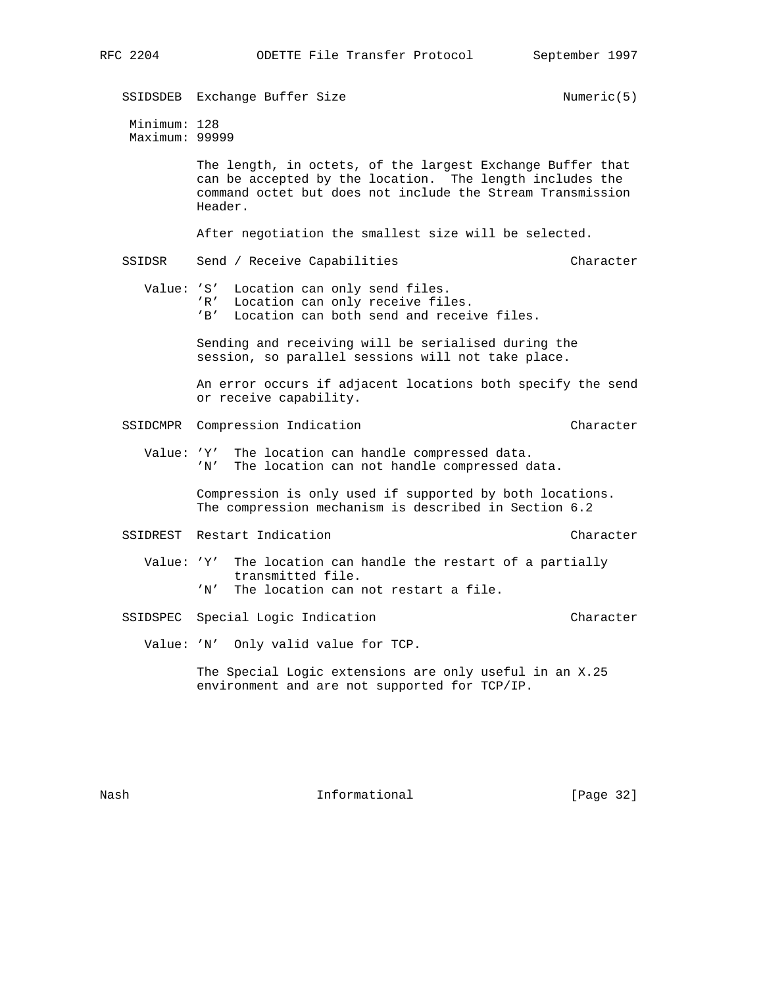SSIDSDEB Exchange Buffer Size Numeric(5) Minimum: 128 Maximum: 99999 The length, in octets, of the largest Exchange Buffer that can be accepted by the location. The length includes the command octet but does not include the Stream Transmission Header. After negotiation the smallest size will be selected. SSIDSR Send / Receive Capabilities Character Character Value: 'S' Location can only send files. 'R' Location can only receive files. 'B' Location can both send and receive files. Sending and receiving will be serialised during the session, so parallel sessions will not take place. An error occurs if adjacent locations both specify the send or receive capability. SSIDCMPR Compression Indication Character Character Value: 'Y' The location can handle compressed data. 'N' The location can not handle compressed data. Compression is only used if supported by both locations. The compression mechanism is described in Section 6.2 SSIDREST Restart Indication Character Character Value: 'Y' The location can handle the restart of a partially transmitted file. 'N' The location can not restart a file. SSIDSPEC Special Logic Indication Character Value: 'N' Only valid value for TCP. The Special Logic extensions are only useful in an X.25 environment and are not supported for TCP/IP.

Nash **Informational Informational** [Page 32]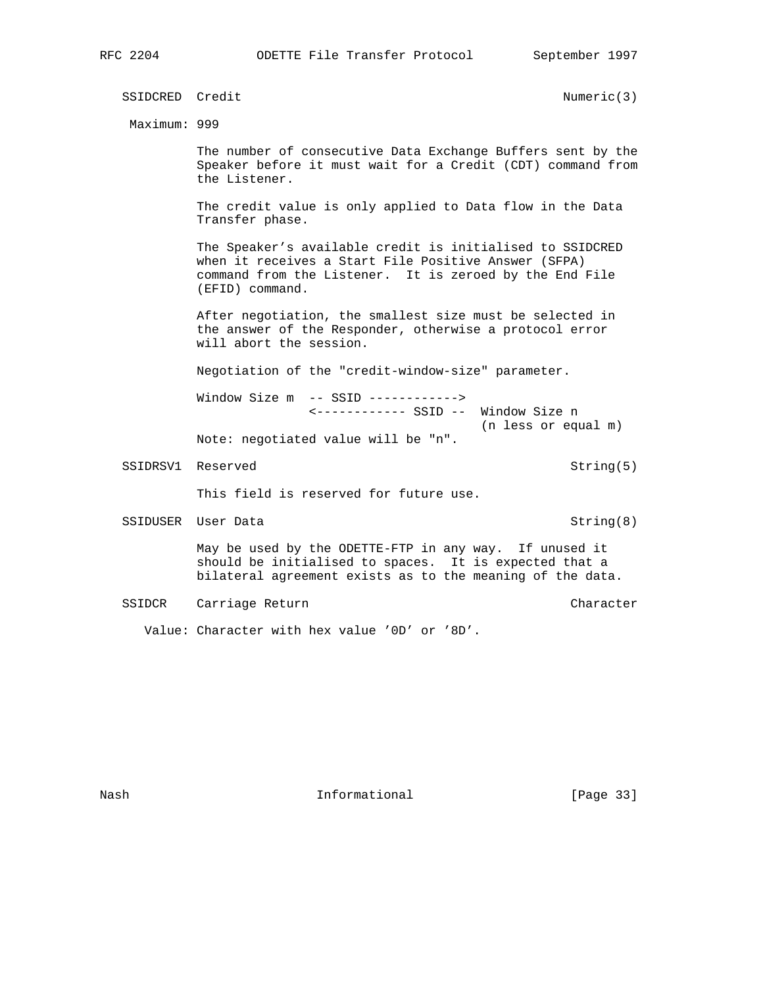SSIDCRED Credit Numeric(3) Maximum: 999 The number of consecutive Data Exchange Buffers sent by the Speaker before it must wait for a Credit (CDT) command from the Listener. The credit value is only applied to Data flow in the Data Transfer phase. The Speaker's available credit is initialised to SSIDCRED when it receives a Start File Positive Answer (SFPA) command from the Listener. It is zeroed by the End File (EFID) command. After negotiation, the smallest size must be selected in the answer of the Responder, otherwise a protocol error will abort the session. Negotiation of the "credit-window-size" parameter. Window Size m -- SSID ------------> <------------ SSID -- Window Size n (n less or equal m) Note: negotiated value will be "n". SSIDRSV1 Reserved String(5) This field is reserved for future use. SSIDUSER User Data String(8) May be used by the ODETTE-FTP in any way. If unused it should be initialised to spaces. It is expected that a bilateral agreement exists as to the meaning of the data. SSIDCR Carriage Return Character Character Value: Character with hex value '0D' or '8D'.

Nash **Informational Informational** [Page 33]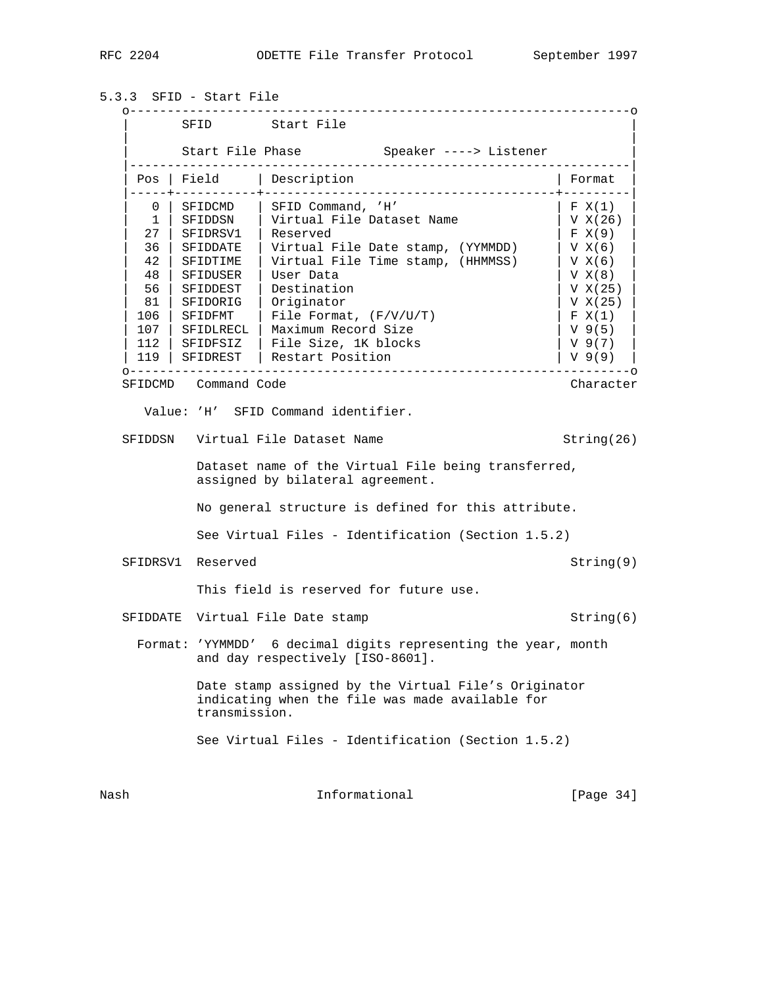5.3.3 SFID - Start File

 o-------------------------------------------------------------------o SFID Start File | | Start File Phase  $\qquad \qquad$  Speaker ----> Listener |-------------------------------------------------------------------| Pos | Field | Description | Format |-----+-----------+---------------------------------------+---------| 0 | SFIDCMD | SFID Command, 'H' | F X(1) 1 | SFIDDSN | Virtual File Dataset Name | V X(26)<br>27 | SFIDRSV1 | Reserved | F X(9) | 27 | SFIDRSV1 | Reserved | F X(9) | | 36 | SFIDDATE | Virtual File Date stamp, (YYMMDD) | V X(6) | | 42 | SFIDTIME | Virtual File Time stamp, (HHMMSS) | V X(6) | | 48 | SFIDUSER | User Data | V X(8) | | 56 | SFIDDEST | Destination | V X(25) | | 81 | SFIDORIG | Originator | V X(25) | | 106 | SFIDFMT | File Format, (F/V/U/T) | F X(1) | | 107 | SFIDLRECL | Maximum Record Size | V 9(5) | 106 | SFIDFMT | File Format, (F/V/U/T) | F X(1)<br>
107 | SFIDLRECL | Maximum Record Size | V 9(5)<br>
112 | SFIDFSIZ | File Size, 1K blocks | V 9(7)<br>
119 | SFIDREST | Restart Position | V 9(9) | 119 | SFIDREST | Restart Position o-------------------------------------------------------------------o SFIDCMD Command Code **Character** Character Character Value: 'H' SFID Command identifier. SFIDDSN Virtual File Dataset Name String(26) Dataset name of the Virtual File being transferred, assigned by bilateral agreement. No general structure is defined for this attribute. See Virtual Files - Identification (Section 1.5.2) SFIDRSV1 Reserved String(9) This field is reserved for future use. SFIDDATE Virtual File Date stamp String(6) Format: 'YYMMDD' 6 decimal digits representing the year, month and day respectively [ISO-8601]. Date stamp assigned by the Virtual File's Originator indicating when the file was made available for transmission. See Virtual Files - Identification (Section 1.5.2) Nash **Informational Informational** [Page 34]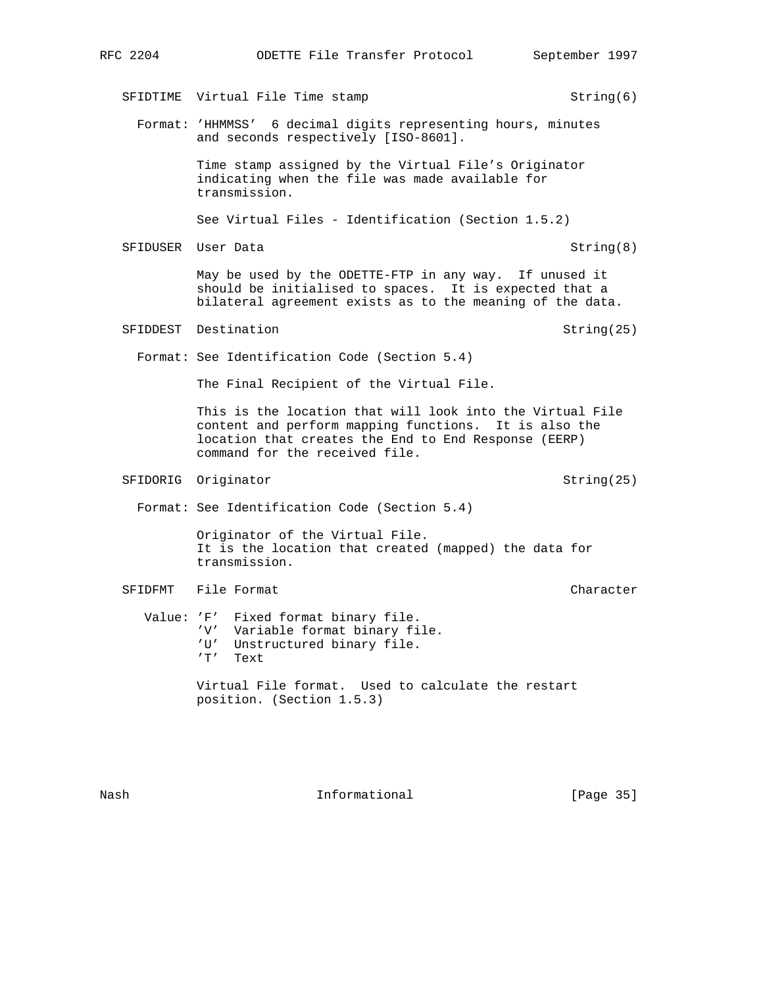SFIDTIME Virtual File Time stamp String(6) Format: 'HHMMSS' 6 decimal digits representing hours, minutes and seconds respectively [ISO-8601]. Time stamp assigned by the Virtual File's Originator indicating when the file was made available for transmission. See Virtual Files - Identification (Section 1.5.2) SFIDUSER User Data String(8) May be used by the ODETTE-FTP in any way. If unused it should be initialised to spaces. It is expected that a bilateral agreement exists as to the meaning of the data. SFIDDEST Destination String(25) Format: See Identification Code (Section 5.4) The Final Recipient of the Virtual File. This is the location that will look into the Virtual File content and perform mapping functions. It is also the location that creates the End to End Response (EERP) command for the received file. SFIDORIG Originator String(25) Format: See Identification Code (Section 5.4) Originator of the Virtual File. It is the location that created (mapped) the data for transmission. SFIDFMT File Format Character Character Character Value: 'F' Fixed format binary file. 'V' Variable format binary file. 'U' Unstructured binary file. 'T' Text Virtual File format. Used to calculate the restart position. (Section 1.5.3)

Nash **Informational Informational** [Page 35]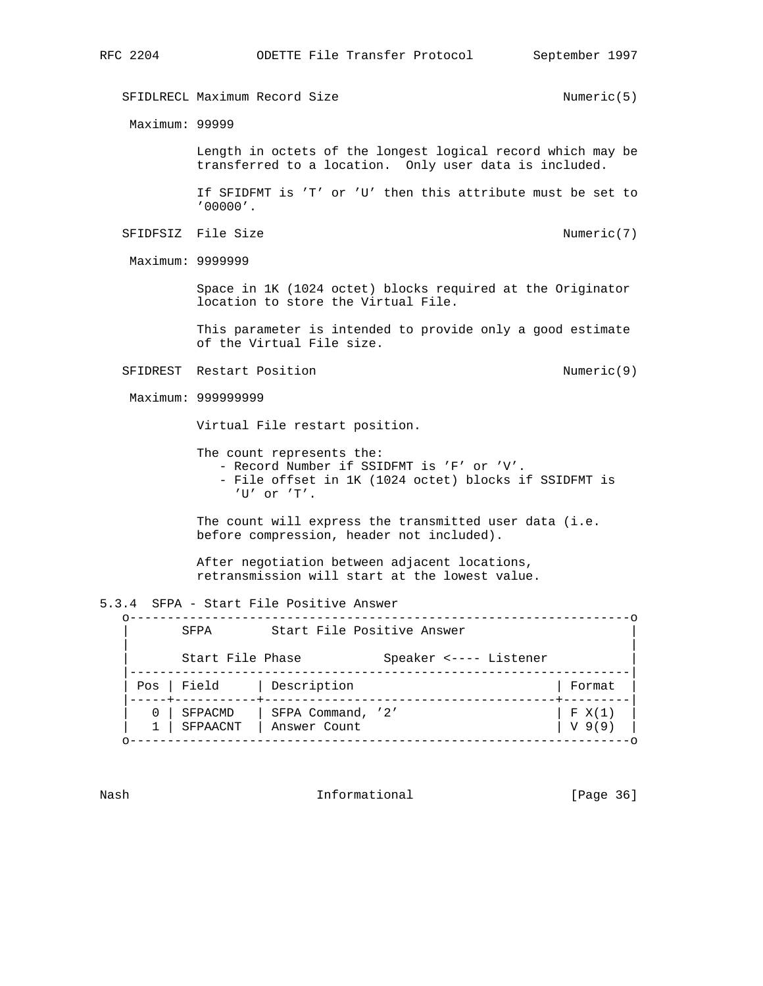SFIDLRECL Maximum Record Size  $N$ umeric(5) Maximum: 99999 Length in octets of the longest logical record which may be transferred to a location. Only user data is included. If SFIDFMT is 'T' or 'U' then this attribute must be set to '00000'. SFIDFSIZ File Size  $N$ umeric(7) Maximum: 9999999 Space in 1K (1024 octet) blocks required at the Originator location to store the Virtual File. This parameter is intended to provide only a good estimate of the Virtual File size. SFIDREST Restart Position (9) Maximum: 999999999 Virtual File restart position. The count represents the: - Record Number if SSIDFMT is 'F' or 'V'. - File offset in 1K (1024 octet) blocks if SSIDFMT is 'U' or 'T'. The count will express the transmitted user data (i.e. before compression, header not included). After negotiation between adjacent locations, retransmission will start at the lowest value. 5.3.4 SFPA - Start File Positive Answer o-------------------------------------------------------------------o SFPA Start File Positive Answer | | Start File Phase Speaker <---- Listener |-------------------------------------------------------------------| | Pos | Field | Description | Format | |-----+-----------+---------------------------------------+---------|  $0$  | SFPACMD | SFPA Command, '2' | F X(1) | 1 | SFPAACNT | Answer Count | V 9(9) | o-------------------------------------------------------------------o

Nash Informational [Page 36]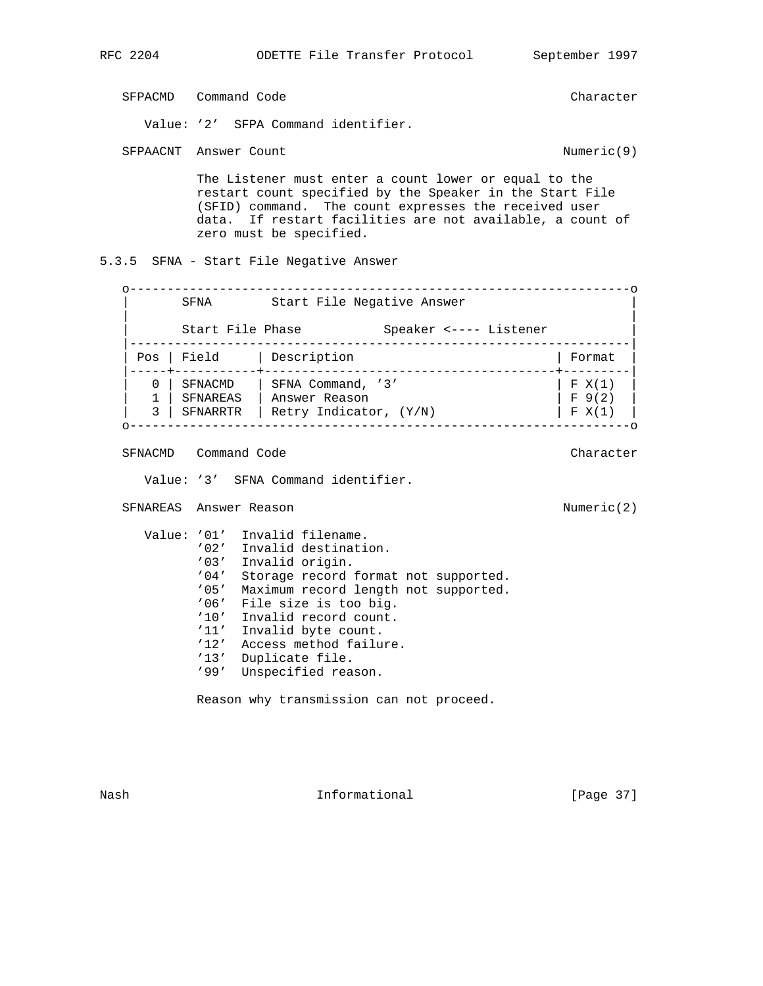SFPACMD Command Code **Character** Character Character

Value: '2' SFPA Command identifier.

SFPAACNT Answer Count 1999 (1999) 2008 (1999) 2012 (1999) 2014

 The Listener must enter a count lower or equal to the restart count specified by the Speaker in the Start File (SFID) command. The count expresses the received user data. If restart facilities are not available, a count of zero must be specified.

5.3.5 SFNA - Start File Negative Answer

 o-------------------------------------------------------------------o SFNA Start File Negative Answer | | Start File Phase Speaker <---- Listener |-------------------------------------------------------------------| | Pos | Field | Description | Format | |-----+-----------+---------------------------------------+---------| | 0 | SFNACMD | SFNA Command, '3' | F X(1) | | 1 | SFNAREAS | Answer Reason | F 9(2) | | 3 | SFNARRTR | Retry Indicator, (Y/N) | F X(1) | o-------------------------------------------------------------------o

SFNACMD Command Code **Character** Character Character

Value: '3' SFNA Command identifier.

SFNAREAS Answer Reason and the set of the Numeric(2)

 Value: '01' Invalid filename. '02' Invalid destination. '03' Invalid origin. '04' Storage record format not supported. '05' Maximum record length not supported. '06' File size is too big. '10' Invalid record count. '11' Invalid byte count. '12' Access method failure. '13' Duplicate file. '99' Unspecified reason.

Reason why transmission can not proceed.

Nash **Informational Informational** [Page 37]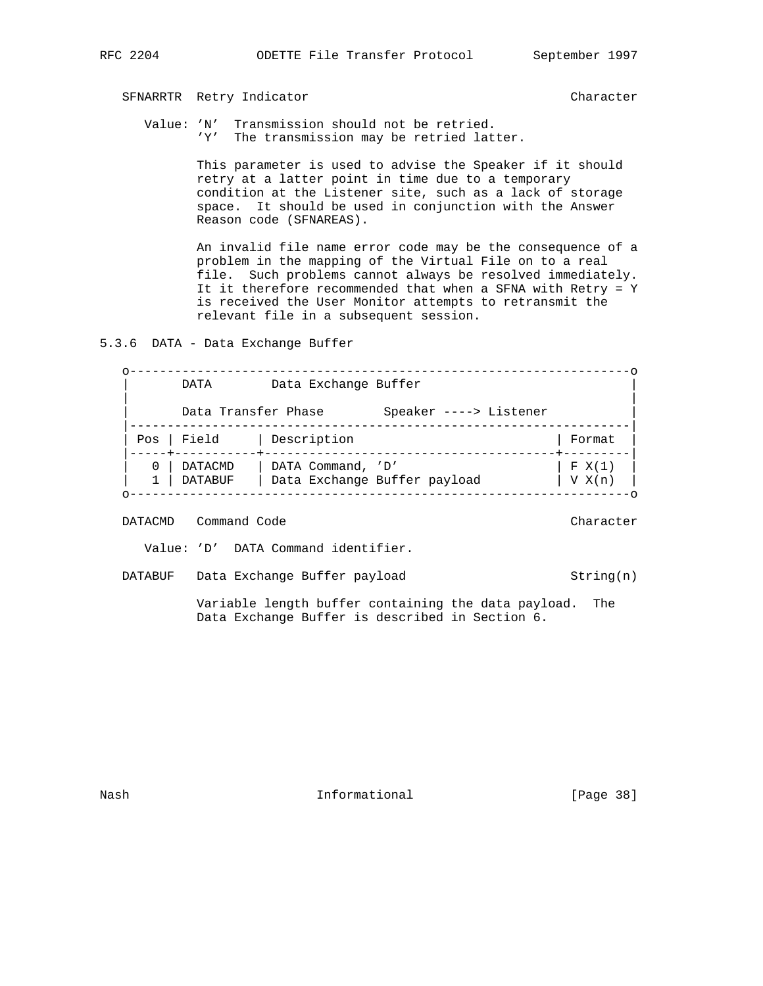### SFNARRTR Retry Indicator Character

 Value: 'N' Transmission should not be retried. 'Y' The transmission may be retried latter.

> This parameter is used to advise the Speaker if it should retry at a latter point in time due to a temporary condition at the Listener site, such as a lack of storage space. It should be used in conjunction with the Answer Reason code (SFNAREAS).

 An invalid file name error code may be the consequence of a problem in the mapping of the Virtual File on to a real file. Such problems cannot always be resolved immediately. It it therefore recommended that when a SFNA with Retry = Y is received the User Monitor attempts to retransmit the relevant file in a subsequent session.

5.3.6 DATA - Data Exchange Buffer

 o-------------------------------------------------------------------o DATA Data Exchange Buffer | | Data Transfer Phase Speaker ----> Listener |-------------------------------------------------------------------| Pos | Field | Description |-----+-----------+---------------------------------------+---------| | 0 | DATACMD | DATA Command, 'D' | F X(1) | | 1 | DATABUF | Data Exchange Buffer payload | V X(n) | o-------------------------------------------------------------------o

DATACMD Command Code Character

Value: 'D' DATA Command identifier.

DATABUF Data Exchange Buffer payload String(n)

 Variable length buffer containing the data payload. The Data Exchange Buffer is described in Section 6.

Nash **Informational Informational** [Page 38]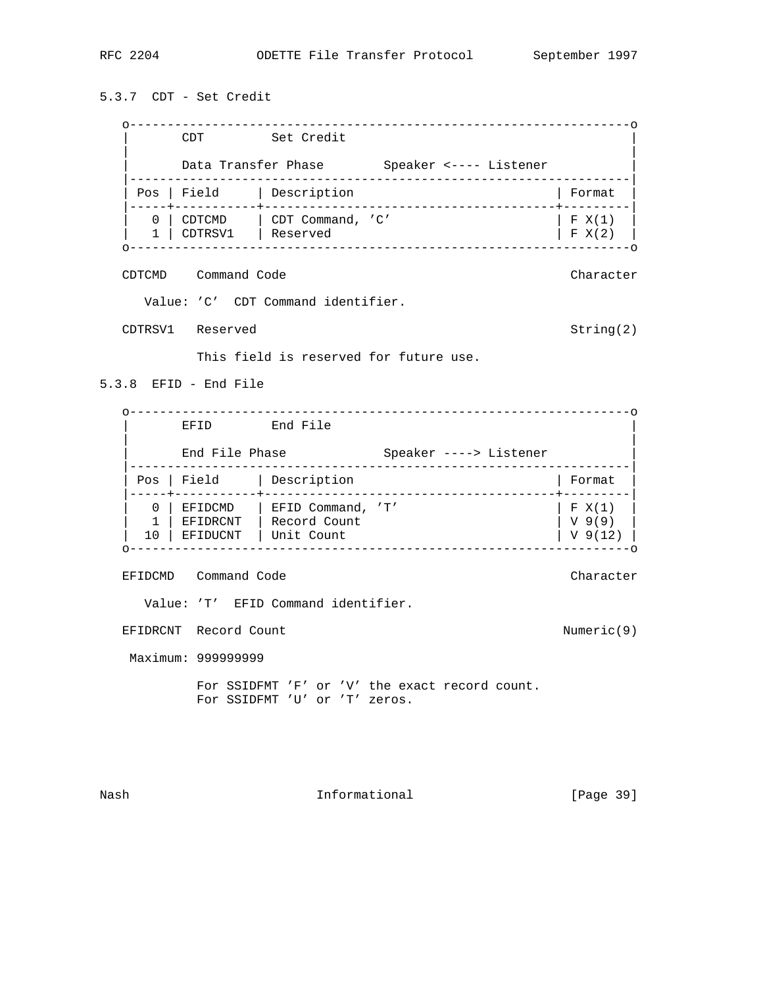5.3.7 CDT - Set Credit o-------------------------------------------------------------------o CDT Set Credit | | Data Transfer Phase Speaker <---- Listener |-------------------------------------------------------------------| Pos | Field | Description | Format |-----+-----------+---------------------------------------+---------| | 0 | CDTCMD | CDT Command, 'C' | F X(1) | | 1 | CDTRSV1 | Reserved | F X(2) | o-------------------------------------------------------------------o CDTCMD Command Code Character Value: 'C' CDT Command identifier. CDTRSV1 Reserved String(2) This field is reserved for future use. 5.3.8 EFID - End File o-------------------------------------------------------------------o EFID End File | | End File Phase Speaker ----> Listener |-------------------------------------------------------------------| Pos | Field | Description | Format |-----+-----------+---------------------------------------+---------| 0 | EFIDCMD | EFID Command, 'T' | | F X(1)<br>1 | EFIDRCNT | Record Count | | V 9(9) | 1 | EFIDRCNT | Record Count | V 9(9) | | 10 | EFIDUCNT | Unit Count | V 9(12) | o-------------------------------------------------------------------o EFIDCMD Command Code Character Value: 'T' EFID Command identifier. EFIDRCNT Record Count 1999 (1999) 2008 (1999) 2008 (1999) 2012 Maximum: 999999999 For SSIDFMT 'F' or 'V' the exact record count. For SSIDFMT 'U' or 'T' zeros.

Nash Informational [Page 39]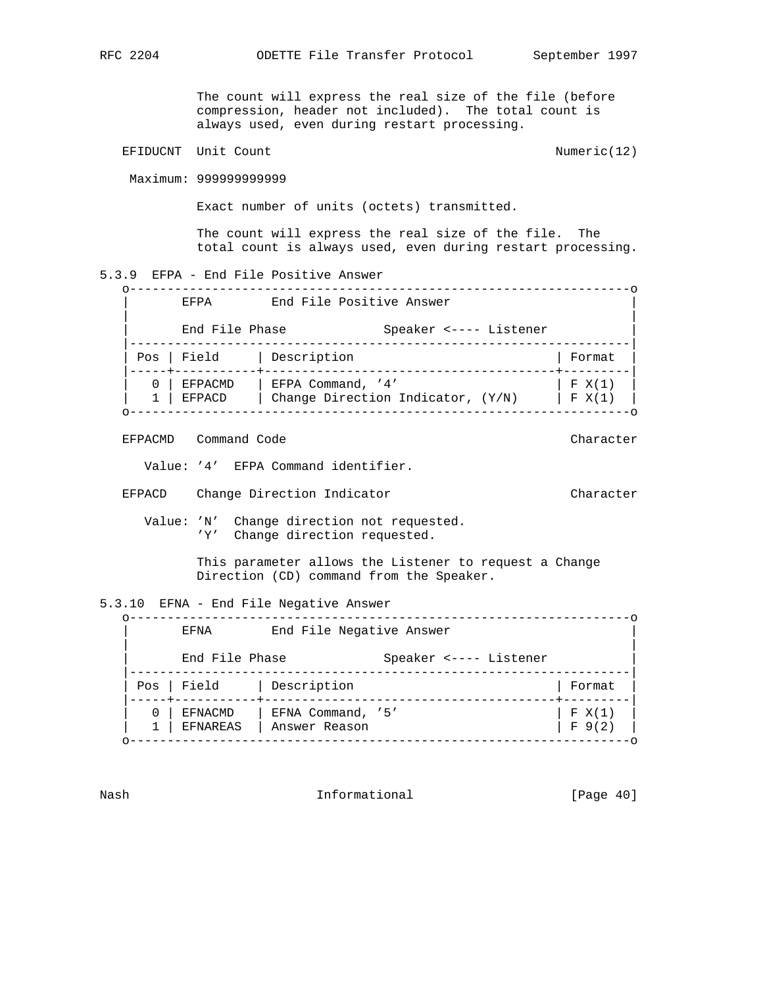The count will express the real size of the file (before compression, header not included). The total count is always used, even during restart processing. EFIDUCNT Unit Count 1999 Count 2009 Numeric(12) Maximum: 999999999999 Exact number of units (octets) transmitted. The count will express the real size of the file. The total count is always used, even during restart processing. 5.3.9 EFPA - End File Positive Answer o-------------------------------------------------------------------o EFPA End File Positive Answer | | End File Phase Speaker <---- Listener |-------------------------------------------------------------------| | Pos | Field | Description | Format | |-----+-----------+---------------------------------------+---------|  $0$  | EFPACMD | EFPA Command, '4' | F X(1) | 1 | EFPACD | Change Direction Indicator, (Y/N) | F X(1) | o-------------------------------------------------------------------o EFPACMD Command Code **Character** Character Character Value: '4' EFPA Command identifier.

EFPACD Change Direction Indicator Character

 Value: 'N' Change direction not requested. 'Y' Change direction requested.

> This parameter allows the Listener to request a Change Direction (CD) command from the Speaker.

5.3.10 EFNA - End File Negative Answer

 o-------------------------------------------------------------------o EFNA End File Negative Answer | | End File Phase Speaker <---- Listener |-------------------------------------------------------------------| | Pos | Field | Description | Format | |-----+-----------+---------------------------------------+---------|  $0$  | EFNACMD | EFNA Command, '5' | F X(1) | 1 | EFNAREAS | Answer Reason | F 9(2) | o-------------------------------------------------------------------o

Nash **Informational Informational** [Page 40]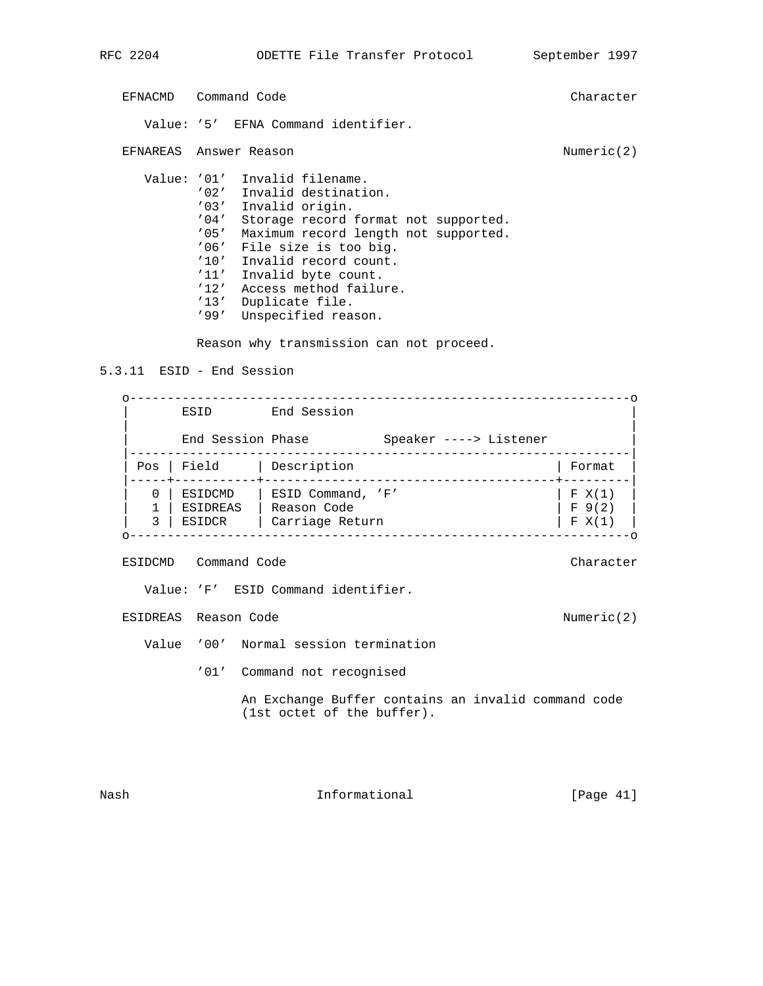EFNACMD Command Code Character Value: '5' EFNA Command identifier. EFNAREAS Answer Reason **Numeric(2)** Numeric(2) Value: '01' Invalid filename. '02' Invalid destination. '03' Invalid origin. '04' Storage record format not supported. '05' Maximum record length not supported. '06' File size is too big. '10' Invalid record count. '11' Invalid byte count. '12' Access method failure. '13' Duplicate file. '99' Unspecified reason.

Reason why transmission can not proceed.

5.3.11 ESID - End Session

|     | ESID              | End Session       |                        |        |
|-----|-------------------|-------------------|------------------------|--------|
|     | End Session Phase |                   | Speaker ----> Listener |        |
| Pos | Field             | Description       |                        | Format |
| 0   | ESIDCMD           | ESID Command, 'F' |                        | F X(1) |
|     | ESIDREAS          | Reason Code       |                        | F 9(2) |

ESIDCMD Command Code Character

Value: 'F' ESID Command identifier.

ESIDREAS Reason Code Numeric(2)

Value '00' Normal session termination

'01' Command not recognised

 An Exchange Buffer contains an invalid command code (1st octet of the buffer).

Nash **Informational Informational** [Page 41]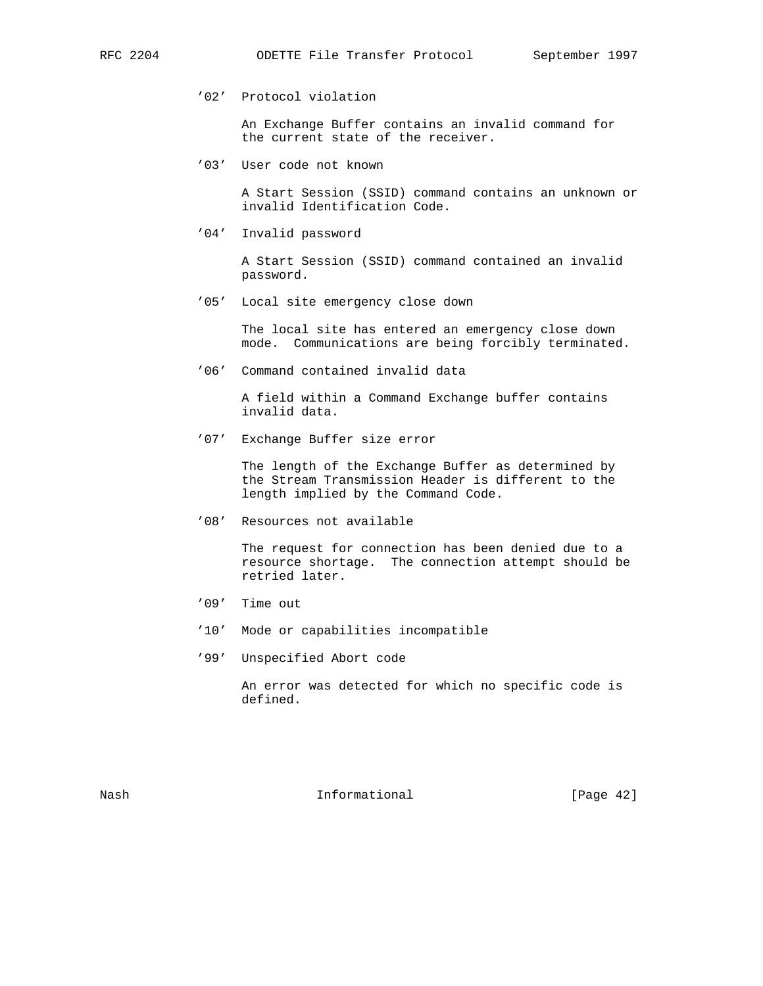'02' Protocol violation

 An Exchange Buffer contains an invalid command for the current state of the receiver.

'03' User code not known

 A Start Session (SSID) command contains an unknown or invalid Identification Code.

'04' Invalid password

 A Start Session (SSID) command contained an invalid password.

'05' Local site emergency close down

 The local site has entered an emergency close down mode. Communications are being forcibly terminated.

'06' Command contained invalid data

 A field within a Command Exchange buffer contains invalid data.

'07' Exchange Buffer size error

 The length of the Exchange Buffer as determined by the Stream Transmission Header is different to the length implied by the Command Code.

'08' Resources not available

 The request for connection has been denied due to a resource shortage. The connection attempt should be retried later.

- '09' Time out
- '10' Mode or capabilities incompatible
- '99' Unspecified Abort code

 An error was detected for which no specific code is defined.

Nash **Informational Informational** [Page 42]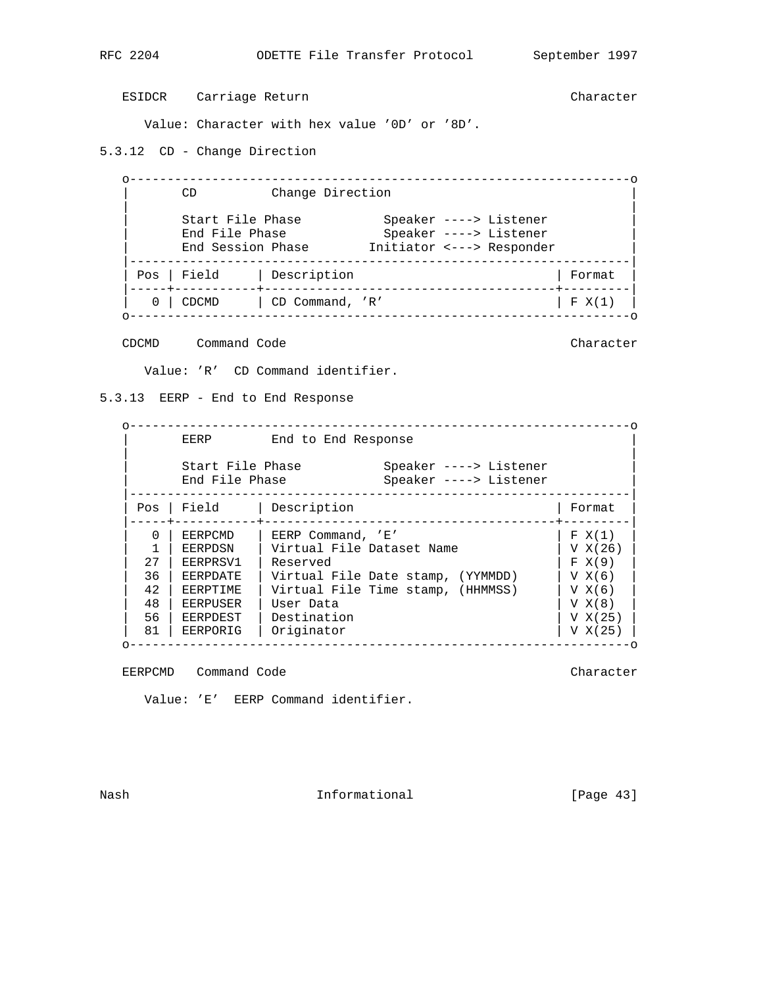ESIDCR Carriage Return Character

Value: Character with hex value '0D' or '8D'.

5.3.12 CD - Change Direction

 o-------------------------------------------------------------------o CD Change Direction | | | Start File Phase Speaker ----> Listener | | End File Phase Speaker ----> Listener | | End Session Phase Initiator <---> Responder | |-------------------------------------------------------------------| | Pos | Field | Description | Format | |-----+-----------+---------------------------------------+---------| | 0 | CDCMD | CD Command, 'R' | F X(1) | o-------------------------------------------------------------------o

CDCMD Command Code Character

Value: 'R' CD Command identifier.

5.3.13 EERP - End to End Response

|          | EERP                               | End to End Response               |                                                  |         |
|----------|------------------------------------|-----------------------------------|--------------------------------------------------|---------|
|          | Start File Phase<br>End File Phase |                                   | Speaker ----> Listener<br>Speaker ----> Listener |         |
| Pos      | Field                              | Description                       |                                                  | Format  |
| $\Omega$ | EERPCMD                            | EERP Command, 'E'                 |                                                  | F X(1)  |
|          | EERPDSN                            | Virtual File Dataset Name         |                                                  | V X(26) |
| 2.7      | EERPRSV1                           | Reserved                          |                                                  | F X(9)  |
| 36       | EERPDATE                           | Virtual File Date stamp, (YYMMDD) |                                                  | V X(6)  |
| 42       | EERPTIME                           | Virtual File Time stamp, (HHMMSS) |                                                  | V X(6)  |
| 48       | EERPUSER                           | User Data                         |                                                  | V X(8)  |
|          | EERPDEST                           | Destination                       |                                                  | V X(25) |
| 56       |                                    |                                   |                                                  |         |

EERPCMD Command Code Character

Value: 'E' EERP Command identifier.

Nash **Informational Informational** [Page 43]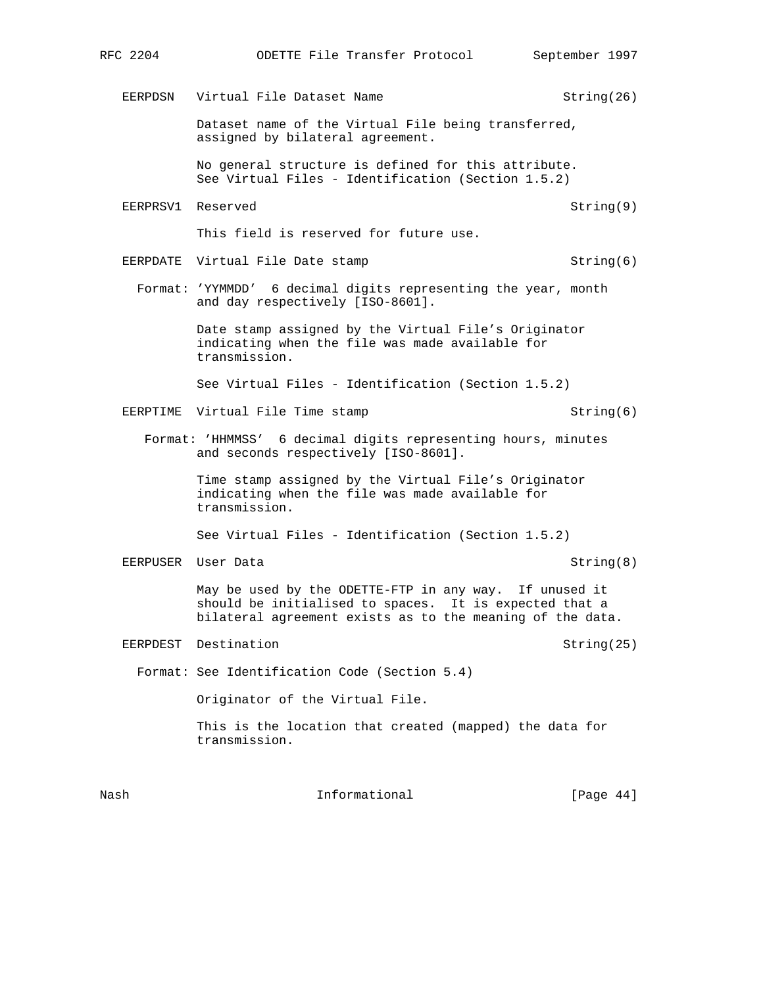EERPDSN Virtual File Dataset Name String(26)

 Dataset name of the Virtual File being transferred, assigned by bilateral agreement.

 No general structure is defined for this attribute. See Virtual Files - Identification (Section 1.5.2)

EERPRSV1 Reserved String(9)

This field is reserved for future use.

- EERPDATE Virtual File Date stamp String(6)
	- Format: 'YYMMDD' 6 decimal digits representing the year, month and day respectively [ISO-8601].

 Date stamp assigned by the Virtual File's Originator indicating when the file was made available for transmission.

See Virtual Files - Identification (Section 1.5.2)

EERPTIME Virtual File Time stamp String(6)

 Format: 'HHMMSS' 6 decimal digits representing hours, minutes and seconds respectively [ISO-8601].

> Time stamp assigned by the Virtual File's Originator indicating when the file was made available for transmission.

See Virtual Files - Identification (Section 1.5.2)

EERPUSER User Data String(8)

 May be used by the ODETTE-FTP in any way. If unused it should be initialised to spaces. It is expected that a bilateral agreement exists as to the meaning of the data.

EERPDEST Destination and the string(25) String(25)

Format: See Identification Code (Section 5.4)

Originator of the Virtual File.

 This is the location that created (mapped) the data for transmission.

Nash **Informational Informational** [Page 44]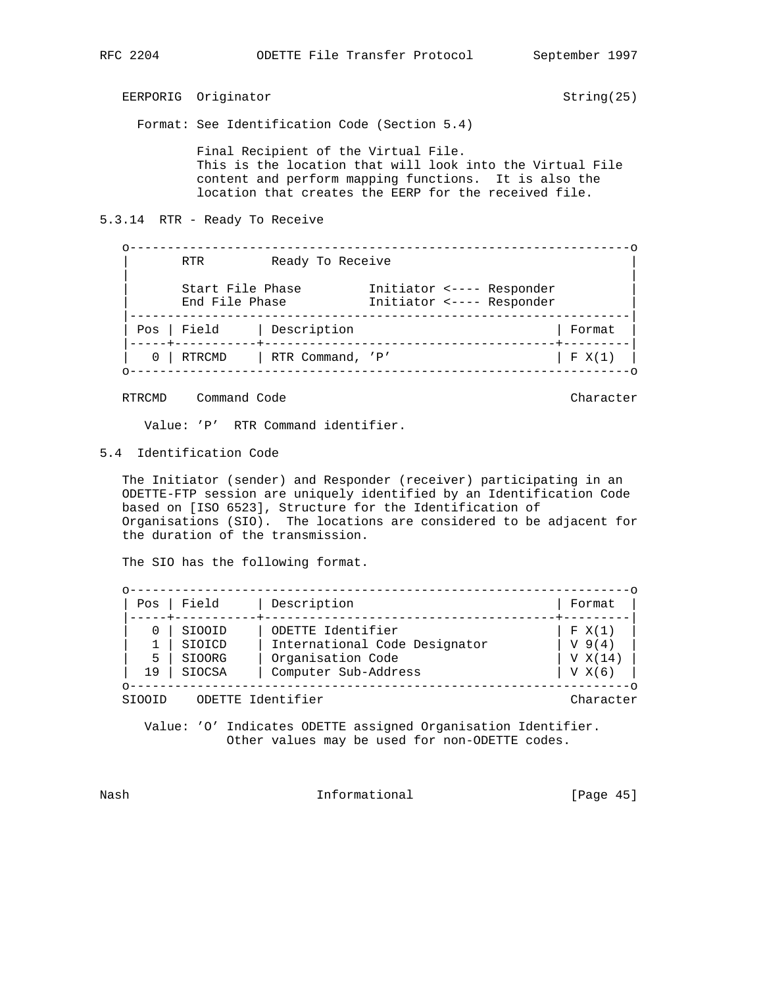EERPORIG Originator String(25)

Format: See Identification Code (Section 5.4)

 Final Recipient of the Virtual File. This is the location that will look into the Virtual File content and perform mapping functions. It is also the location that creates the EERP for the received file.

5.3.14 RTR - Ready To Receive

 o-------------------------------------------------------------------o Ready To Receive | | | Start File Phase Initiator <---- Responder | | End File Phase Initiator <---- Responder | |-------------------------------------------------------------------| | Pos | Field | Description |-----+-----------+---------------------------------------+---------|  $\begin{array}{|c|c|c|c|c|}\n\hline\n0 & \vert & RTR\text{ } \text{Command, } \end{array}$  'P' o-------------------------------------------------------------------o

RTRCMD Command Code **Character** Character Character

Value: 'P' RTR Command identifier.

5.4 Identification Code

 The Initiator (sender) and Responder (receiver) participating in an ODETTE-FTP session are uniquely identified by an Identification Code based on [ISO 6523], Structure for the Identification of Organisations (SIO). The locations are considered to be adjacent for the duration of the transmission.

The SIO has the following format.

| Pos | Field         | Description                   | Format     |
|-----|---------------|-------------------------------|------------|
|     | SIOOID        | ODETTE Identifier             | F X(1)     |
|     | SIOICD        | International Code Designator | $V_{9(4)}$ |
| 5   | SIOORG        | Organisation Code             | V X(14)    |
| 19  | <b>SIOCSA</b> | Computer Sub-Address          | V X(6)     |

SIOOID ODETTE Identifier Character

 Value: 'O' Indicates ODETTE assigned Organisation Identifier. Other values may be used for non-ODETTE codes.

Nash **Informational Informational** [Page 45]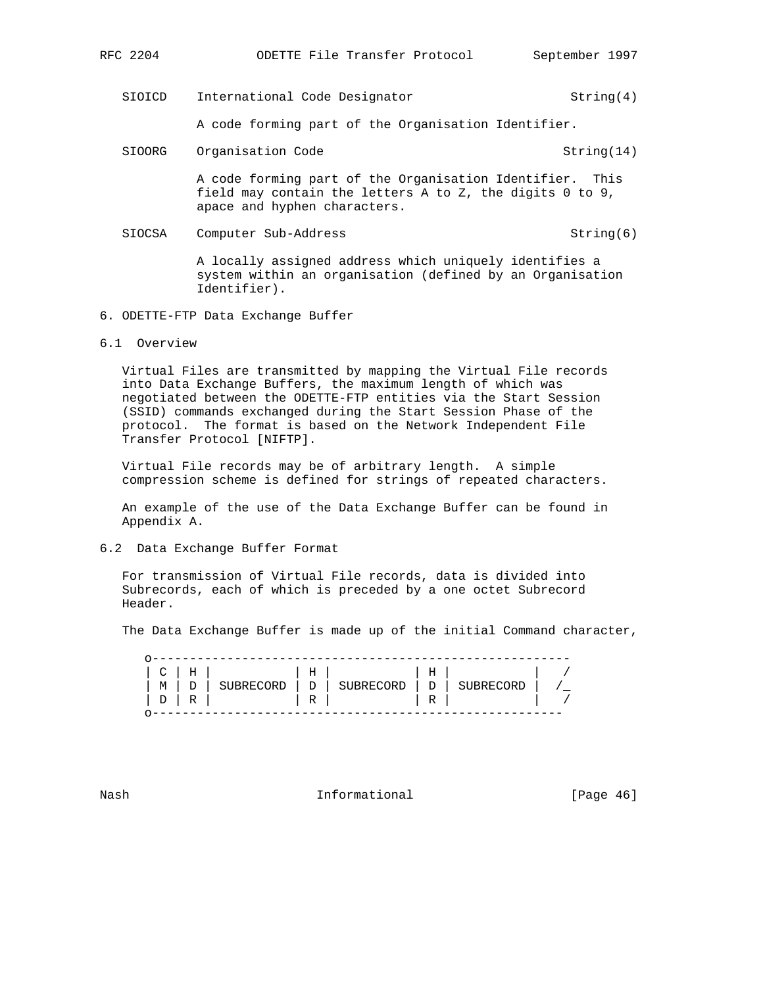SIOICD International Code Designator String(4)

A code forming part of the Organisation Identifier.

SIOORG Organisation Code String(14)

 A code forming part of the Organisation Identifier. This field may contain the letters A to Z, the digits 0 to 9, apace and hyphen characters.

SIOCSA Computer Sub-Address String(6)

 A locally assigned address which uniquely identifies a system within an organisation (defined by an Organisation Identifier).

- 6. ODETTE-FTP Data Exchange Buffer
- 6.1 Overview

 Virtual Files are transmitted by mapping the Virtual File records into Data Exchange Buffers, the maximum length of which was negotiated between the ODETTE-FTP entities via the Start Session (SSID) commands exchanged during the Start Session Phase of the protocol. The format is based on the Network Independent File Transfer Protocol [NIFTP].

 Virtual File records may be of arbitrary length. A simple compression scheme is defined for strings of repeated characters.

 An example of the use of the Data Exchange Buffer can be found in Appendix A.

6.2 Data Exchange Buffer Format

 For transmission of Virtual File records, data is divided into Subrecords, each of which is preceded by a one octet Subrecord Header.

The Data Exchange Buffer is made up of the initial Command character,

| $C \perp$ | Н              |           | Η |           | Н           |           |  |
|-----------|----------------|-----------|---|-----------|-------------|-----------|--|
| М         | $\overline{ }$ | SUBRECORD | D | SUBRECORD | $\mathbb D$ | SUBRECORD |  |
| D         | R              |           | R |           | R           |           |  |
|           |                |           |   |           |             |           |  |

Nash **Informational Informational** [Page 46]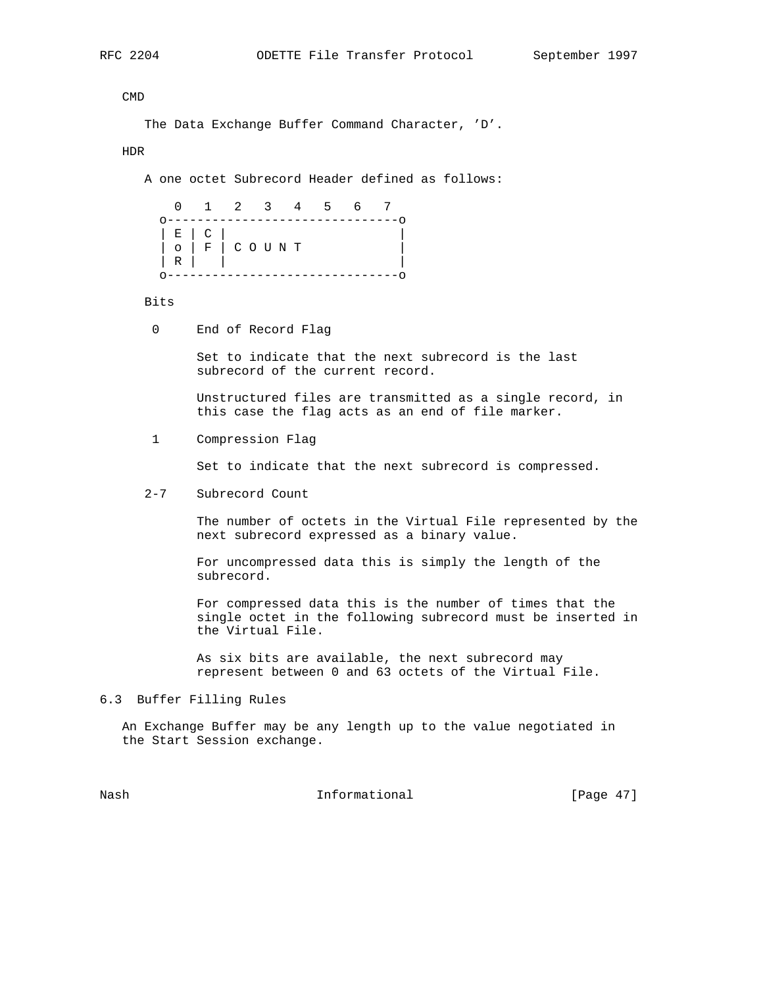CMD

```
 The Data Exchange Buffer Command Character, 'D'.
```
HDR

A one octet Subrecord Header defined as follows:

 0 1 2 3 4 5 6 7 o-------------------------------o | E | C | |  $| \circ |$  F  $| \circ \circ \cup \vee$  T  $| R |$  |  $|$ o-------------------------------o

Bits

0 End of Record Flag

 Set to indicate that the next subrecord is the last subrecord of the current record.

 Unstructured files are transmitted as a single record, in this case the flag acts as an end of file marker.

1 Compression Flag

Set to indicate that the next subrecord is compressed.

2-7 Subrecord Count

 The number of octets in the Virtual File represented by the next subrecord expressed as a binary value.

 For uncompressed data this is simply the length of the subrecord.

 For compressed data this is the number of times that the single octet in the following subrecord must be inserted in the Virtual File.

 As six bits are available, the next subrecord may represent between 0 and 63 octets of the Virtual File.

6.3 Buffer Filling Rules

 An Exchange Buffer may be any length up to the value negotiated in the Start Session exchange.

Nash **Informational Informational** [Page 47]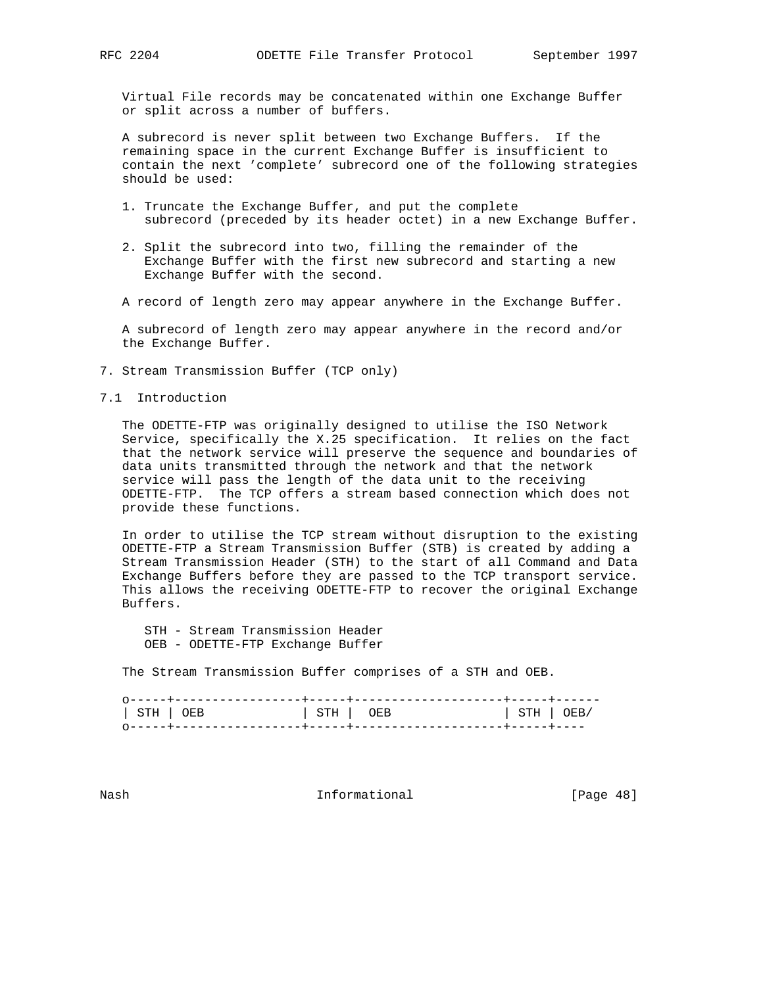Virtual File records may be concatenated within one Exchange Buffer or split across a number of buffers.

 A subrecord is never split between two Exchange Buffers. If the remaining space in the current Exchange Buffer is insufficient to contain the next 'complete' subrecord one of the following strategies should be used:

- 1. Truncate the Exchange Buffer, and put the complete subrecord (preceded by its header octet) in a new Exchange Buffer.
- 2. Split the subrecord into two, filling the remainder of the Exchange Buffer with the first new subrecord and starting a new Exchange Buffer with the second.
- A record of length zero may appear anywhere in the Exchange Buffer.

 A subrecord of length zero may appear anywhere in the record and/or the Exchange Buffer.

- 7. Stream Transmission Buffer (TCP only)
- 7.1 Introduction

 The ODETTE-FTP was originally designed to utilise the ISO Network Service, specifically the X.25 specification. It relies on the fact that the network service will preserve the sequence and boundaries of data units transmitted through the network and that the network service will pass the length of the data unit to the receiving ODETTE-FTP. The TCP offers a stream based connection which does not provide these functions.

 In order to utilise the TCP stream without disruption to the existing ODETTE-FTP a Stream Transmission Buffer (STB) is created by adding a Stream Transmission Header (STH) to the start of all Command and Data Exchange Buffers before they are passed to the TCP transport service. This allows the receiving ODETTE-FTP to recover the original Exchange Buffers.

 STH - Stream Transmission Header OEB - ODETTE-FTP Exchange Buffer

The Stream Transmission Buffer comprises of a STH and OEB.

| STH   OEB | STH OEB | $ $ STH $ $ OEB/ |  |
|-----------|---------|------------------|--|
|           |         |                  |  |

Nash **Informational Informational** [Page 48]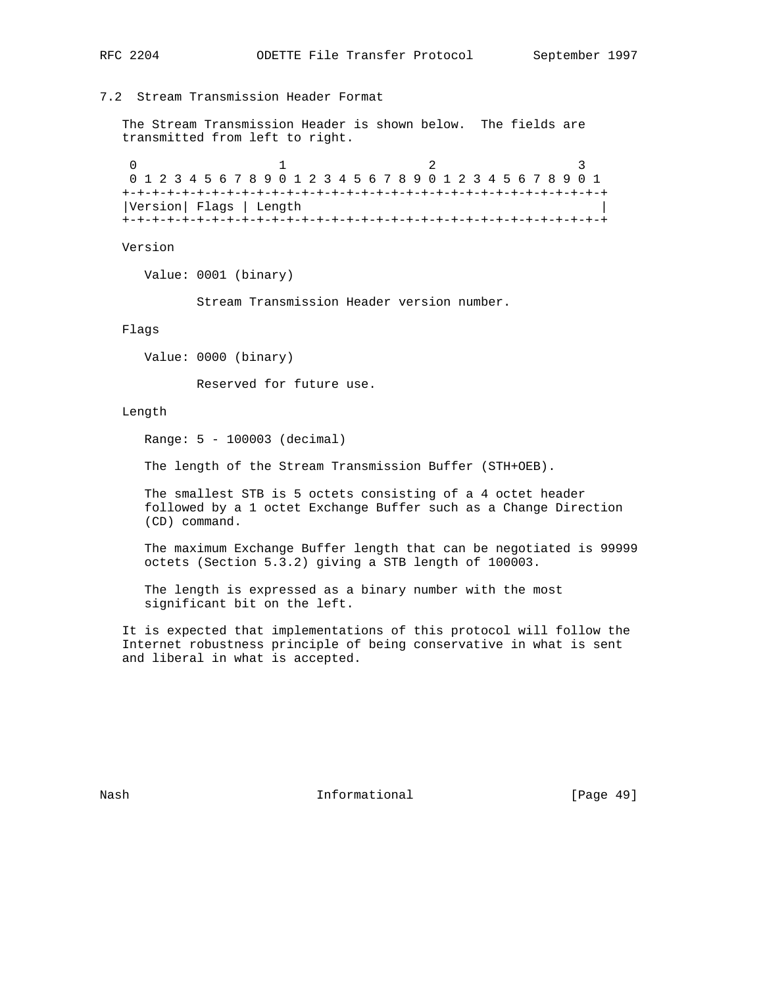7.2 Stream Transmission Header Format

 The Stream Transmission Header is shown below. The fields are transmitted from left to right.

0  $1$  2 3 0 1 2 3 4 5 6 7 8 9 0 1 2 3 4 5 6 7 8 9 0 1 2 3 4 5 6 7 8 9 0 1 +-+-+-+-+-+-+-+-+-+-+-+-+-+-+-+-+-+-+-+-+-+-+-+-+-+-+-+-+-+-+-+-+ |Version| Flags | Length | +-+-+-+-+-+-+-+-+-+-+-+-+-+-+-+-+-+-+-+-+-+-+-+-+-+-+-+-+-+-+-+-+

Version

Value: 0001 (binary)

Stream Transmission Header version number.

Flags

Value: 0000 (binary)

Reserved for future use.

### Length

Range: 5 - 100003 (decimal)

The length of the Stream Transmission Buffer (STH+OEB).

 The smallest STB is 5 octets consisting of a 4 octet header followed by a 1 octet Exchange Buffer such as a Change Direction (CD) command.

 The maximum Exchange Buffer length that can be negotiated is 99999 octets (Section 5.3.2) giving a STB length of 100003.

 The length is expressed as a binary number with the most significant bit on the left.

 It is expected that implementations of this protocol will follow the Internet robustness principle of being conservative in what is sent and liberal in what is accepted.

Nash **Informational Informational** [Page 49]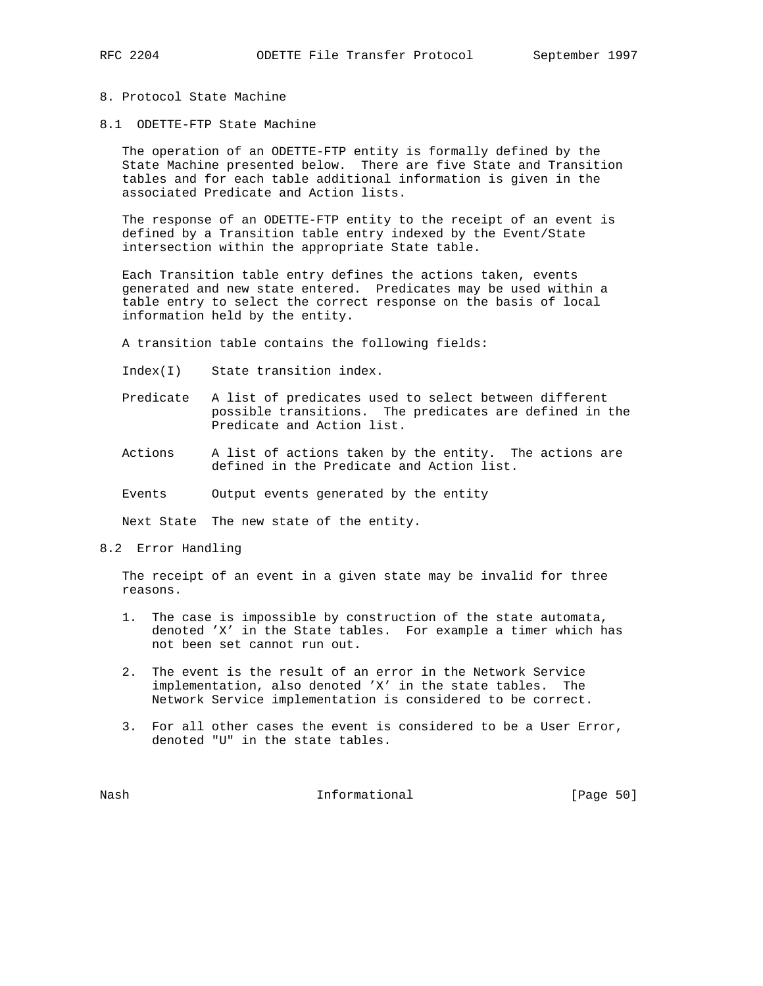### 8. Protocol State Machine

8.1 ODETTE-FTP State Machine

 The operation of an ODETTE-FTP entity is formally defined by the State Machine presented below. There are five State and Transition tables and for each table additional information is given in the associated Predicate and Action lists.

 The response of an ODETTE-FTP entity to the receipt of an event is defined by a Transition table entry indexed by the Event/State intersection within the appropriate State table.

 Each Transition table entry defines the actions taken, events generated and new state entered. Predicates may be used within a table entry to select the correct response on the basis of local information held by the entity.

A transition table contains the following fields:

- Index(I) State transition index.
- Predicate A list of predicates used to select between different possible transitions. The predicates are defined in the Predicate and Action list.
- Actions A list of actions taken by the entity. The actions are defined in the Predicate and Action list.
- Events Output events generated by the entity

Next State The new state of the entity.

8.2 Error Handling

 The receipt of an event in a given state may be invalid for three reasons.

- 1. The case is impossible by construction of the state automata, denoted 'X' in the State tables. For example a timer which has not been set cannot run out.
- 2. The event is the result of an error in the Network Service implementation, also denoted 'X' in the state tables. The Network Service implementation is considered to be correct.
- 3. For all other cases the event is considered to be a User Error, denoted "U" in the state tables.

Nash **Informational Informational** [Page 50]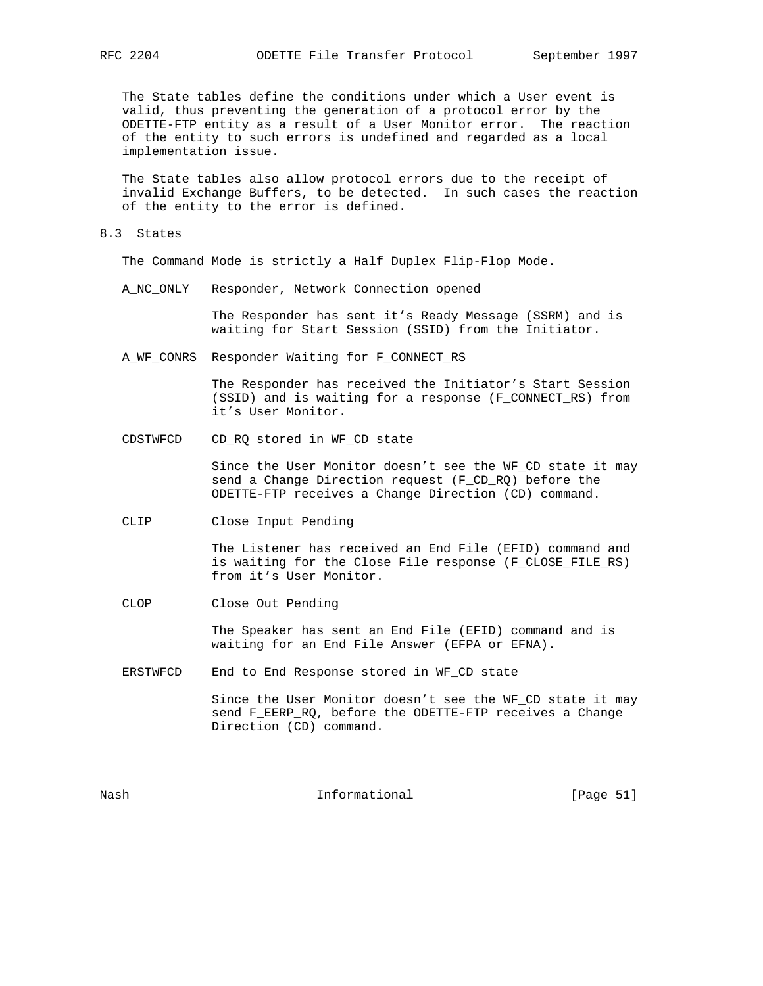The State tables define the conditions under which a User event is valid, thus preventing the generation of a protocol error by the ODETTE-FTP entity as a result of a User Monitor error. The reaction of the entity to such errors is undefined and regarded as a local implementation issue.

 The State tables also allow protocol errors due to the receipt of invalid Exchange Buffers, to be detected. In such cases the reaction of the entity to the error is defined.

8.3 States

The Command Mode is strictly a Half Duplex Flip-Flop Mode.

A\_NC\_ONLY Responder, Network Connection opened

 The Responder has sent it's Ready Message (SSRM) and is waiting for Start Session (SSID) from the Initiator.

A\_WF\_CONRS Responder Waiting for F\_CONNECT\_RS

 The Responder has received the Initiator's Start Session (SSID) and is waiting for a response (F\_CONNECT\_RS) from it's User Monitor.

CDSTWFCD CD\_RQ stored in WF\_CD state

 Since the User Monitor doesn't see the WF\_CD state it may send a Change Direction request (F\_CD\_RQ) before the ODETTE-FTP receives a Change Direction (CD) command.

CLIP Close Input Pending

 The Listener has received an End File (EFID) command and is waiting for the Close File response (F\_CLOSE\_FILE\_RS) from it's User Monitor.

CLOP Close Out Pending

 The Speaker has sent an End File (EFID) command and is waiting for an End File Answer (EFPA or EFNA).

ERSTWFCD End to End Response stored in WF\_CD state

 Since the User Monitor doesn't see the WF\_CD state it may send F\_EERP\_RQ, before the ODETTE-FTP receives a Change Direction (CD) command.

Nash **Informational Informational** [Page 51]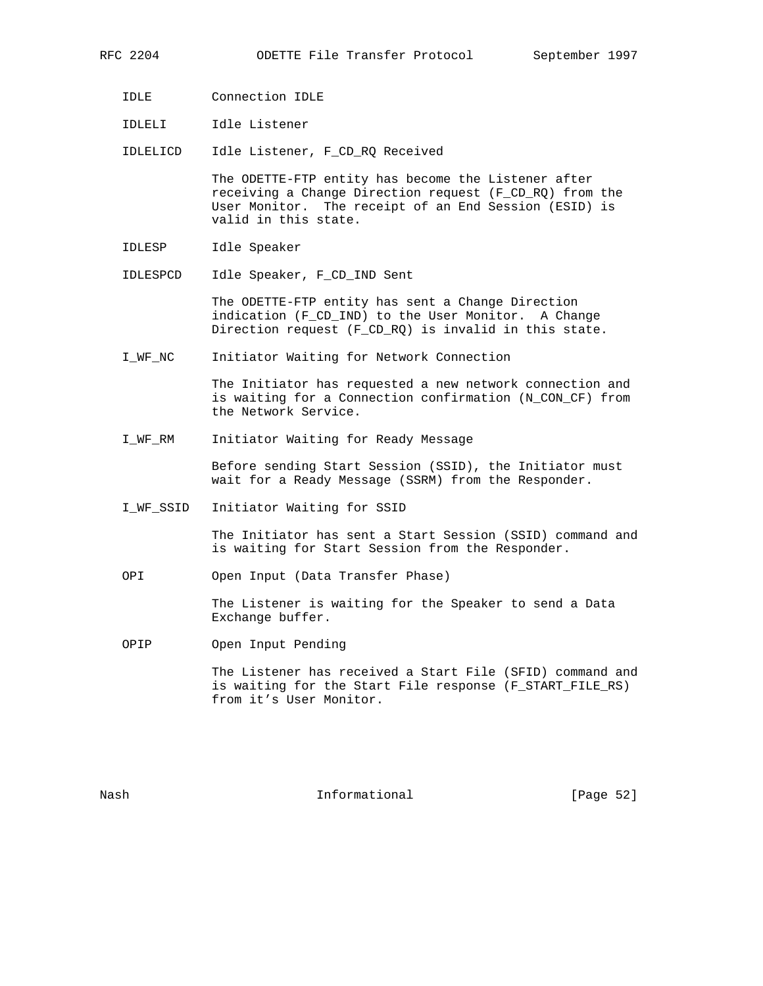- IDLE Connection IDLE
- IDLELI Idle Listener

IDLELICD Idle Listener, F\_CD\_RQ Received

 The ODETTE-FTP entity has become the Listener after receiving a Change Direction request (F\_CD\_RQ) from the User Monitor. The receipt of an End Session (ESID) is valid in this state.

- IDLESP Idle Speaker
- IDLESPCD Idle Speaker, F\_CD\_IND Sent

 The ODETTE-FTP entity has sent a Change Direction indication (F\_CD\_IND) to the User Monitor. A Change Direction request (F\_CD\_RQ) is invalid in this state.

I\_WF\_NC Initiator Waiting for Network Connection

 The Initiator has requested a new network connection and is waiting for a Connection confirmation (N\_CON\_CF) from the Network Service.

I\_WF\_RM Initiator Waiting for Ready Message

 Before sending Start Session (SSID), the Initiator must wait for a Ready Message (SSRM) from the Responder.

I\_WF\_SSID Initiator Waiting for SSID

 The Initiator has sent a Start Session (SSID) command and is waiting for Start Session from the Responder.

OPI Open Input (Data Transfer Phase)

 The Listener is waiting for the Speaker to send a Data Exchange buffer.

OPIP Open Input Pending

 The Listener has received a Start File (SFID) command and is waiting for the Start File response (F\_START\_FILE\_RS) from it's User Monitor.

Nash **Informational Informational** [Page 52]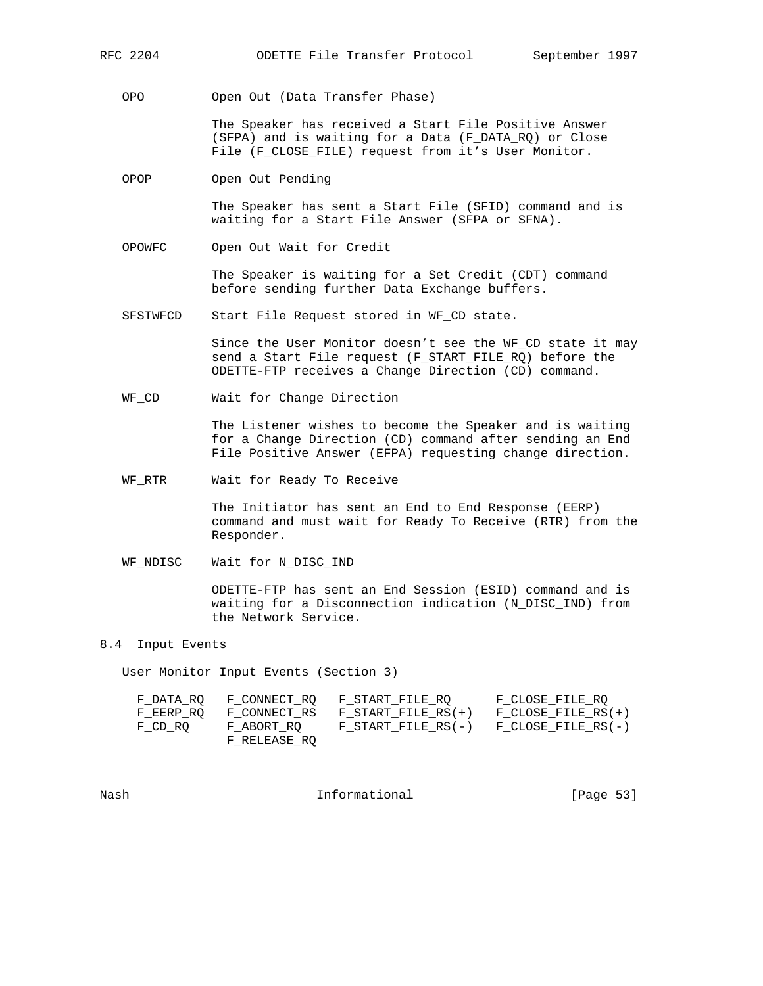OPO Open Out (Data Transfer Phase)

 The Speaker has received a Start File Positive Answer (SFPA) and is waiting for a Data (F\_DATA\_RQ) or Close File (F\_CLOSE\_FILE) request from it's User Monitor.

OPOP Open Out Pending

 The Speaker has sent a Start File (SFID) command and is waiting for a Start File Answer (SFPA or SFNA).

OPOWFC Open Out Wait for Credit

 The Speaker is waiting for a Set Credit (CDT) command before sending further Data Exchange buffers.

SFSTWFCD Start File Request stored in WF\_CD state.

 Since the User Monitor doesn't see the WF\_CD state it may send a Start File request (F\_START\_FILE\_RQ) before the ODETTE-FTP receives a Change Direction (CD) command.

WF\_CD Wait for Change Direction

 The Listener wishes to become the Speaker and is waiting for a Change Direction (CD) command after sending an End File Positive Answer (EFPA) requesting change direction.

WF\_RTR Wait for Ready To Receive

 The Initiator has sent an End to End Response (EERP) command and must wait for Ready To Receive (RTR) from the Responder.

WF\_NDISC Wait for N\_DISC\_IND

 ODETTE-FTP has sent an End Session (ESID) command and is waiting for a Disconnection indication (N\_DISC\_IND) from the Network Service.

### 8.4 Input Events

User Monitor Input Events (Section 3)

| F DATA RO |              | F CONNECT RO F START FILE RO        | F CLOSE FILE RO      |
|-----------|--------------|-------------------------------------|----------------------|
| F EERP RO |              | $F$ CONNECT RS $F$ START FILE RS(+) | $F$ CLOSE FILE RS(+) |
| F CD RO   | F ABORT RO   | $F$ START FILE RS(-)                | F CLOSE FILE RS(-)   |
|           | F RELEASE RO |                                     |                      |

Nash **Informational Informational** [Page 53]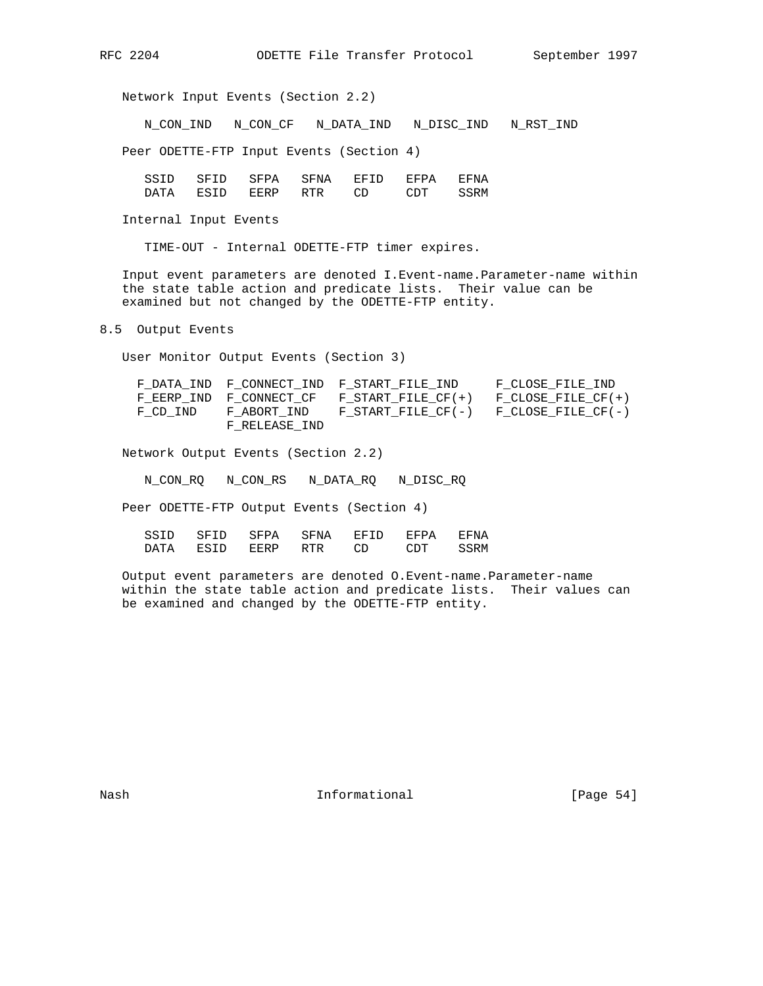Network Input Events (Section 2.2)

N\_CON\_IND N\_CON\_CF N\_DATA\_IND N\_DISC\_IND N\_RST\_IND

Peer ODETTE-FTP Input Events (Section 4)

| SSTD | SETD | SFPA | SFNA  | <b>EFTD</b> | 모모고 | <b>EFNA</b> |
|------|------|------|-------|-------------|-----|-------------|
|      | FSTD | 모노스  | סידים |             |     | SSRM        |

Internal Input Events

TIME-OUT - Internal ODETTE-FTP timer expires.

 Input event parameters are denoted I.Event-name.Parameter-name within the state table action and predicate lists. Their value can be examined but not changed by the ODETTE-FTP entity.

8.5 Output Events

User Monitor Output Events (Section 3)

|          |               | F DATA IND F CONNECT IND F START FILE IND             | F CLOSE FILE IND   |
|----------|---------------|-------------------------------------------------------|--------------------|
|          |               | F EERP IND F CONNECT $CF$ F START FILE $CF(+)$        | F CLOSE FILE CF(+) |
| F CD IND |               | F ABORT IND F START FILE $CF(-)$ F CLOSE FILE $CF(-)$ |                    |
|          | F RELEASE IND |                                                       |                    |

Network Output Events (Section 2.2)

N\_CON\_RQ N\_CON\_RS N\_DATA\_RQ N\_DISC\_RQ

Peer ODETTE-FTP Output Events (Section 4)

| SSTD. | SE 11) | SFPA | SFNA  | $H' H' + I$ | <b>EFPA</b> | EFNA |
|-------|--------|------|-------|-------------|-------------|------|
|       | FSTD   | 모르프  | סידים |             | יחרדי י     | SSRM |

 Output event parameters are denoted O.Event-name.Parameter-name within the state table action and predicate lists. Their values can be examined and changed by the ODETTE-FTP entity.

Nash **Informational Informational** [Page 54]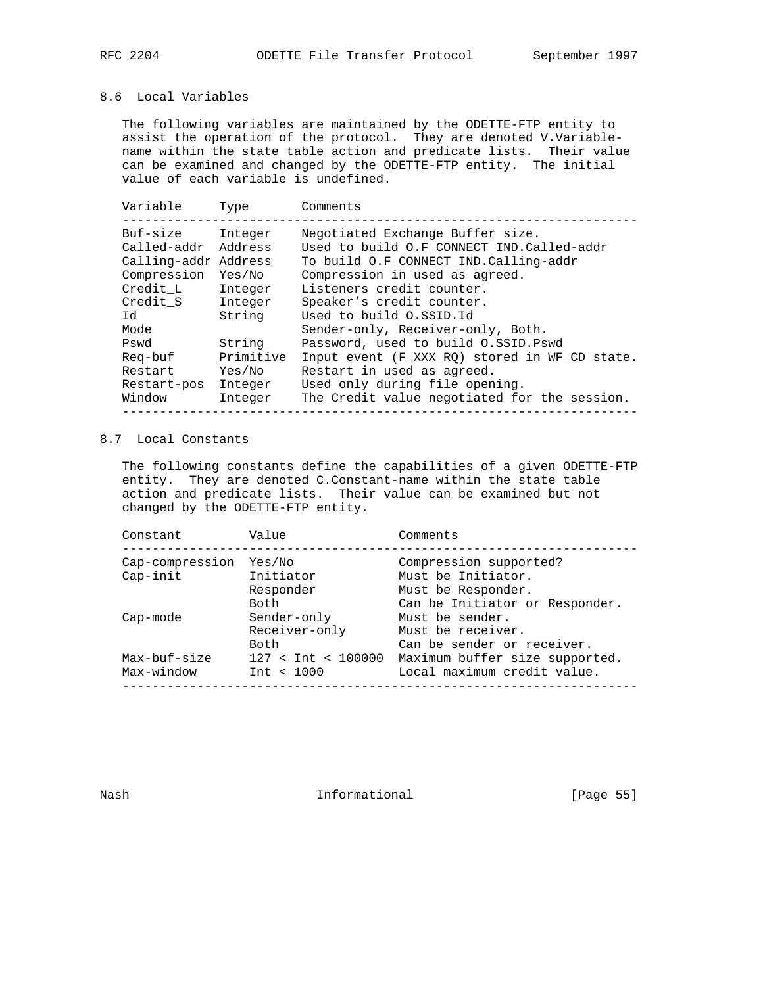## 8.6 Local Variables

 The following variables are maintained by the ODETTE-FTP entity to assist the operation of the protocol. They are denoted V.Variable name within the state table action and predicate lists. Their value can be examined and changed by the ODETTE-FTP entity. The initial value of each variable is undefined.

| Variable             | Type      | Comments                                      |
|----------------------|-----------|-----------------------------------------------|
| Buf-size             | Integer   | Negotiated Exchange Buffer size.              |
| Called-addr          | Address   | Used to build O.F CONNECT IND.Called-addr     |
| Calling-addr Address |           | To build O.F CONNECT IND.Calling-addr         |
| Compression          | Yes/No    | Compression in used as agreed.                |
| Credit L             | Integer   | Listeners credit counter.                     |
| Credit S             | Integer   | Speaker's credit counter.                     |
| Id                   | String    | Used to build O.SSID.Id                       |
| Mode                 |           | Sender-only, Receiver-only, Both.             |
| Pswd                 | String    | Password, used to build O.SSID. Pswd          |
| Reg-buf              | Primitive | Input event (F_XXX_RQ) stored in WF_CD state. |
| Restart              | Yes/No    | Restart in used as agreed.                    |
| Restart-pos          | Integer   | Used only during file opening.                |
| Window               | Integer   | The Credit value negotiated for the session.  |
|                      |           |                                               |

## 8.7 Local Constants

 The following constants define the capabilities of a given ODETTE-FTP entity. They are denoted C.Constant-name within the state table action and predicate lists. Their value can be examined but not changed by the ODETTE-FTP entity.

| Constant        | Value                | Comments                       |
|-----------------|----------------------|--------------------------------|
| Cap-compression | Yes/No               | Compression supported?         |
| Cap-init        | Initiator            | Must be Initiator.             |
|                 | Responder            | Must be Responder.             |
|                 | Both                 | Can be Initiator or Responder. |
| Cap-mode        | Sender-only          | Must be sender.                |
|                 | Receiver-only        | Must be receiver.              |
|                 | Both                 | Can be sender or receiver.     |
| Max-buf-size    | $127 <$ Int < 100000 | Maximum buffer size supported. |
| Max-window      | Int < 1000           | Local maximum credit value.    |

Nash **Informational Informational** [Page 55]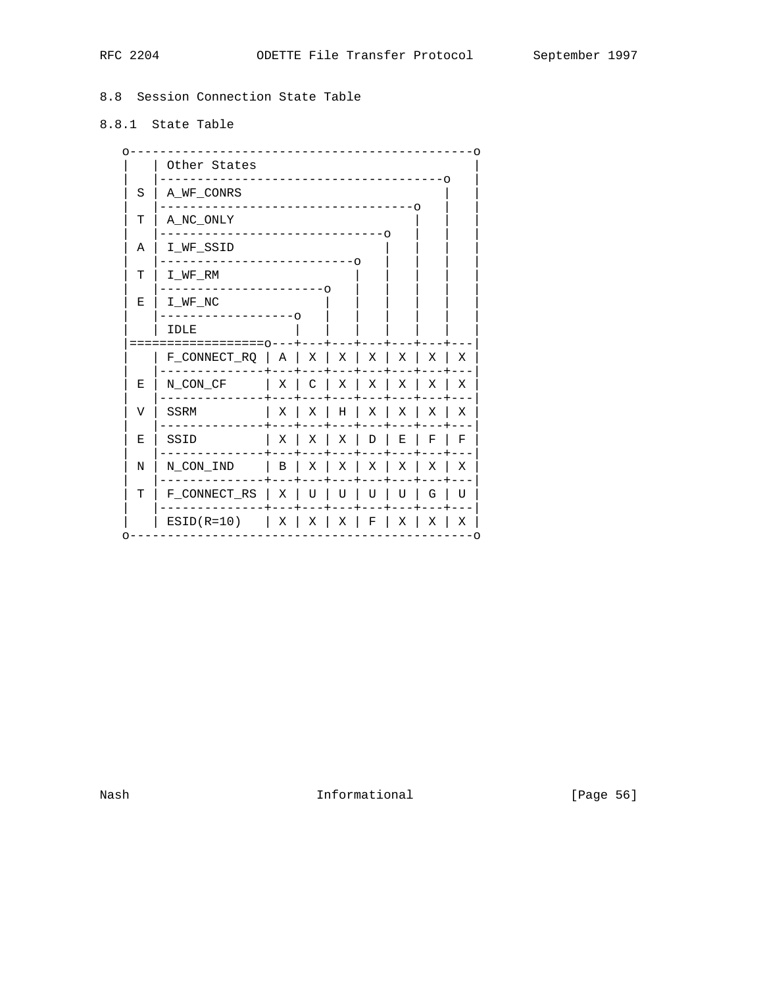# 8.8 Session Connection State Table

# 8.8.1 State Table

|   | Other States                        |    |                   |   |                                                                              |          |   |   |
|---|-------------------------------------|----|-------------------|---|------------------------------------------------------------------------------|----------|---|---|
| S | A_WF_CONRS                          |    |                   |   |                                                                              |          |   |   |
| т | -0<br>A NC ONLY                     |    |                   |   |                                                                              |          |   |   |
| Α | I WF SSID                           | -റ |                   |   |                                                                              |          |   |   |
| т | I WF RM                             |    |                   |   | O                                                                            |          |   |   |
| Ε | I WF NC<br>--------0                |    | ---0              |   |                                                                              |          |   |   |
|   | IDLE<br>$=$ $=$ $=$ $=$ $=$ $\cap$  |    |                   |   |                                                                              |          |   |   |
|   | F CONNECT $RQ \mid A \mid X \mid X$ |    |                   |   | $\mid$ X                                                                     | $\mid$ X | Χ | Χ |
| Е | N_CON_CF                            |    | $X \mid C \mid X$ |   | Χ                                                                            | X        | Χ | X |
| V | <b>SSRM</b>                         | X  | X                 | H | X                                                                            | Χ        | Χ | Χ |
| E | SSID                                | Χ  | X                 | Χ | D                                                                            | Ε        | F | F |
| N | N_CON_IND                           |    | B   X   X   X     |   |                                                                              | Х        | Χ | Χ |
| т | F CONNECT RS   X                    |    | U                 | U | U                                                                            | U        | G | U |
|   | $ESID(R=10)$                        |    |                   |   | $\begin{array}{c c c c c c} & \times & \times & \times & \times \end{array}$ | X        | Χ | Χ |

Informational

[Page 56]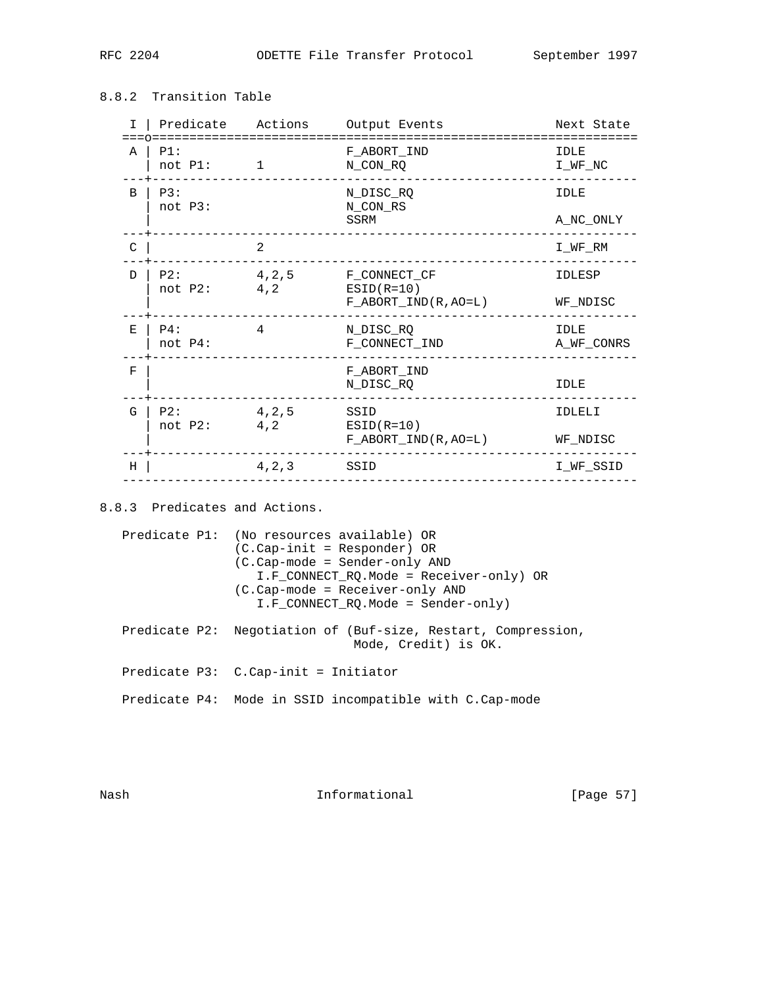| I.            | Predicate Actions         |                | Output Events                                    | Next State         |
|---------------|---------------------------|----------------|--------------------------------------------------|--------------------|
| Α             | PI:<br>not P1:            | 1              | F_ABORT_IND<br>N CON RQ                          | IDLE<br>I WF NC    |
| B             | P3:<br>not P3:            |                | N DISC RQ<br>N_CON_RS                            | <b>IDLE</b>        |
|               |                           |                | SSRM                                             | A_NC_ONLY          |
| $\mathcal{C}$ |                           | $\overline{a}$ |                                                  | I_WF_RM            |
| D.            | P2:                       | 4, 2, 5        | F_CONNECT_CF                                     | IDLESP             |
|               | not P2:                   | 4,2            | $ESID(R=10)$<br>$F\_ABORT\_IND(R, AO=L)$         | WF NDISC           |
| E             | $P4$ :<br>not P4:         | 4              | N_DISC_RQ<br>F_CONNECT_IND                       | IDLE<br>A_WF_CONRS |
| F             |                           |                | F_ABORT_IND<br>N_DISC_RQ                         | IDLE               |
| G             | $P2$ :<br>not P2:<br>4, 2 | 4, 2, 5        | SSID<br>$ESID(R=10)$<br>$F\_ABORT\_IND(R, AO=L)$ | IDLELI<br>WF NDISC |
|               |                           |                |                                                  |                    |
| Н             |                           | 4, 2, 3        | SSID                                             | I_WF_SSID          |
|               |                           |                |                                                  |                    |

## 8.8.2 Transition Table

8.8.3 Predicates and Actions.

 Predicate P1: (No resources available) OR (C.Cap-init = Responder) OR (C.Cap-mode = Sender-only AND I.F\_CONNECT\_RQ.Mode = Receiver-only) OR (C.Cap-mode = Receiver-only AND I.F\_CONNECT\_RQ.Mode = Sender-only) Predicate P2: Negotiation of (Buf-size, Restart, Compression, Mode, Credit) is OK.

Predicate P3: C.Cap-init = Initiator

Predicate P4: Mode in SSID incompatible with C.Cap-mode

Nash **Informational Informational** [Page 57]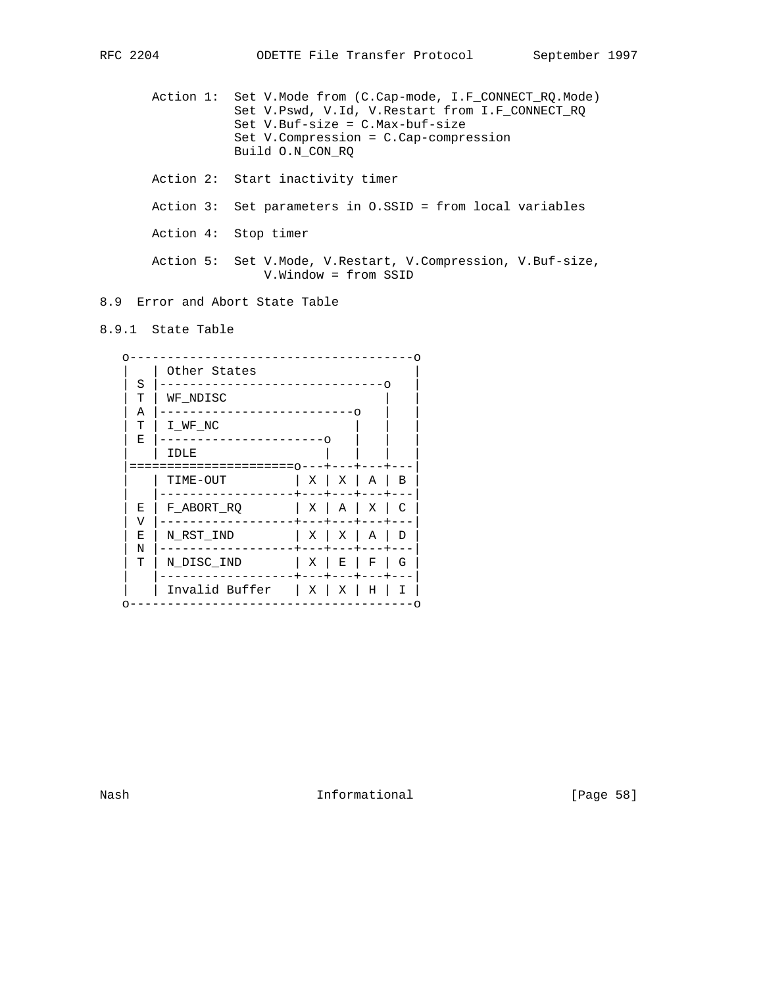Action 1: Set V.Mode from (C.Cap-mode, I.F\_CONNECT\_RQ.Mode) Set V.Pswd, V.Id, V.Restart from I.F\_CONNECT\_RQ Set V.Buf-size = C.Max-buf-size Set V.Compression = C.Cap-compression Build O.N\_CON\_RQ Action 2: Start inactivity timer Action 3: Set parameters in O.SSID = from local variables Action 4: Stop timer Action 5: Set V.Mode, V.Restart, V.Compression, V.Buf-size, V.Window = from SSID

8.9 Error and Abort State Table

8.9.1 State Table

|        | Other States     |   |                   |   |   |  |  |
|--------|------------------|---|-------------------|---|---|--|--|
| S<br>т | WF NDISC         |   |                   |   |   |  |  |
| Α<br>т | I WF NC          |   |                   |   |   |  |  |
| Е      | IDLE             |   | ∩                 |   |   |  |  |
|        | ----<br>TIME-OUT |   | $X \mid X \mid A$ |   | В |  |  |
| Ε<br>V | F ABORT RQ       | X | A                 | X | C |  |  |
| Е      | N RST IND        | X | X                 | A | D |  |  |
| Ν<br>т | N DISC IND       | Χ | Е                 | F | G |  |  |
|        | Invalid Buffer   | Χ | Χ                 | Η | Ι |  |  |

Nash **Informational Informational** [Page 58]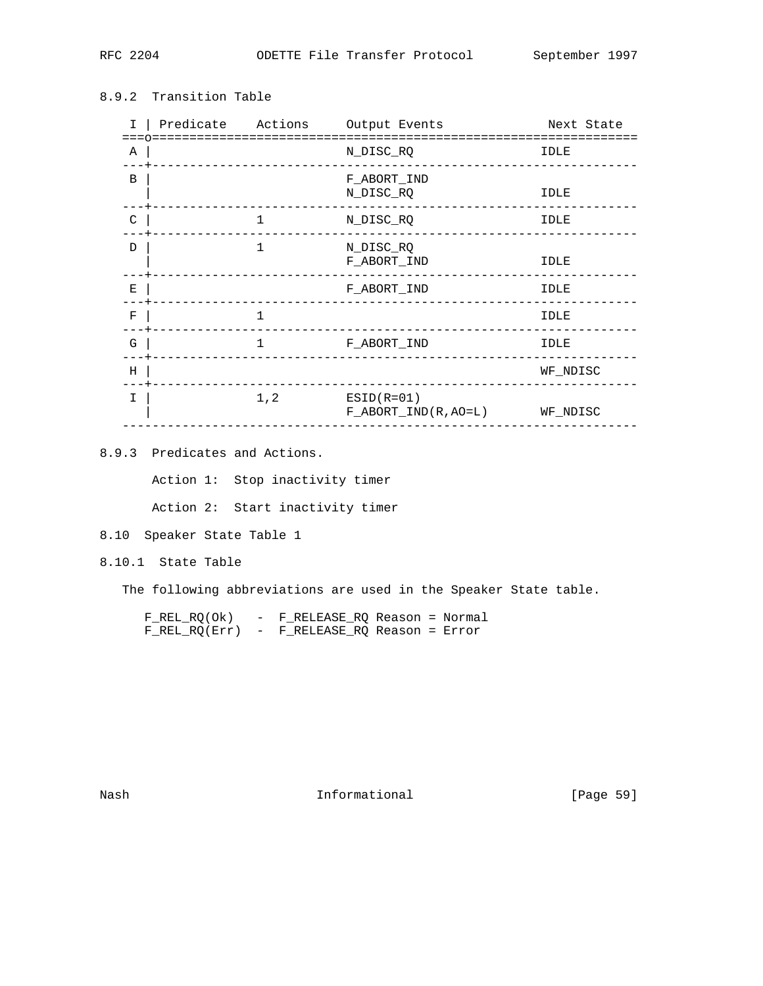## 8.9.2 Transition Table

| I.          |              | Predicate Actions Output Events                 | Next State |
|-------------|--------------|-------------------------------------------------|------------|
| Α           |              | N_DISC_RQ                                       | IDLE       |
| B           |              | F ABORT IND<br>N_DISC_RQ                        | IDLE       |
| C           | $\mathbf{1}$ | N_DISC_RQ                                       | IDLE       |
| D           | $\mathbf{1}$ | N_DISC_RQ<br>F_ABORT_IND                        | IDLE       |
| $\mathbf E$ |              | F_ABORT_IND                                     | IDLE       |
| $\rm F$     | 1            |                                                 | IDLE       |
| G           | 1            | F_ABORT_IND                                     | IDLE       |
| H           |              |                                                 | WF NDISC   |
| I           | 1, 2         | $ESID(R=01)$<br>$F$ ABORT IND(R, AO=L) WF NDISC |            |

8.9.3 Predicates and Actions.

Action 1: Stop inactivity timer

Action 2: Start inactivity timer

8.10 Speaker State Table 1

8.10.1 State Table

The following abbreviations are used in the Speaker State table.

| $F$ REL RQ(Ok) | - F RELEASE RO Reason = Normal                |
|----------------|-----------------------------------------------|
|                | $F$ REL RQ(Err) - F RELEASE RQ Reason = Error |

Nash Informational [Page 59]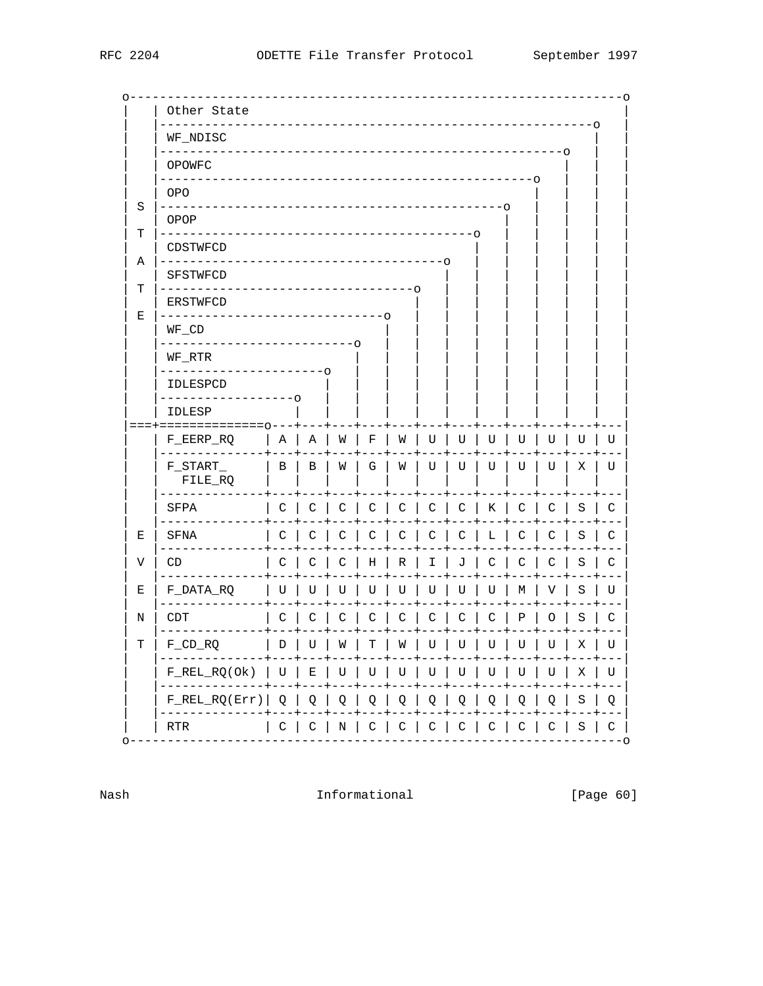|        | Other State                                                                  |        |           |   |                   |     |              |              |           |   |               |            | - റ            |
|--------|------------------------------------------------------------------------------|--------|-----------|---|-------------------|-----|--------------|--------------|-----------|---|---------------|------------|----------------|
|        | WF_NDISC                                                                     |        |           |   |                   |     |              |              |           |   |               |            | O              |
|        | $- - - 0$<br>OPOWFC                                                          |        |           |   |                   |     |              |              |           |   |               |            |                |
|        | -റ<br>OPO                                                                    |        |           |   |                   |     |              |              |           |   |               |            |                |
| S      | OPOP                                                                         |        |           |   |                   |     |              |              | $--\circ$ |   |               |            |                |
| т      | $- - - 0$<br>CDSTWFCD                                                        |        |           |   |                   |     |              |              |           |   |               |            |                |
| Α<br>т | -0<br>SFSTWFCD                                                               |        |           |   |                   |     |              |              |           |   |               |            |                |
| Е      | ---------------------<br><b>ERSTWFCD</b><br>--------------------             |        |           |   | $- \circ$         | --0 |              |              |           |   |               |            |                |
|        | WF_CD<br>------------                                                        |        |           |   |                   |     |              |              |           |   |               |            |                |
|        | WF_RTR<br>$- - - -$                                                          |        | $--\circ$ |   |                   |     |              |              |           |   |               |            |                |
|        | IDLESPCD                                                                     | $---0$ |           |   |                   |     |              |              |           |   |               |            |                |
|        | <b>IDLESP</b><br>===+==============0---+                                     |        |           |   |                   |     |              |              |           |   |               |            |                |
|        | F_EERP_RQ                                                                    | Α      | Α         | W | F                 | W   | U            | U            | U         | U | U             | U          | U              |
|        | $F\_START$<br>FILE_RQ                                                        | Β      | В         | W | G                 | W   | U            | U            | U         | U | U             | Χ          | U              |
|        | SFPA                                                                         | C      | C         | C | С                 | C   | C            | C            | Κ         | C | C             | S          | C              |
| Е      | SFNA                                                                         | C      | C         | C | С                 | С   | С            | С            | L         | C | C             | S          | С              |
| V      | CD                                                                           | C      | С         | С | Η                 | R   | Ι            | J            | С         | C | C             | S          | С              |
| Е      | F_DATA_RQ                                                                    | U      | U         | U | U                 | U   | U            | U            | U         | М | V             | S          | U              |
| Ν      | CDT                                                                          | С      | C         | С | C                 | С   | C            | С            | С         | Ρ | O             | S          | С              |
| т      | $F_CD_RQ$<br>------------+---+---+---+---+---+---+---+---+---+---+---+---+-- | D      | U         | W | Τ                 | W   | U            | U            | U         | U | U             | Χ          | U              |
|        | $F_REL_RQ(Ok)$   U<br>$- - - - +$                                            |        | E         | U | U                 | U   | U            | U            | U         | U | U<br>---+     | X<br>$---$ | U              |
|        | $F_REL_RQ(Err)$                                                              | Q      | Q         | Q | Q                 | Q   | Q            | Q            | Q         | Q | Q             | S          | Q              |
| ∩      | RTR                                                                          | C      | C         |   | $N \mid C \mid C$ |     | $\mathsf{C}$ | $\mathsf{C}$ | C         | C | $\mathcal{C}$ | S          | C<br>$- - - 0$ |

Nash

Informational

[Page 60]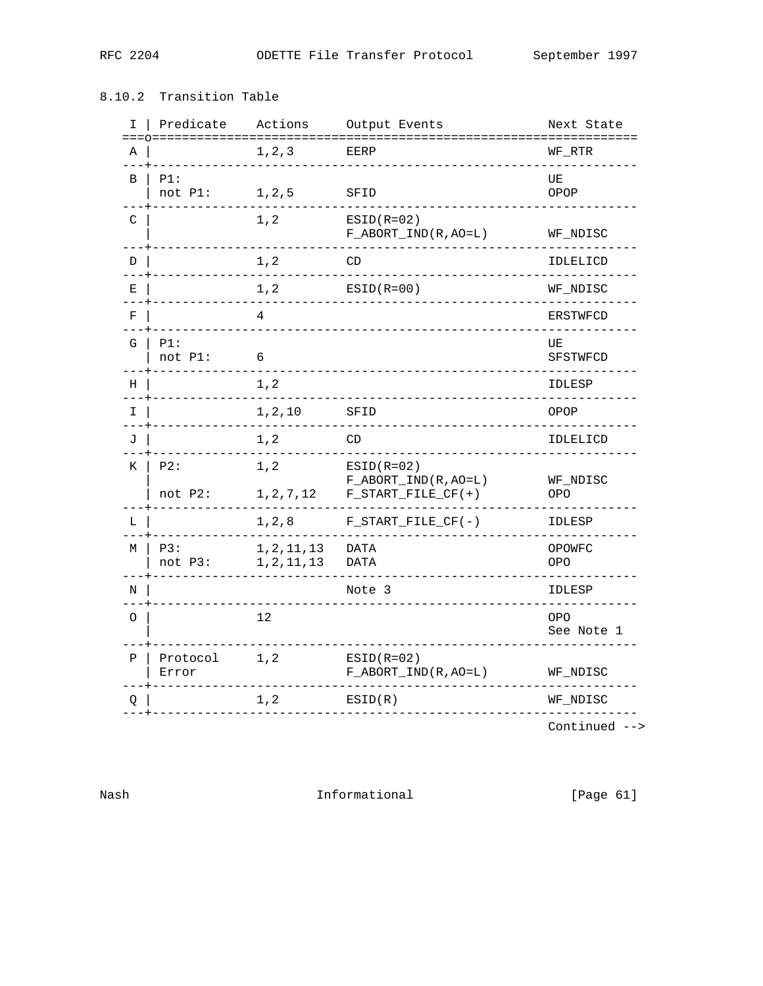## 8.10.2 Transition Table

| I.<br>$=$ $=$ | Predicate         | Actions                      | Output Events                                    | Next State               |
|---------------|-------------------|------------------------------|--------------------------------------------------|--------------------------|
| Α             |                   | 1, 2, 3                      | EERP                                             | WF_RTR                   |
| B             | PI:<br>not P1:    | 1, 2, 5                      | SFID                                             | UE<br>OPOP               |
| C             |                   | 1, 2                         | $ESID(R=02)$<br>$F\_ABORT\_IND(R, AO=L)$         | WF_NDISC                 |
| D             |                   | 1, 2                         | CD                                               | IDLELICD                 |
| Ε             |                   | $1\, , 2$                    | $ESID(R=00)$                                     | WF_NDISC                 |
| F             |                   | 4                            |                                                  | <b>ERSTWFCD</b>          |
| G             | PI:<br>not P1:    | 6                            |                                                  | UE<br>SFSTWFCD           |
| Η             |                   | $1,2$                        |                                                  | IDLESP                   |
| I             |                   | 1, 2, 10                     | SFID                                             | OPOP                     |
| J             |                   | $1,2$                        | CD                                               | IDLELICD                 |
| К             | P2:               | 1, 2                         | $ESTD( R=02)$                                    |                          |
|               | not P2:           | 1, 2, 7, 12                  | $F\_ABORT\_IND(R, AO=L)$<br>$F_START_FILE_CF(+)$ | WF_NDISC<br><b>OPO</b>   |
| L             |                   | $1\,,2\,,8$                  | $F_START_FILE_CF(-)$                             | IDLESP                   |
| M             | P3:<br>not P3:    | 1, 2, 11, 13<br>1, 2, 11, 13 | <b>DATA</b><br><b>DATA</b>                       | OPOWFC<br><b>OPO</b>     |
| N             |                   |                              | Note 3                                           | IDLESP                   |
| O             |                   | 12                           |                                                  | <b>OPO</b><br>See Note 1 |
| Ρ             | Protocol<br>Error | 1, 2                         | $ESTD(R=02)$<br>$F\_ABORT\_IND(R, AO=L)$         | WF_NDISC                 |
| Q             |                   | $1,2$                        | ESTD(R)                                          | WF_NDISC                 |
|               |                   |                              |                                                  |                          |

Continued  $\rightarrow$ 

Informational

 $[Page 61]$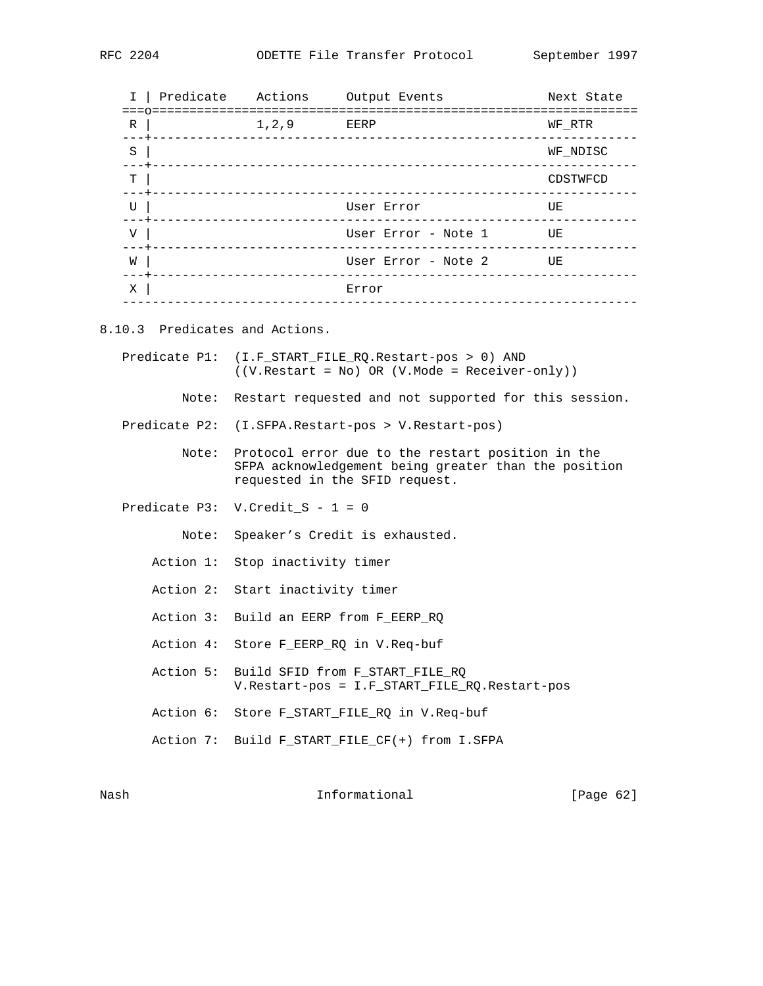|   | Predicate Actions                   |         | Output Events                                          | Next State |
|---|-------------------------------------|---------|--------------------------------------------------------|------------|
| R |                                     | 1, 2, 9 | EERP                                                   | WF RTR     |
| S |                                     |         |                                                        | WF NDISC   |
| т |                                     |         |                                                        | CDSTWFCD   |
| U | --+-------------------------------- |         | User Error                                             | UE         |
| V |                                     |         | User Error - Note 1<br>_______________________________ | UE         |
| W |                                     |         | User Error - Note 2                                    | UE         |
| Χ |                                     |         | Error                                                  |            |
|   |                                     |         |                                                        |            |

8.10.3 Predicates and Actions.

|       | Predicate P1: (I.F_START_FILE_RQ.Restart-pos > 0) AND<br>$((V. Restart = No) OR (V. Mode = Receiver-only))$                                       |
|-------|---------------------------------------------------------------------------------------------------------------------------------------------------|
|       | Note: Restart requested and not supported for this session.                                                                                       |
|       | Predicate P2: (I.SFPA.Restart-pos > V.Restart-pos)                                                                                                |
|       | Note: Protocol error due to the restart position in the<br>SFPA acknowledgement being greater than the position<br>requested in the SFID request. |
|       | Predicate P3: V. Credit $S - 1 = 0$                                                                                                               |
| Note: | Speaker's Credit is exhausted.                                                                                                                    |
|       | Action 1: Stop inactivity timer                                                                                                                   |
|       | Action 2: Start inactivity timer                                                                                                                  |
|       | Action 3: Build an EERP from F EERP RO                                                                                                            |
|       | Action 4: Store F EERP RO in V.Req-buf                                                                                                            |
|       | Action 5: Build SFID from F START FILE RO<br>V. Restart-pos = I. F START FILE RQ. Restart-pos                                                     |
|       | Action 6: Store F_START_FILE_RQ in V.Req-buf                                                                                                      |
|       | Action 7: Build F START FILE $CF(+)$ from I.SFPA                                                                                                  |

Nash Informational [Page 62]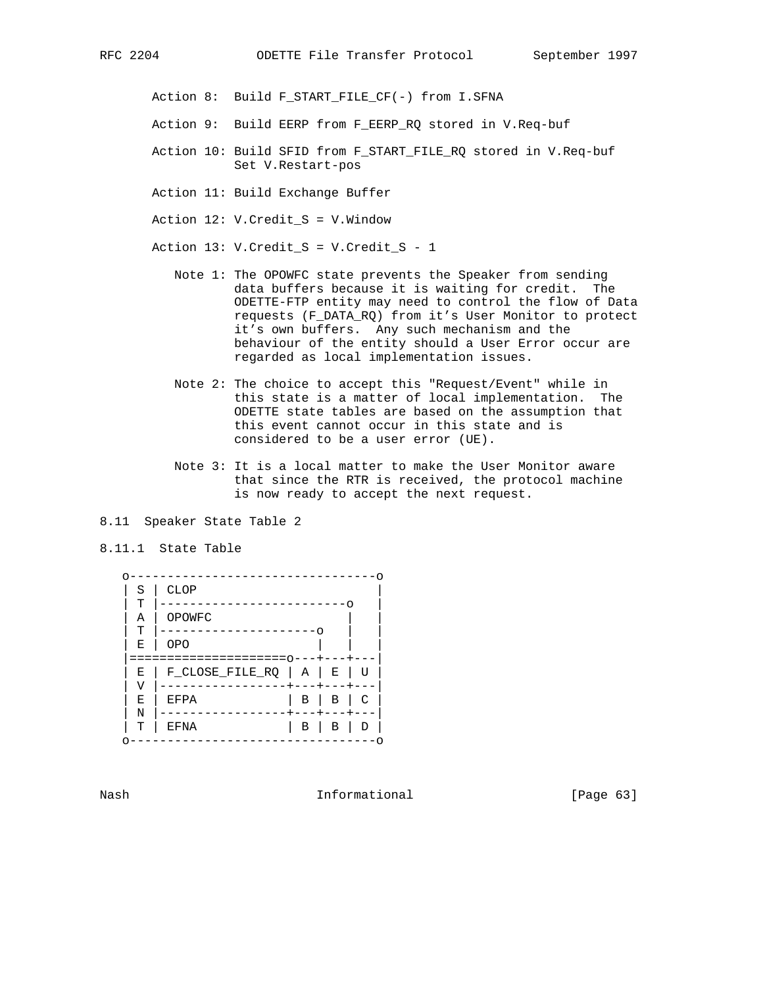Action 8: Build F\_START\_FILE\_CF(-) from I.SFNA

- Action 9: Build EERP from F\_EERP\_RQ stored in V.Req-buf
- Action 10: Build SFID from F\_START\_FILE\_RQ stored in V.Req-buf Set V.Restart-pos
- Action 11: Build Exchange Buffer
- Action 12: V.Credit\_S = V.Window

Action 13: V.Credit\_S = V.Credit\_S - 1

- Note 1: The OPOWFC state prevents the Speaker from sending data buffers because it is waiting for credit. The ODETTE-FTP entity may need to control the flow of Data requests (F\_DATA\_RQ) from it's User Monitor to protect it's own buffers. Any such mechanism and the behaviour of the entity should a User Error occur are regarded as local implementation issues.
- Note 2: The choice to accept this "Request/Event" while in this state is a matter of local implementation. The ODETTE state tables are based on the assumption that this event cannot occur in this state and is considered to be a user error (UE).
- Note 3: It is a local matter to make the User Monitor aware that since the RTR is received, the protocol machine is now ready to accept the next request.
- 8.11 Speaker State Table 2
- 8.11.1 State Table



Nash **Informational Informational** [Page 63]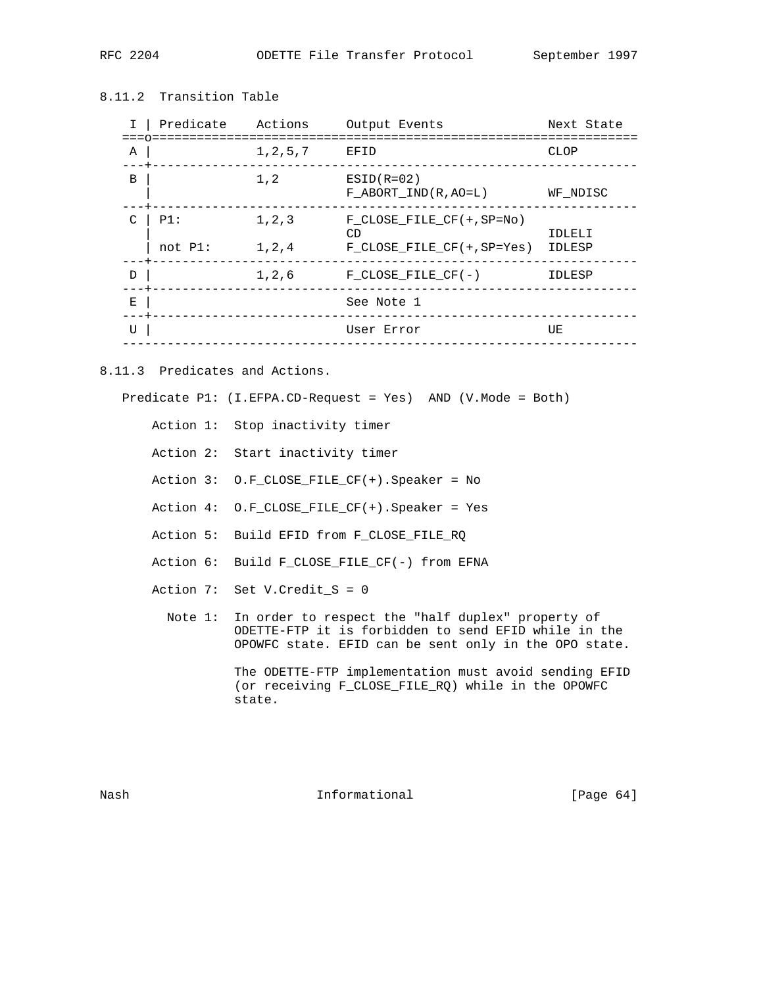## 8.11.2 Transition Table

|               | Predicate         | Actions            | Output Events                                                        | Next State       |
|---------------|-------------------|--------------------|----------------------------------------------------------------------|------------------|
| Α             |                   | 1, 2, 5, 7         | EFID                                                                 | CLOP             |
| B             |                   | 1, 2               | $ESID(R=02)$<br>$F$ ABORT IND(R, AO=L)                               | WF NDISC         |
| $\mathcal{C}$ | P1:<br>$not P1$ : | 1, 2, 3<br>1, 2, 4 | $F$ CLOSE FILE CF $(+, SP=NO)$<br>CD<br>$F$ CLOSE FILE CF(+, SP=Yes) | IDLELI<br>IDLESP |
| D             |                   | 1,2,6              | $F$ CLOSE FILE CF(-)                                                 | IDLESP           |
| Е             |                   |                    | See Note 1                                                           |                  |
| U             |                   |                    | User Error                                                           | UE               |

8.11.3 Predicates and Actions.

Predicate P1: (I.EFPA.CD-Request = Yes) AND (V.Mode = Both)

Action 1: Stop inactivity timer

- Action 2: Start inactivity timer
- Action 3: O.F\_CLOSE\_FILE\_CF(+).Speaker = No
- Action 4: O.F\_CLOSE\_FILE\_CF(+).Speaker = Yes
- Action 5: Build EFID from F\_CLOSE\_FILE\_RQ
- Action 6: Build F\_CLOSE\_FILE\_CF(-) from EFNA
- Action 7: Set V.Credit\_S = 0
	- Note 1: In order to respect the "half duplex" property of ODETTE-FTP it is forbidden to send EFID while in the OPOWFC state. EFID can be sent only in the OPO state.

 The ODETTE-FTP implementation must avoid sending EFID (or receiving F\_CLOSE\_FILE\_RQ) while in the OPOWFC state.

Nash **Informational Informational** [Page 64]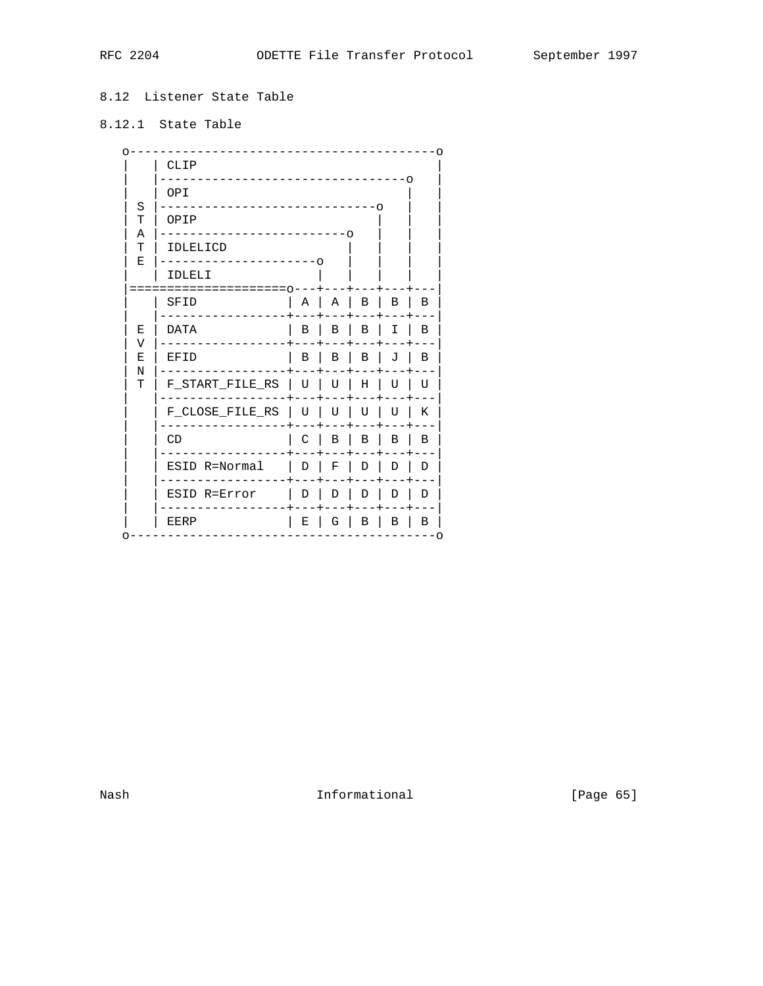## 8.12 Listener State Table

# 8.12.1 State Table

|             | CLIP                 |              |                |        |                |        |  |  |  |
|-------------|----------------------|--------------|----------------|--------|----------------|--------|--|--|--|
|             | OPI                  |              |                |        | -0             |        |  |  |  |
| S<br>т      | $--\circ$<br>OPIP    |              |                |        |                |        |  |  |  |
| Α<br>т<br>Е | . – റ<br>IDLELICD    |              |                |        |                |        |  |  |  |
|             | $-\circ$<br>IDLELI   |              |                |        |                |        |  |  |  |
|             | ============<br>SFID | Α            | $\overline{A}$ | $\Box$ | $\overline{B}$ | B      |  |  |  |
| E<br>V      | <b>DATA</b>          | В            | $\mathbf{B}$   | B      | $\mathbf{I}$   | B      |  |  |  |
| E<br>N      | EFID                 | В            | B              | В      | J              | В      |  |  |  |
| т           | F_START_FILE_RS      | U            | U              | Η      | U              | U      |  |  |  |
|             | F_CLOSE_FILE_RS      | U            | U              | U      | U              | Κ      |  |  |  |
|             | CD                   | C            | B              | В      | B              | B      |  |  |  |
|             | ESID R=Normal        | $\mathsf{L}$ | F              | D      | D              | D      |  |  |  |
|             | ESID R=Error         | D            | D              | D      | D              | D      |  |  |  |
|             | EERP                 | Е            | G              | В      | В              | В<br>O |  |  |  |

Informational

[Page 65]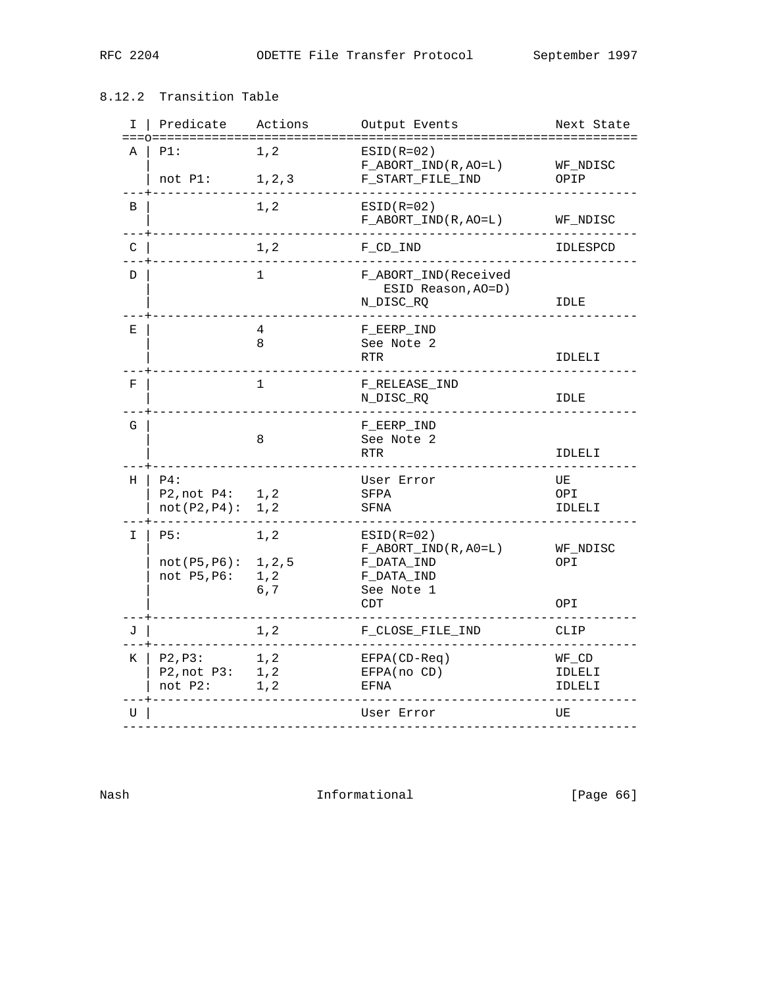## 8.12.2 Transition Table

| I  | Predicate                              | Actions                        | Output Events                                                                             | Next State                   |
|----|----------------------------------------|--------------------------------|-------------------------------------------------------------------------------------------|------------------------------|
| Α  | PI:<br>not P1:                         | 1,2<br>1, 2, 3                 | $ESID(R=02)$<br>$F\_ABORT\_IND(R, AO=L)$<br>F_START_FILE_IND                              | WF NDISC<br>OPIP             |
| B  |                                        | 1, 2                           | $ESID(R=02)$<br>F_ABORT_IND(R,AO=L)                                                       | WF_NDISC                     |
| C  |                                        | 1, 2                           | F_CD_IND                                                                                  | IDLESPCD                     |
| D  |                                        | 1                              | F_ABORT_IND(Received<br>ESID Reason, AO=D)<br>N_DISC_RQ                                   | IDLE                         |
| Е  |                                        | 4<br>8                         | F_EERP_IND<br>See Note 2<br><b>RTR</b>                                                    | IDLELI                       |
| F  |                                        | 1                              | F_RELEASE_IND<br>N_DISC_RQ                                                                | IDLE                         |
| G  |                                        | 8                              | F_EERP_IND<br>See Note 2<br><b>RTR</b>                                                    | IDLELI                       |
| Н  | P4:<br>P2, not P4:<br>not(P2, P4):     | 1, 2<br>1, 2                   | User Error<br>SFPA<br>SFNA                                                                | UE<br>OPI<br>IDLELI          |
| I. | P5:<br>not(P5, P6):<br>not P5, P6:     | 1, 2<br>1, 2, 5<br>1, 2<br>6,7 | $ESID(R=02)$<br>$F\_ABORT\_IND(R, A0=L)$<br>F_DATA_IND<br>F_DATA_IND<br>See Note 1<br>CDT | WF_NDISC<br>OPI<br>OPI       |
| J  |                                        | 1, 2                           | F_CLOSE_FILE_IND                                                                          | CLIP                         |
| K  | P2, P3:<br>P2, not P3: 1, 2<br>not P2: | 1, 2<br>1, 2                   | EFPA(CD-Req)<br>EFPA(no CD)<br>EFNA                                                       | $WF\_CD$<br>IDLELI<br>IDLELI |
| U  |                                        |                                | User Error                                                                                | UE                           |
|    |                                        |                                |                                                                                           |                              |

Nash **Informational Informational** [Page 66]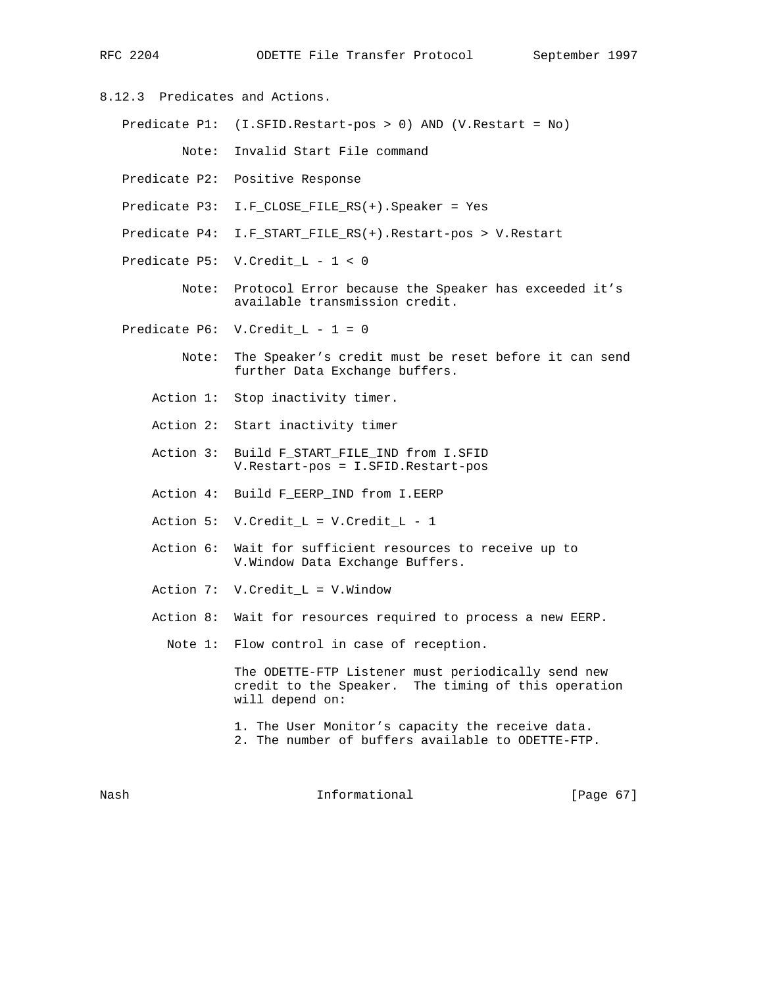- 8.12.3 Predicates and Actions.
	- Predicate P1: (I.SFID.Restart-pos > 0) AND (V.Restart = No)
		- Note: Invalid Start File command
	- Predicate P2: Positive Response
	- Predicate P3: I.F\_CLOSE\_FILE\_RS(+).Speaker = Yes
	- Predicate P4: I.F\_START\_FILE\_RS(+).Restart-pos > V.Restart
	- Predicate P5: V.Credit\_L 1 < 0
		- Note: Protocol Error because the Speaker has exceeded it's available transmission credit.
	- Predicate P6: V.Credit\_L 1 = 0
		- Note: The Speaker's credit must be reset before it can send further Data Exchange buffers.
		- Action 1: Stop inactivity timer.
		- Action 2: Start inactivity timer
		- Action 3: Build F\_START\_FILE\_IND from I.SFID V.Restart-pos = I.SFID.Restart-pos
		- Action 4: Build F\_EERP\_IND from I.EERP
		- Action 5: V.Credit\_L = V.Credit\_L 1
		- Action 6: Wait for sufficient resources to receive up to V.Window Data Exchange Buffers.
		- Action 7: V.Credit\_L = V.Window
		- Action 8: Wait for resources required to process a new EERP.
			- Note 1: Flow control in case of reception.

 The ODETTE-FTP Listener must periodically send new credit to the Speaker. The timing of this operation will depend on:

- 1. The User Monitor's capacity the receive data. 2. The number of buffers available to ODETTE-FTP.
- 

Nash **Informational Informational** [Page 67]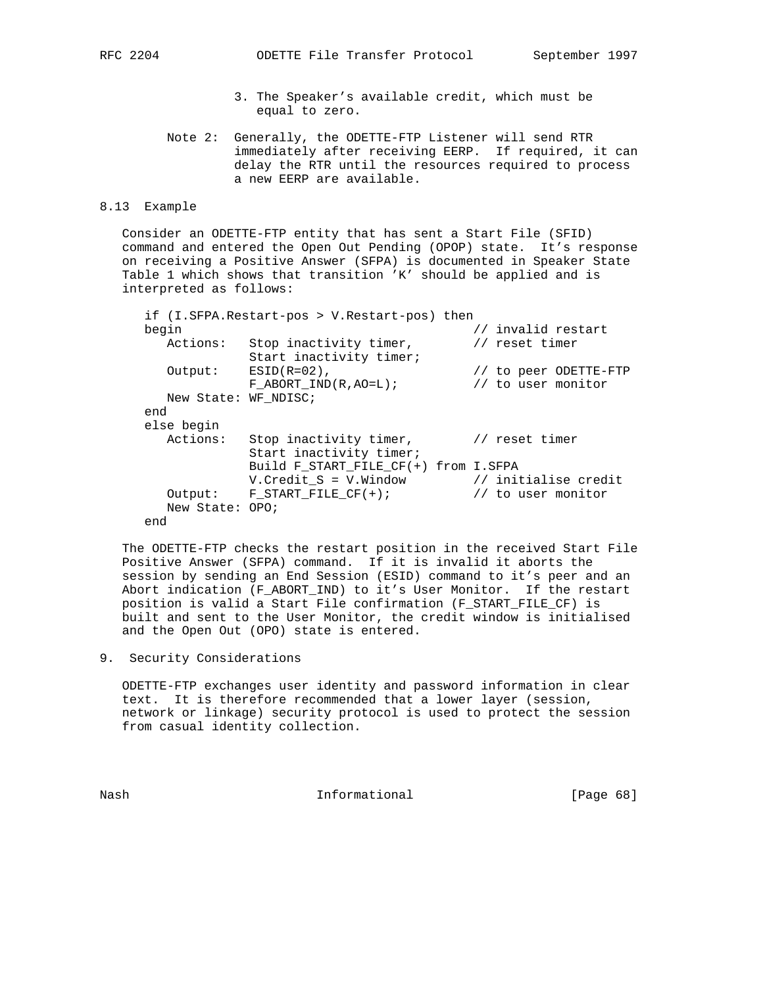- 3. The Speaker's available credit, which must be equal to zero.
- Note 2: Generally, the ODETTE-FTP Listener will send RTR immediately after receiving EERP. If required, it can delay the RTR until the resources required to process a new EERP are available.

### 8.13 Example

 Consider an ODETTE-FTP entity that has sent a Start File (SFID) command and entered the Open Out Pending (OPOP) state. It's response on receiving a Positive Answer (SFPA) is documented in Speaker State Table 1 which shows that transition 'K' should be applied and is interpreted as follows:

|                      | if (I.SFPA.Restart-pos > V.Restart-pos) then      |                                             |
|----------------------|---------------------------------------------------|---------------------------------------------|
| begin                |                                                   | // invalid restart                          |
| Actions:             | Stop inactivity timer,<br>Start inactivity timer; | // reset timer                              |
| Output:              | $ESID(R=02)$ ,<br>F ABORT IND $(R, A0=L)$ ;       | // to peer ODETTE-FTP<br>// to user monitor |
| New State: WF NDISC; |                                                   |                                             |
| end                  |                                                   |                                             |
| else begin           |                                                   |                                             |
| Actions:             | Stop inactivity timer,<br>Start inactivity timer; | // reset timer                              |
|                      | Build F_START_FILE_CF(+) from I.SFPA              |                                             |
|                      | V.Credit_S = V.Window                             | // initialise credit                        |
|                      | Output: F START FILE $CF(+)$ ;                    | // to user monitor                          |
| New State: OPO;      |                                                   |                                             |
| end                  |                                                   |                                             |

 The ODETTE-FTP checks the restart position in the received Start File Positive Answer (SFPA) command. If it is invalid it aborts the session by sending an End Session (ESID) command to it's peer and an Abort indication (F\_ABORT\_IND) to it's User Monitor. If the restart position is valid a Start File confirmation (F\_START\_FILE\_CF) is built and sent to the User Monitor, the credit window is initialised and the Open Out (OPO) state is entered.

9. Security Considerations

 ODETTE-FTP exchanges user identity and password information in clear text. It is therefore recommended that a lower layer (session, network or linkage) security protocol is used to protect the session from casual identity collection.

Nash Informational [Page 68]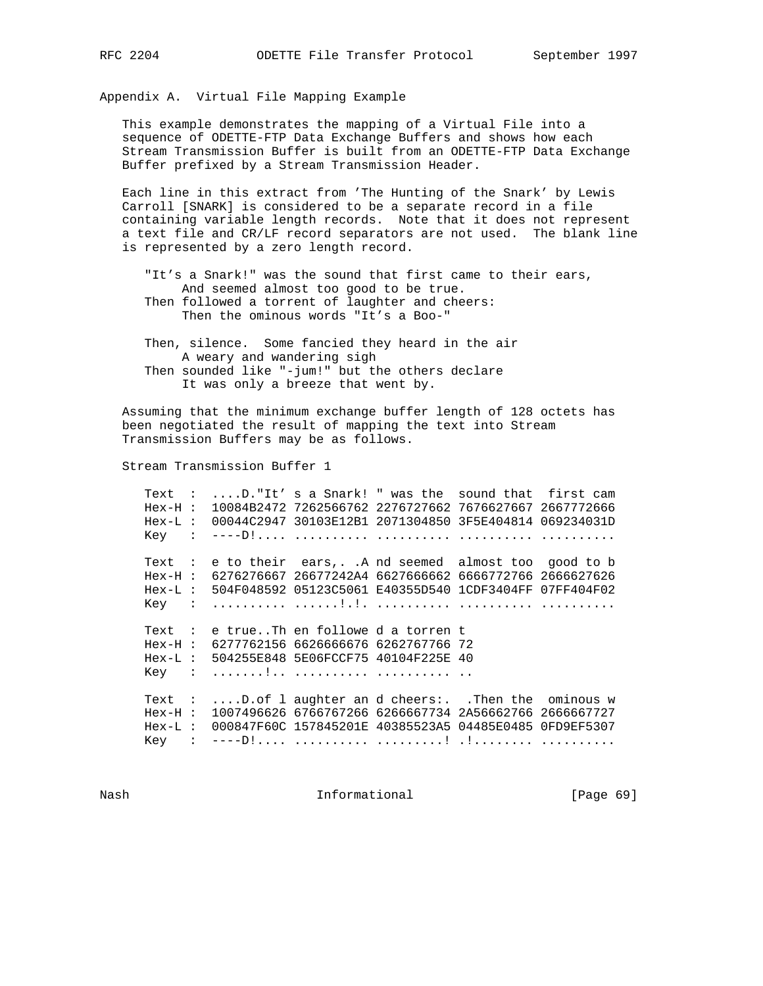Appendix A. Virtual File Mapping Example

 This example demonstrates the mapping of a Virtual File into a sequence of ODETTE-FTP Data Exchange Buffers and shows how each Stream Transmission Buffer is built from an ODETTE-FTP Data Exchange Buffer prefixed by a Stream Transmission Header.

 Each line in this extract from 'The Hunting of the Snark' by Lewis Carroll [SNARK] is considered to be a separate record in a file containing variable length records. Note that it does not represent a text file and CR/LF record separators are not used. The blank line is represented by a zero length record.

 "It's a Snark!" was the sound that first came to their ears, And seemed almost too good to be true. Then followed a torrent of laughter and cheers: Then the ominous words "It's a Boo-"

 Then, silence. Some fancied they heard in the air A weary and wandering sigh Then sounded like "-jum!" but the others declare It was only a breeze that went by.

 Assuming that the minimum exchange buffer length of 128 octets has been negotiated the result of mapping the text into Stream Transmission Buffers may be as follows.

Stream Transmission Buffer 1

 Text : ....D."It' s a Snark! " was the sound that first cam Hex-H : 10084B2472 7262566762 2276727662 7676627667 2667772666 Hex-L : 00044C2947 30103E12B1 2071304850 3F5E404814 069234031D Key : ----D!.... .......... .......... .......... .......... Text : e to their ears,. .A nd seemed almost too good to b Hex-H : 6276276667 26677242A4 6627666662 6666772766 2666627626 Hex-L : 504F048592 05123C5061 E40355D540 1CDF3404FF 07FF404F02 Key : .......... ......!.!. .......... .......... .......... Text : e true..Th en followe d a torren t Hex-H : 6277762156 6626666676 6262767766 72 Hex-L : 504255E848 5E06FCCF75 40104F225E 40 Key : .......!.. .......... .......... .. Text : ....D.of l aughter an d cheers:. .Then the ominous w Hex-H : 1007496626 6766767266 6266667734 2A56662766 2666667727 Hex-L : 000847F60C 157845201E 40385523A5 04485E0485 0FD9EF5307 Key : ----D!.... .......... .........! .!........ ..........

Nash **Informational Informational** [Page 69]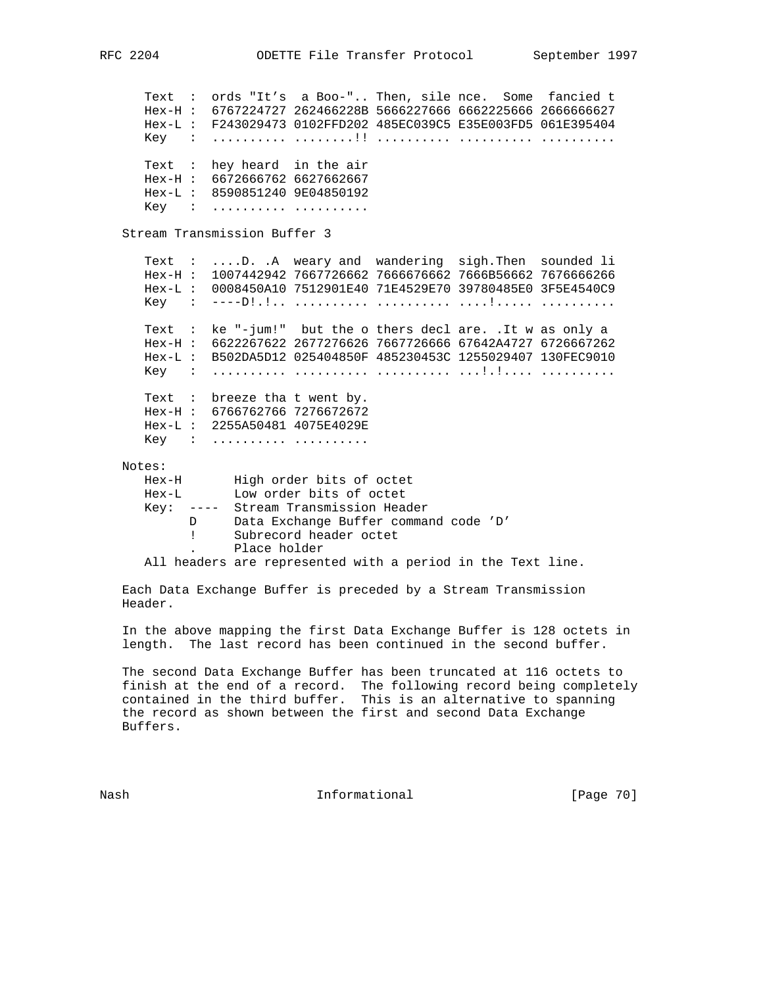Text : ords "It's a Boo-".. Then, sile nce. Some fancied t Hex-H : 6767224727 262466228B 5666227666 6662225666 2666666627 Hex-L : F243029473 0102FFD202 485EC039C5 E35E003FD5 061E395404 Key : .......... ........!! .......... .......... .......... Text : hey heard in the air Hex-H : 6672666762 6627662667 Hex-L : 8590851240 9E04850192 Key : .......... ........... Stream Transmission Buffer 3 Text : ....D. .A weary and wandering sigh.Then sounded li Hex-H : 1007442942 7667726662 7666676662 7666B56662 7676666266 Hex-L : 0008450A10 7512901E40 71E4529E70 39780485E0 3F5E4540C9 Key : ----D!.!.. .......... .......... ....!..... .......... Text : ke "-jum!" but the o thers decl are. .It w as only a Hex-H : 6622267622 2677276626 7667726666 67642A4727 6726667262 Hex-L : B502DA5D12 025404850F 485230453C 1255029407 130FEC9010 Key : .......... .......... .......... ...!.!.... .......... Text : breeze tha t went by. Hex-H : 6766762766 7276672672 Hex-L : 2255A50481 4075E4029E Key : ....................... Notes: Hex-H High order bits of octet Hex-L Low order bits of octet Key: ---- Stream Transmission Header D Data Exchange Buffer command code 'D' ! Subrecord header octet . Place holder

All headers are represented with a period in the Text line.

 Each Data Exchange Buffer is preceded by a Stream Transmission Header.

 In the above mapping the first Data Exchange Buffer is 128 octets in length. The last record has been continued in the second buffer.

 The second Data Exchange Buffer has been truncated at 116 octets to finish at the end of a record. The following record being completely contained in the third buffer. This is an alternative to spanning the record as shown between the first and second Data Exchange Buffers.

Nash **Informational Informational** [Page 70]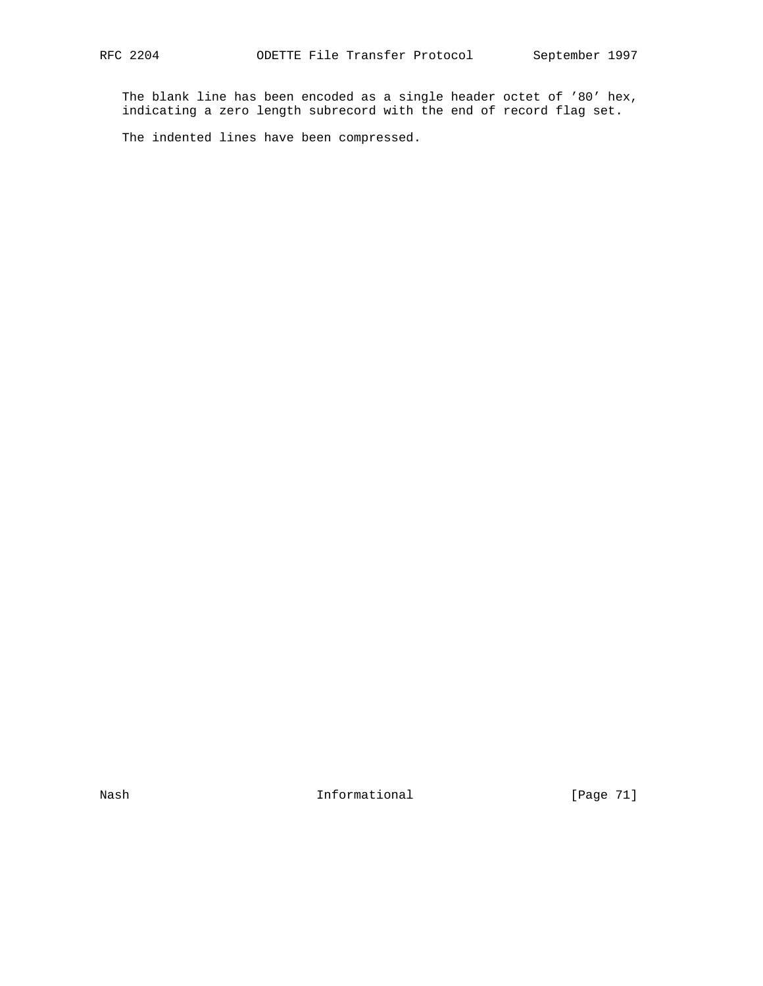The blank line has been encoded as a single header octet of '80' hex, indicating a zero length subrecord with the end of record flag set.

The indented lines have been compressed.

Nash Informational [Page 71]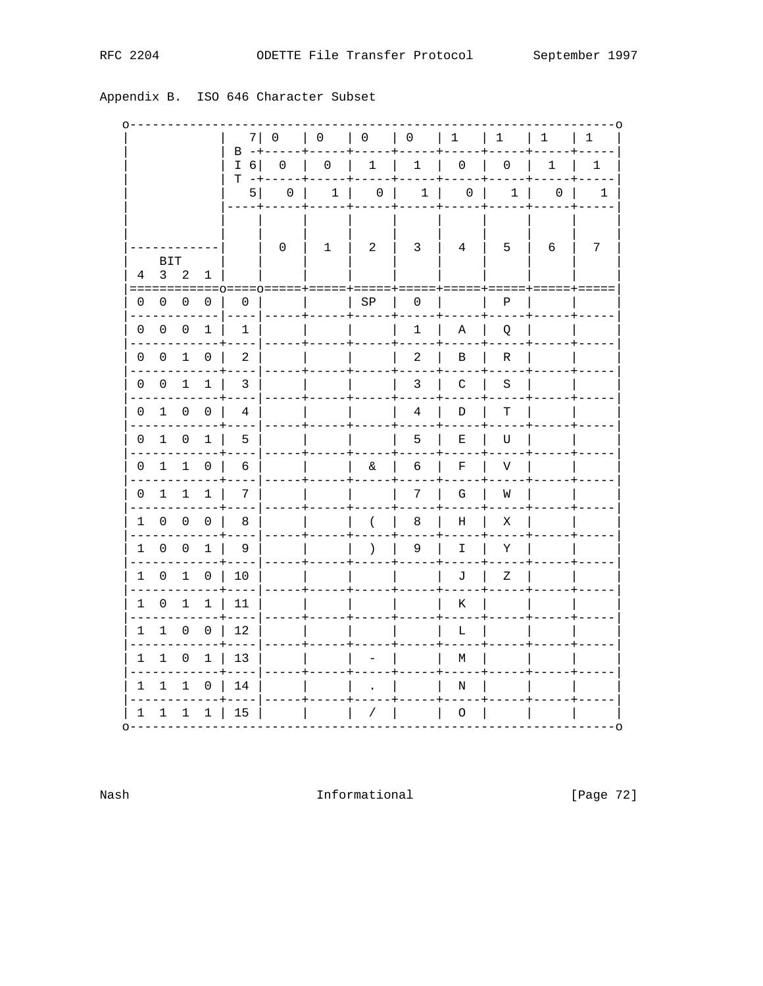|  | RFC | 2204 |
|--|-----|------|
|--|-----|------|

| Appendix B.<br>ISO 646 Character Subset |
|-----------------------------------------|
|-----------------------------------------|

|                 |                                  |                |                                  | 7                            | 0              | 0                   | $\overline{0}$                  | $\overline{0}$              | 1                                                                                                                                                                                                                                                                                                                                                                                                                                                             | $\mathbf 1$ | $\mathbf{1}$ | $-0$<br>$\mathbf{1}$ |
|-----------------|----------------------------------|----------------|----------------------------------|------------------------------|----------------|---------------------|---------------------------------|-----------------------------|---------------------------------------------------------------------------------------------------------------------------------------------------------------------------------------------------------------------------------------------------------------------------------------------------------------------------------------------------------------------------------------------------------------------------------------------------------------|-------------|--------------|----------------------|
|                 |                                  |                |                                  | $B - +$<br>$I\ 6$<br>$T - +$ |                | $0 \quad   \quad 0$ | $\begin{array}{cc} \end{array}$ | 1                           | $\begin{array}{c c c c c c} \hline \multicolumn{3}{c }{\textbf{0}} & \multicolumn{3}{c }{\textbf{0}} \\ \hline \multicolumn{3}{c }{\textbf{0}} & \multicolumn{3}{c }{\textbf{0}} \\ \hline \multicolumn{3}{c }{\textbf{0}} & \multicolumn{3}{c }{\textbf{0}} \\ \hline \multicolumn{3}{c }{\textbf{0}} & \multicolumn{3}{c }{\textbf{0}} \\ \hline \multicolumn{3}{c }{\textbf{0}} & \multicolumn{3}{c }{\textbf{0}} \\ \hline \multicolumn{3}{c }{\textbf{0$ |             | $\mathbf{1}$ | 1                    |
|                 |                                  |                |                                  | 5                            |                |                     |                                 | $0$   1   0   1   0   1   0 |                                                                                                                                                                                                                                                                                                                                                                                                                                                               |             |              | -1                   |
| $4\overline{ }$ | BIT<br>$\mathbf{3}$<br>========= | 2              | 1                                |                              | $\overline{0}$ | $\mathbf{1}$        | $\overline{2}$                  | $\overline{3}$              | $4\phantom{.0}\phantom{.0}$                                                                                                                                                                                                                                                                                                                                                                                                                                   | 5           | - 6          | 7                    |
|                 | $0\quad 0$                       | $\overline{0}$ | $\mathbf{0}$                     | 0                            |                |                     | SP                              | 0                           |                                                                                                                                                                                                                                                                                                                                                                                                                                                               | Ρ           |              |                      |
| $\mathbf{0}$    | $\overline{0}$                   | 0              | $\mathbf 1$                      | 1                            |                |                     |                                 | 1                           | Α                                                                                                                                                                                                                                                                                                                                                                                                                                                             | Q           |              |                      |
| 0               | $\overline{0}$                   | 1              | $\overline{0}$                   | 2<br>---                     | $- - - - +$    |                     | ----+                           | 2                           | В                                                                                                                                                                                                                                                                                                                                                                                                                                                             | R           |              |                      |
|                 | 0 0 1 1                          |                |                                  | 3                            |                |                     |                                 | 3                           | C                                                                                                                                                                                                                                                                                                                                                                                                                                                             | - S         |              |                      |
| 0               |                                  | $1 \quad 0$    | $\overline{0}$                   | 4                            |                |                     |                                 | 4                           | D                                                                                                                                                                                                                                                                                                                                                                                                                                                             | $\mathbf T$ |              |                      |
| 0               | $1 \quad 0 \quad 1$              |                |                                  | 5                            |                |                     |                                 | 5                           | Е                                                                                                                                                                                                                                                                                                                                                                                                                                                             | U           |              |                      |
|                 | 0 1 1 0                          |                |                                  | 6                            |                |                     | $\delta$                        | 6                           | F                                                                                                                                                                                                                                                                                                                                                                                                                                                             | $\mathbf V$ |              |                      |
|                 | $0\quad 1$                       | $\mathbf{1}$   | $\mathbf{1}$                     | 7                            |                |                     |                                 | 7                           | ${\bf G}$                                                                                                                                                                                                                                                                                                                                                                                                                                                     | W           |              |                      |
|                 | $1\quad 0\quad 0\quad 0$         |                |                                  | 8                            |                |                     | $\left($                        | 8                           | Η                                                                                                                                                                                                                                                                                                                                                                                                                                                             | Χ           |              |                      |
|                 |                                  |                | $1 \quad 0 \quad 0 \quad 1$      | - 9                          |                |                     | $\lambda$                       | 9                           | I                                                                                                                                                                                                                                                                                                                                                                                                                                                             | Υ           |              |                      |
|                 | $1 \quad 0$                      |                | $1 \quad 0$                      | 10                           |                |                     |                                 |                             | $\mathbb J$                                                                                                                                                                                                                                                                                                                                                                                                                                                   | $\rm{Z}$    |              |                      |
| 1               | $\overline{0}$                   |                | $1 \quad 1$                      | - 11                         |                |                     |                                 |                             | Κ                                                                                                                                                                                                                                                                                                                                                                                                                                                             |             |              |                      |
|                 |                                  |                |                                  | 1 1 0 0 12                   |                |                     |                                 |                             | L                                                                                                                                                                                                                                                                                                                                                                                                                                                             |             |              |                      |
|                 | 1 1 0 1                          |                |                                  | 13                           |                |                     |                                 |                             | $\mathbb M$                                                                                                                                                                                                                                                                                                                                                                                                                                                   |             |              |                      |
| 1               | 1                                | $\mathbf 1$    |                                  | $0 \mid 14$                  |                |                     |                                 |                             | $\mathbf N$                                                                                                                                                                                                                                                                                                                                                                                                                                                   |             |              |                      |
|                 |                                  |                | $1 \quad 1 \quad 1 \quad 1 \mid$ | 15                           |                |                     | $\prime$                        |                             | 0                                                                                                                                                                                                                                                                                                                                                                                                                                                             |             |              |                      |

Nash

Informational

[Page 72]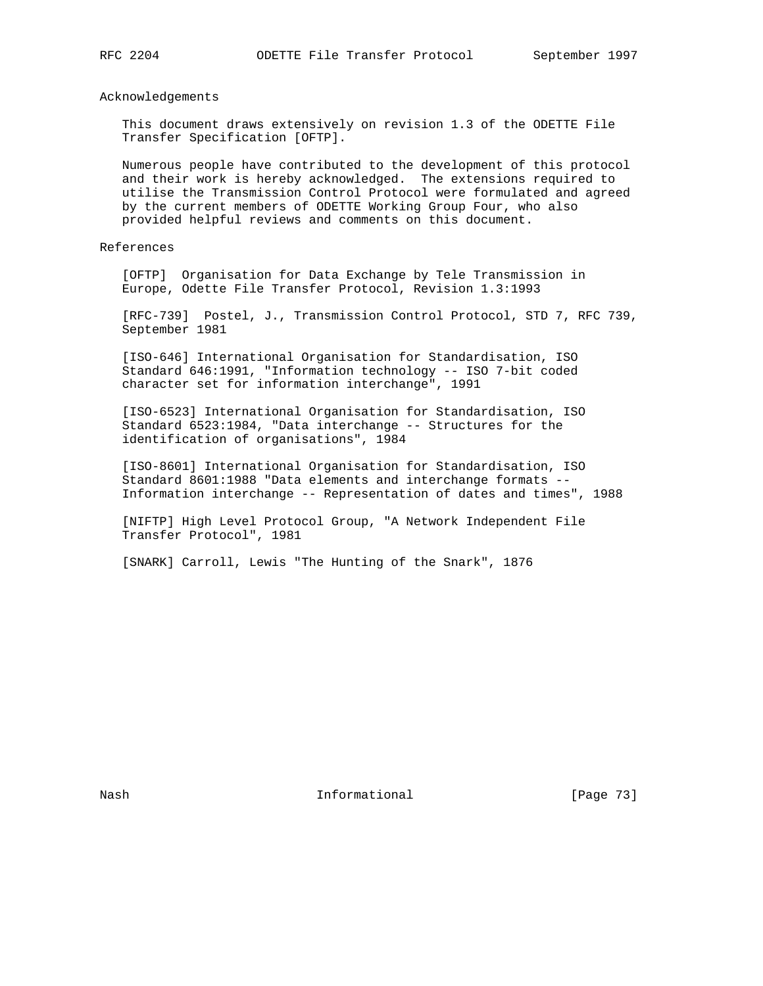## Acknowledgements

 This document draws extensively on revision 1.3 of the ODETTE File Transfer Specification [OFTP].

 Numerous people have contributed to the development of this protocol and their work is hereby acknowledged. The extensions required to utilise the Transmission Control Protocol were formulated and agreed by the current members of ODETTE Working Group Four, who also provided helpful reviews and comments on this document.

## References

 [OFTP] Organisation for Data Exchange by Tele Transmission in Europe, Odette File Transfer Protocol, Revision 1.3:1993

 [RFC-739] Postel, J., Transmission Control Protocol, STD 7, RFC 739, September 1981

 [ISO-646] International Organisation for Standardisation, ISO Standard 646:1991, "Information technology -- ISO 7-bit coded character set for information interchange", 1991

 [ISO-6523] International Organisation for Standardisation, ISO Standard 6523:1984, "Data interchange -- Structures for the identification of organisations", 1984

 [ISO-8601] International Organisation for Standardisation, ISO Standard 8601:1988 "Data elements and interchange formats -- Information interchange -- Representation of dates and times", 1988

 [NIFTP] High Level Protocol Group, "A Network Independent File Transfer Protocol", 1981

[SNARK] Carroll, Lewis "The Hunting of the Snark", 1876

Nash **Informational Informational** [Page 73]